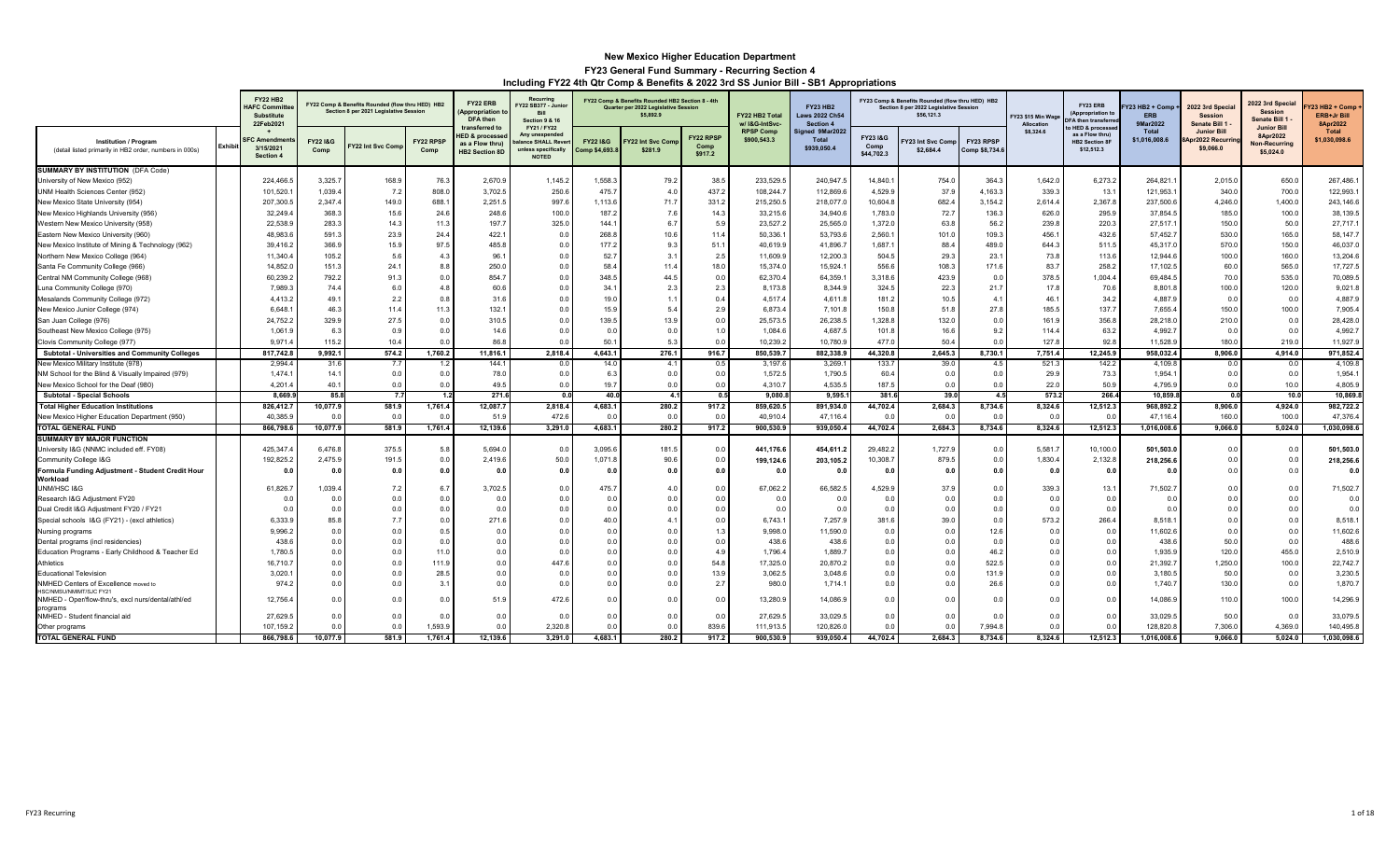|                                                                                         |                | <b>FY22 HB2</b><br><b>HAFC Committ</b><br>Substitute<br>22Feb2021 |                        | FY22 Comp & Benefits Rounded (flow thru HED) HB2<br>Section 8 per 2021 Legislative Session |                       | FY22 ERB<br>Appropriation<br><b>DFA</b> then                                            | Recurring<br>Y22 SB377 - Junior<br>Rill<br>Section 9 & 16                                 |                            | FY22 Comp & Benefits Rounded HB2 Section 8 - 4th<br>Quarter per 2022 Legislative Session<br>\$5,892.9 |                              | FY22 HB2 Total<br>w/ I&G-IntSvc- | <b>FY23 HB2</b><br><b>Laws 2022 Ch54</b><br>Section 4 |                               | FY23 Comp & Benefits Rounded (flow thru HED) HB2<br>Section 8 per 2022 Legislative Session<br>\$56,121.3 |                             | Y23 \$15 Min Wa<br>Allocation | FY23 ERB<br>(Appropriation to<br>A then transferre                                  | 23 HB2 + Comp<br><b>ERB</b><br>9Mar2022 | 2022 3rd Specia<br><b>Session</b><br>Senate Bill 1   | 2022 3rd Special<br><b>Session</b><br>Senate Bill 1                 | Y23 HB2 + Comp<br>ERB+Jr Bill<br>8Apr2022 |
|-----------------------------------------------------------------------------------------|----------------|-------------------------------------------------------------------|------------------------|--------------------------------------------------------------------------------------------|-----------------------|-----------------------------------------------------------------------------------------|-------------------------------------------------------------------------------------------|----------------------------|-------------------------------------------------------------------------------------------------------|------------------------------|----------------------------------|-------------------------------------------------------|-------------------------------|----------------------------------------------------------------------------------------------------------|-----------------------------|-------------------------------|-------------------------------------------------------------------------------------|-----------------------------------------|------------------------------------------------------|---------------------------------------------------------------------|-------------------------------------------|
| <b>Institution / Program</b><br>(detail listed primarily in HB2 order, numbers in 000s) | <b>Exhibit</b> | FC Amendmer<br>3/15/2021<br>Section 4                             | FY22 1&G<br>Comp       | Y22 Int Svc Com                                                                            | FY22 RPS<br>Comp      | transferred to<br><b>IED &amp; processe</b><br>as a Flow thru)<br><b>HB2 Section 8D</b> | FY21 / FY22<br>Any unexpended<br>alance SHALL Reve<br>unless specifically<br><b>NOTED</b> | FY22 1&G<br>comp \$4,693.8 | Y22 Int Svc Com<br>\$281.9                                                                            | FY22 RPSP<br>Comp<br>\$917.2 | <b>RPSP Comp</b><br>\$900,543.3  | Signed 9Mar2022<br>Total<br>\$939,050.4               | FY231&G<br>Comp<br>\$44,702.3 | 23 Int Svc Comp<br>\$2,684.4                                                                             | FY23 RPSP<br>Comp \$8,734.6 | \$8,324.6                     | <b>HED &amp; processer</b><br>as a Flow thru)<br><b>HB2 Section 8</b><br>\$12,512.3 | Total<br>\$1,016,008.6                  | <b>Junior Bill</b><br>Apr2022 Recurring<br>\$9,066.0 | <b>Junior Bill</b><br>8Apr2022<br><b>Non-Recurring</b><br>\$5,024.0 | <b>Total</b><br>\$1,030,098.6             |
| <b>SUMMARY BY INSTITUTION (DFA Code)</b>                                                |                |                                                                   |                        |                                                                                            |                       |                                                                                         |                                                                                           |                            |                                                                                                       |                              |                                  |                                                       |                               |                                                                                                          |                             |                               |                                                                                     |                                         |                                                      |                                                                     |                                           |
| University of New Mexico (952)                                                          |                | 224.466.                                                          | 3.325.7                | 168.9                                                                                      | 76.3                  | 2.670.9                                                                                 | 1,145.2                                                                                   | 1.558.3                    | 79.2                                                                                                  | 38.5                         | 233.529.5                        | 240.947.                                              | 14.840.1                      | 754.0                                                                                                    | 364.3                       | 1.642.0                       | 6.273.2                                                                             | 264.821.                                | 2.015.0                                              | 650.0                                                               | 267.486.1                                 |
| UNM Health Sciences Center (952)                                                        |                | 101,520.                                                          | 1,039.4                | 7.2                                                                                        | 808.0                 | 3,702.5                                                                                 | 250.6                                                                                     | 475.7                      | 4.0                                                                                                   | 437.2                        | 108,244.7                        | 112,869.6                                             | 4,529.9                       | 37.9                                                                                                     | 4,163.3                     | 339.3                         | 13.1                                                                                | 121,953.                                | 340.0                                                | 700.0                                                               | 122,993.1                                 |
| New Mexico State University (954)                                                       |                | 207,300.                                                          | 2,347.4                | 149.0                                                                                      | 688.1                 | 2,251.5                                                                                 | 997.6                                                                                     | 1,113.6                    | 71.7                                                                                                  | 331.2                        | 215,250.5                        | 218,077.                                              | 10,604.8                      | 682.4                                                                                                    | 3,154.2                     | 2,614.4                       | 2,367.8                                                                             | 237,500.6                               | 4,246.0                                              | 1,400.0                                                             | 243,146.6                                 |
| New Mexico Highlands University (956)                                                   |                | 32,249.                                                           | 368.                   | 15.6                                                                                       | 24.6                  | 248.6                                                                                   | 100.0                                                                                     | 187.                       | 7.6                                                                                                   | 14.3                         | 33,215.6                         | 34,940.6                                              | 1,783.0                       | 72.7                                                                                                     | 136.3                       | 626.0                         | 295.9                                                                               | 37,854.5                                | 185.0                                                | 100.0                                                               | 38,139.5                                  |
| Western New Mexico University (958)                                                     |                | 22,538.                                                           | 283.3                  | 14.3                                                                                       | 11.3                  | 197.7                                                                                   | 325.0                                                                                     | 144.                       | 6.                                                                                                    | 5.9                          | 23,527.2                         | 25,565.                                               | 1,372.0                       | 63.8                                                                                                     | 56.2                        | 239.8                         | 220.3                                                                               | 27,517.                                 | 150.0                                                | 50.0                                                                | 27,717.1                                  |
| Eastern New Mexico University (960)                                                     |                | 48,983.                                                           | 591.                   | 23.9                                                                                       | 24.4                  | 422.7                                                                                   | 0.0                                                                                       | 268.                       | 10.6                                                                                                  | 11.4                         | 50,336.                          | 53,793.                                               | 2,560.                        | 101.0                                                                                                    | 109.3                       | 456.                          | 432.6                                                                               | 57,452.7                                | 530.0                                                | 165.0                                                               | 58.147.7                                  |
| New Mexico Institute of Mining & Technology (962)                                       |                | 39.416.                                                           | 366.                   | 15.9                                                                                       | 97.5                  | 485.8                                                                                   | 0.0                                                                                       | 177.2                      | 9.3                                                                                                   | 51.1                         | 40,619.9                         | 41,896.                                               | 1.687.                        | 88.4                                                                                                     | 489.0                       | 644.3                         | 511.5                                                                               | 45,317.                                 | 570.0                                                | 150.0                                                               | 46,037.0                                  |
| Northern New Mexico College (964)                                                       |                | 11,340.                                                           | 105.2                  | 5.6                                                                                        | 4.3                   | 96.7                                                                                    | 0.1                                                                                       | 52.7                       | 3.                                                                                                    | 2.5                          | 11,609.9                         | 12,200.                                               | 504.5                         | 29.3                                                                                                     | 23.1                        | 73.8                          | 113.6                                                                               | 12,944.                                 | 100.0                                                | 160.0                                                               | 13,204.6                                  |
| Santa Fe Community College (966)                                                        |                | 14,852.                                                           | 151.                   | 24.1                                                                                       | 8.8                   | 250.0                                                                                   | 0.0                                                                                       | 58.                        | 11.4                                                                                                  | 18.0                         | 15,374.0                         | 15,924.                                               | 556.6                         | 108.3                                                                                                    | 171.6                       | 83.7                          | 258.2                                                                               | 17,102.5                                | 60.0                                                 | 565.0                                                               | 17,727.5                                  |
| Central NM Community College (968)                                                      |                | 60,239.                                                           | 792.2                  | 91.3                                                                                       | 0.0                   | 854.7                                                                                   | 0.0                                                                                       | 348.5                      | 44.                                                                                                   | 0.0                          | 62,370.4                         | 64,359.                                               | 3,318.6                       | 423.9                                                                                                    | 0.0                         | 378.5                         | 1,004.4                                                                             | 69,484.                                 | 70.0                                                 | 535.0                                                               | 70,089.5                                  |
| Luna Community College (970)                                                            |                | 7,989.                                                            | 74.4                   | 6.0                                                                                        | 4.8                   | 60.6                                                                                    | 0.0                                                                                       | 34.                        | 2.3                                                                                                   | 2.3                          | 8,173.8                          | 8,344.9                                               | 324.5                         | 22.3                                                                                                     | 21.7                        | 17.8                          | 70.6                                                                                | 8,801.8                                 | 100.0                                                | 120.0                                                               | 9,021.8                                   |
| Mesalands Community College (972)                                                       |                | 4,413.                                                            | 49.                    | 2.2                                                                                        | 0.8                   | 31.6                                                                                    | 0.0                                                                                       | 19.0                       | 1 <sup>1</sup>                                                                                        | 0.4                          | 4,517.4                          | 4,611.                                                | 181.2                         | 10.5                                                                                                     | 4.1                         | 46.1                          | 34.2                                                                                | 4,887.9                                 | 0.0                                                  | 0.0                                                                 | 4,887.9                                   |
| New Mexico Junior College (974)                                                         |                | 6.648.                                                            | 46.                    | 11.4                                                                                       | 11.3                  | 132.1                                                                                   | 0.0                                                                                       | 15.9                       | 5.4                                                                                                   | 2.9                          | 6.873.4                          | 7.101.                                                | 150.8                         | 51.8                                                                                                     | 27.8                        | 185.5                         | 137.7                                                                               | 7,655.4                                 | 150.0                                                | 100.0                                                               | 7,905.4                                   |
| San Juan College (976)                                                                  |                | 24,752.2                                                          | 329.9                  | 27.5                                                                                       | 0.0                   | 310.5                                                                                   | 0.0                                                                                       | 139.5                      | 13.9                                                                                                  | 0.0                          | 25,573.5                         | 26,238.5                                              | 1,328.8                       | 132.0                                                                                                    | 0.0                         | 161.9                         | 356.8                                                                               | 28,218.0                                | 210.0                                                | 0.0                                                                 | 28,428.0                                  |
| Southeast New Mexico College (975)                                                      |                | 1,061.                                                            | 6.3                    | 0.9                                                                                        | 0.0<br>0 <sub>0</sub> | 14.6                                                                                    | 0.0<br>0.1                                                                                | 0.0                        | 0 <sub>c</sub>                                                                                        | 1.0                          | 1,084.6                          | 4,687.                                                | 101.8                         | 16.6                                                                                                     | 9.2                         | 114.4                         | 63.2                                                                                | 4,992.7                                 | 0.0                                                  | 0.0                                                                 | 4,992.7                                   |
| Clovis Community College (977)                                                          |                | 9.971                                                             | 115.2                  | 10.4                                                                                       |                       | 86.                                                                                     |                                                                                           | 50.                        | 5.                                                                                                    | 0.0                          | 10,239.2                         | 10,780.9                                              | 477.0                         | 50.4<br>2,645.3                                                                                          | 0.0                         | 127.8                         | 92.8                                                                                | 11,528.9                                | 180.0                                                | 219.0                                                               | 11,927.                                   |
| Subtotal - Universities and Community Colleges<br>New Mexico Military Institute (978)   |                | 817,742.8<br>2,994.                                               | 9,992.1<br>31.6        | 574.2<br>7.7                                                                               | 1,760.2<br>1.2        | 11,816.1<br>144.1                                                                       | 2,818.4<br>0.1                                                                            | 4,643.1<br>14.0            | 276.1<br>4.1                                                                                          | 916.7<br>0.5                 | 850,539.7<br>3,197.6             | 882,338.9<br>3,269.                                   | 44,320.8<br>133.7             | 39.0                                                                                                     | 8,730.1<br>4.5              | 7,751.4<br>521.3              | 12,245.9<br>142.2                                                                   | 958,032.4<br>4,109.8                    | 8,906.0<br>0.0                                       | 4,914.0<br>0.0                                                      | 971,852.4<br>4,109.8                      |
| NM School for the Blind & Visually Impaired (979)                                       |                | 1,474.                                                            | 14.7                   | 0.0                                                                                        | 0.0                   | 78.0                                                                                    | 0.0                                                                                       | 6.3                        | 0.0                                                                                                   | 0.0                          | 1,572.5                          | 1,790.                                                | 60.4                          | 0.0                                                                                                      | 0.0                         | 29.9                          | 73.3                                                                                | 1,954.                                  | 0.0                                                  | 0.0                                                                 | 1,954.                                    |
| New Mexico School for the Deaf (980)                                                    |                | 4,201.                                                            | 40.7                   | 0.0                                                                                        | 0.0                   | 49.5                                                                                    | 0.0                                                                                       | 19.7                       | $\Omega$                                                                                              | 0.0                          | 4,310.7                          | 4,535.                                                | 187.5                         | 0.0                                                                                                      | 0.0                         | 22.0                          | 50.9                                                                                | 4,795.9                                 | 0.0                                                  | 10.0                                                                | 4,805.9                                   |
| <b>Subtotal - Special Schools</b>                                                       |                | 8,669.                                                            | 85.8                   | 7.7                                                                                        |                       | 271.                                                                                    |                                                                                           | 40.0                       | $\mathbf{A}$                                                                                          | 0.5                          | 9,080.                           | 9,595.                                                | 381.6                         | 39.0                                                                                                     | 4.5                         | 573.                          | 266.4                                                                               | 10,859.                                 | $^{\circ}$                                           | 10.1                                                                | 10,869.8                                  |
| <b>Total Higher Education Institutions</b>                                              |                | 826,412.                                                          | 10,077.9               | 581.9                                                                                      | 1,761.4               | 12,087.7                                                                                | 2,818.4                                                                                   | 4,683.1                    | 280.2                                                                                                 | 917.2                        | 859,620.5                        | 891,934.                                              | 44,702.4                      | 2.684.3                                                                                                  | 8,734.6                     | 8,324.6                       | 12,512.3                                                                            | 968,892.2                               | 8,906.0                                              | 4,924.0                                                             | 982,722.2                                 |
| New Mexico Higher Education Department (950)                                            |                | 40,385.                                                           | $\Omega$               | 0.0                                                                                        | 0.0                   | 51.9                                                                                    | 472.6                                                                                     | 0.0                        | $\Omega$                                                                                              | 0.0                          | 40,910.4                         | 47,116.                                               | 0.0                           | 0.0                                                                                                      | 0.0                         | 0.0                           | 0.0                                                                                 | 47,116.4                                | 160.0                                                | 100.0                                                               | 47,376.4                                  |
| <b>TOTAL GENERAL FUND</b>                                                               |                | 866,798.6                                                         | 10,077.9               | 581.9                                                                                      | 1,761.4               | 12,139.6                                                                                | 3,291.0                                                                                   | 4,683.1                    | 280.2                                                                                                 | 917.2                        | 900,530.9                        | 939,050.4                                             | 44,702.4                      | 2.684.3                                                                                                  | 8,734.6                     | 8.324.6                       | 12,512.3                                                                            | 1,016,008.6                             | 9,066.0                                              | 5,024.0                                                             | 1,030,098.6                               |
| SUMMARY BY MAJOR FUNCTION                                                               |                |                                                                   |                        |                                                                                            |                       |                                                                                         |                                                                                           |                            |                                                                                                       |                              |                                  |                                                       |                               |                                                                                                          |                             |                               |                                                                                     |                                         |                                                      |                                                                     |                                           |
| University I&G (NNMC included eff. FY08)                                                |                | 425,347.                                                          | 6,476.8                | 375.5                                                                                      | 5.8                   | 5,694.0                                                                                 | 0.0                                                                                       | 3,095.6                    | 181.                                                                                                  | 0.0                          | 441,176.6                        | 454,611.2                                             | 29,482.2                      | 1,727.9                                                                                                  | 0.0                         | 5,581.                        | 10,100.0                                                                            | 501,503.0                               | 0.0                                                  | 0.0                                                                 | 501,503.0                                 |
| Community College I&G                                                                   |                | 192,825.                                                          | 2,475.9                | 191.5                                                                                      | 0.0                   | 2,419.6                                                                                 | 50.0                                                                                      | 1,071.8                    | 90.6                                                                                                  | 0.0                          | 199,124.6                        | 203,105.2                                             | 10,308.                       | 879.5                                                                                                    | 0.0                         | 1,830.4                       | 2,132.8                                                                             | 218,256.6                               | 0.0                                                  | 0.0                                                                 | 218,256.6                                 |
| Formula Funding Adjustment - Student Credit Hour                                        |                | 0.0                                                               | 0.0                    | 0.0                                                                                        | 0.0                   | 0.0                                                                                     | 0.0                                                                                       | 0.0                        | 0.0                                                                                                   | 0.0                          | 0.0                              | 0.0                                                   | 0.0                           | 0.0                                                                                                      | 0.0                         | 0.0                           | 0.0                                                                                 | 0.0                                     | 0.0                                                  | 0.0                                                                 | 0.0                                       |
| Workload                                                                                |                |                                                                   |                        |                                                                                            |                       |                                                                                         |                                                                                           |                            |                                                                                                       |                              |                                  |                                                       |                               |                                                                                                          |                             |                               |                                                                                     |                                         |                                                      |                                                                     |                                           |
| UNM/HSC I&G                                                                             |                | 61,826.                                                           | 1,039.4                | 7.2                                                                                        | 6.7                   | 3,702.5                                                                                 | 0.0                                                                                       | 475.7                      | 4(                                                                                                    | 0.0                          | 67,062.2                         | 66,582.5                                              | 4,529.9                       | 37.9                                                                                                     | 0.0                         | 339.3                         | 13.1                                                                                | 71,502.7                                | 0.0                                                  | 0.0                                                                 | 71,502.7                                  |
| Research I&G Adjustment FY20                                                            |                | 0.0                                                               | 0.0                    | 0.0                                                                                        | 0.0                   | 0.0                                                                                     | 0.0                                                                                       | 0.0                        | 0.0                                                                                                   | 0.0                          | 0.0                              | 0.0                                                   | 0.0                           | 0.0                                                                                                      | 0.0                         | 0.0                           | 0.0                                                                                 | 0.0                                     | 0.0                                                  | 0.0                                                                 | 0.0                                       |
| Dual Credit I&G Adjustment FY20 / FY21                                                  |                | 0.0                                                               | $\Omega$               | 0.0                                                                                        | 0.0                   | 0.0                                                                                     | 0.0                                                                                       | 0.0                        | $\Omega$                                                                                              | 0.0                          | 0.0                              | 0.0                                                   | 0.0                           | 0.0                                                                                                      | 0.0                         | 0.0                           | 0.0                                                                                 | 0.0                                     | 0.0                                                  | 0.0                                                                 | 0.0                                       |
| Special schools I&G (FY21) - (excl athletics)                                           |                | 6,333.9                                                           | 85.8                   | 7.7                                                                                        | 0.0                   | 271.6                                                                                   | 0.0                                                                                       | 40.0                       | $\overline{4}$                                                                                        | 0.0                          | 6.743.1                          | 7,257.9                                               | 381.6                         | 39.0                                                                                                     | 0.0                         | 573.2                         | 266.4                                                                               | 8,518.1                                 | 0.0                                                  | 0.0                                                                 | 8,518.1                                   |
| Nursing programs                                                                        |                | 9,996.2                                                           | 0.0                    | 0.0                                                                                        | 0.5                   | 0.0                                                                                     | 0.1                                                                                       | 0.0                        | $\Omega$                                                                                              | 1.3                          | 9,998.0                          | 11,590.0                                              | 0.0                           | 0.0                                                                                                      | 12.6                        | 0.0                           | 0.0                                                                                 | 11,602.6                                | 0.0                                                  | 0.0                                                                 | 11,602.6                                  |
| Dental programs (incl residencies)                                                      |                | 438.6                                                             | 0 <sub>0</sub>         | 0.0                                                                                        | 0.0                   | 0.0                                                                                     | 0.1                                                                                       | 0.0                        | 0.0                                                                                                   | 0.0                          | 438.6                            | 438.6                                                 | 0.0                           | 0.0                                                                                                      | 0.0                         | 0.0                           | 0.0                                                                                 | 438.6                                   | 50.0                                                 | 0.0                                                                 | 488.6                                     |
| Education Programs - Early Childhood & Teacher Ed<br>Athletics                          |                | 1,780.<br>16,710.                                                 | 0. <sub>C</sub><br>0.1 | 0.0<br>0.0                                                                                 | 11.0<br>111.9         | 0.0<br>0.0                                                                              | 0.1<br>447.6                                                                              | 0.0<br>0.0                 | 0.0<br>$\Omega$                                                                                       | 4.9<br>54.8                  | 1,796.4<br>17,325.0              | 1,889.<br>20,870.2                                    | 0.0<br>0.0                    | 0.0<br>0.0                                                                                               | 46.2<br>522.5               | 0.0<br>0.0                    | 0.0<br>0.0                                                                          | 1,935.9<br>21,392.7                     | 120.0<br>1,250.0                                     | 455.0<br>100.0                                                      | 2,510.9<br>22,742.7                       |
| <b>Educational Television</b>                                                           |                | 3,020.                                                            | 0.1                    | 0.0                                                                                        | 28.5                  | 0.0                                                                                     | 0.1                                                                                       | $\Omega$                   | $\Omega$                                                                                              | 13.9                         | 3,062.5                          | 3,048.                                                | 0.0                           | 0.0                                                                                                      | 131.9                       | $\Omega$                      | 0.0                                                                                 | 3,180.                                  | 50(                                                  | 0.0                                                                 | 3,230.5                                   |
| NMHED Centers of Excellence moved to                                                    |                | 974.                                                              | 0.                     | 0.0                                                                                        | 3.1                   | 0.0                                                                                     | 0.0                                                                                       | 0.0                        | 0.0                                                                                                   | 2.7                          | 980.0                            | 1,714.                                                | 0.0                           | 0.0                                                                                                      | 26.6                        | 0.0                           | 0.0                                                                                 | 1,740.7                                 | 130.0                                                | 0.0                                                                 | 1,870.7                                   |
| HSC/NMSU/NMIMT/SJC FY21<br>VMHED - Oper/flow-thru's, excl nurs/dental/athl/ed           |                | 12,756.4                                                          | 0.0                    | 0.0                                                                                        | 0.0                   | 51.9                                                                                    | 472.6                                                                                     | 0.0                        | 0.0                                                                                                   | 0.0                          | 13,280.9                         | 14,086.9                                              | 0.0                           | 0.0                                                                                                      | 0.0                         | 0.0                           | 0.0                                                                                 | 14,086.9                                | 110.0                                                | 100.0                                                               | 14,296.9                                  |
| programs<br>NMHED - Student financial aid                                               |                | 27,629.                                                           | 0.0                    | 0.0                                                                                        | . O.O                 | 0.0                                                                                     | 0.1                                                                                       | 0.0                        | 0.0                                                                                                   | 0.0                          | 27,629.5                         | 33,029.                                               | 0.0                           | 0.0                                                                                                      | 0.0                         | 0.0                           | 0.0                                                                                 | 33,029.5                                | 50.0                                                 | 0.0                                                                 | 33,079.5                                  |
| Other programs                                                                          |                | 107.159.                                                          | 0.0                    | 0.0                                                                                        | 1,593.9               | 0.0                                                                                     | 2,320.                                                                                    | 0.0                        | $\Omega$                                                                                              | 839.6                        | 111,913.5                        | 120,826.0                                             | 0.0                           | 0.0                                                                                                      | 7,994.8                     | 0.0                           | 0.0                                                                                 | 128,820.8                               | 7.306.0                                              | 4,369.0                                                             | 140,495.8                                 |
| <b>TOTAL GENERAL FUND</b>                                                               |                | 866.798.6                                                         | 10.077.9               | 581.9                                                                                      | 1.761.4               | 12.139.6                                                                                | 3.291.0                                                                                   | 4.683.1                    | 280.2                                                                                                 | 917.2                        | 900.530.9                        | 939.050.4                                             | 44.702.4                      | 2.684.3                                                                                                  | 8.734.6                     | 8.324.6                       | 12.512.3                                                                            | 1.016.008.6                             | 9.066.0                                              | 5.024.0                                                             | 1.030.098.6                               |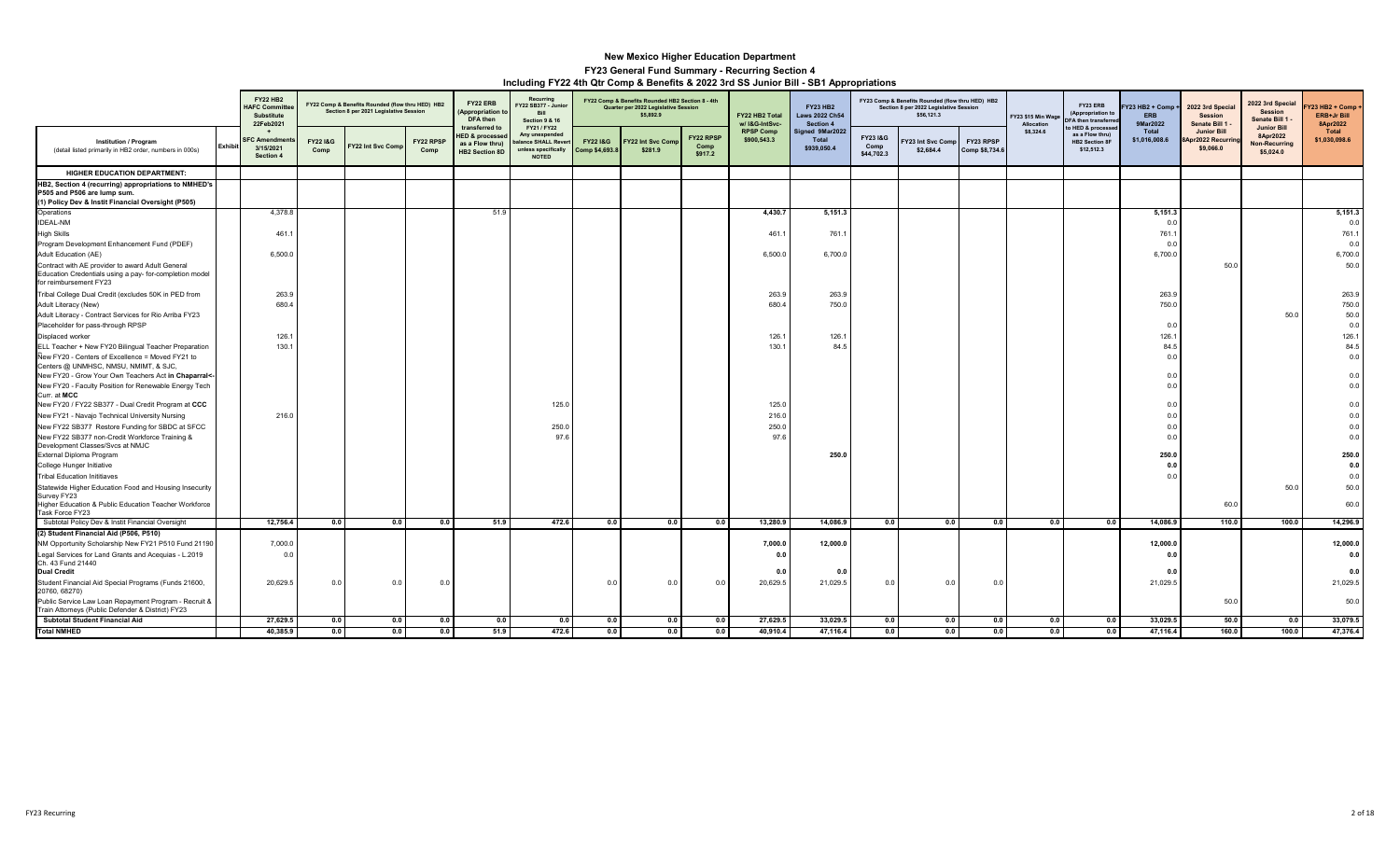|                                                                                                                                           |                | <b>FY22 HB2</b><br><b>HAFC Committe</b><br>Substitute<br>22Feb2021 |                            | FY22 Comp & Benefits Rounded (flow thru HED) HB2<br>Section 8 per 2021 Legislative Session |                   | FY22 ERB<br><b>Appropriation</b><br>DFA then                                             | Recurring<br>FY22 SB377 - Junior<br><b>Bill</b><br><b>Section 9 &amp; 16</b>               |                           | FY22 Comp & Benefits Rounded HB2 Section 8 - 4th<br>Quarter per 2022 Legislative Session<br>\$5,892.9 |                              | FY22 HB2 Total<br>w/ I&G-IntSvc- | <b>FY23 HB2</b><br><b>Laws 2022 Ch54</b><br>Section 4 |                               | FY23 Comp & Benefits Rounded (flow thru HED) HB2<br>Section 8 per 2022 Legislative Session<br>\$56,121.3 |                             | FY23 \$15 Min Wage<br>Allocation | FY23 ERB<br>(Appropriation to<br>FA then transferre                        | Y23 HB2 + Comp<br><b>ERB</b><br>9Mar2022 | 2022 3rd Special<br><b>Session</b><br>Senate Bill 1  | 2022 3rd Special<br><b>Session</b><br>Senate Bill 1 -               | Y23 HB2 + Comp +<br>ERB+Jr Bill<br>8Apr2022 |
|-------------------------------------------------------------------------------------------------------------------------------------------|----------------|--------------------------------------------------------------------|----------------------------|--------------------------------------------------------------------------------------------|-------------------|------------------------------------------------------------------------------------------|--------------------------------------------------------------------------------------------|---------------------------|-------------------------------------------------------------------------------------------------------|------------------------------|----------------------------------|-------------------------------------------------------|-------------------------------|----------------------------------------------------------------------------------------------------------|-----------------------------|----------------------------------|----------------------------------------------------------------------------|------------------------------------------|------------------------------------------------------|---------------------------------------------------------------------|---------------------------------------------|
| <b>Institution / Program</b><br>(detail listed primarily in HB2 order, numbers in 000s)                                                   | <b>Exhibit</b> | <b>SFC Amendment</b><br>3/15/2021<br>Section 4                     | <b>FY221&amp;G</b><br>Comp | Y22 Int Svc Com                                                                            | FY22 RPSP<br>Comp | transferred to<br><b>HED &amp; processer</b><br>as a Flow thru)<br><b>HB2 Section 8D</b> | FY21 / FY22<br>Any unexpended<br>alance SHALL Rever<br>unless specifically<br><b>NOTED</b> | FY22 1&G<br>Comp \$4,693. | Y22 Int Svc Com<br>\$281.9                                                                            | FY22 RPSP<br>Comp<br>\$917.2 | <b>RPSP Comp</b><br>\$900,543.3  | Signed 9Mar2022<br>Total<br>\$939,050.4               | FY231&G<br>Comp<br>\$44,702.3 | Y23 Int Svc Comp<br>\$2,684.4                                                                            | FY23 RPSP<br>Comp \$8,734.6 | \$8,324.6                        | o HED & processe<br>as a Flow thru)<br><b>HB2 Section 8F</b><br>\$12,512.3 | Total<br>\$1,016,008.6                   | <b>Junior Bill</b><br>8Apr2022 Recurrin<br>\$9,066.0 | <b>Junior Bill</b><br>8Apr2022<br><b>Non-Recurring</b><br>\$5,024.0 | Total<br>\$1,030,098.6                      |
| <b>HIGHER EDUCATION DEPARTMENT:</b>                                                                                                       |                |                                                                    |                            |                                                                                            |                   |                                                                                          |                                                                                            |                           |                                                                                                       |                              |                                  |                                                       |                               |                                                                                                          |                             |                                  |                                                                            |                                          |                                                      |                                                                     |                                             |
| HB2, Section 4 (recurring) appropriations to NMHED's<br>P505 and P506 are lump sum.<br>(1) Policy Dev & Instit Financial Oversight (P505) |                |                                                                    |                            |                                                                                            |                   |                                                                                          |                                                                                            |                           |                                                                                                       |                              |                                  |                                                       |                               |                                                                                                          |                             |                                  |                                                                            |                                          |                                                      |                                                                     |                                             |
| Operations                                                                                                                                |                | 4,378.8                                                            |                            |                                                                                            |                   | 51.9                                                                                     |                                                                                            |                           |                                                                                                       |                              | 4,430.7                          | 5,151.3                                               |                               |                                                                                                          |                             |                                  |                                                                            | 5,151.3                                  |                                                      |                                                                     | 5,151.3                                     |
| <b>IDEAL-NM</b>                                                                                                                           |                |                                                                    |                            |                                                                                            |                   |                                                                                          |                                                                                            |                           |                                                                                                       |                              |                                  |                                                       |                               |                                                                                                          |                             |                                  |                                                                            | 0.0                                      |                                                      |                                                                     | 0.0                                         |
| <b>High Skills</b>                                                                                                                        |                | 461.1                                                              |                            |                                                                                            |                   |                                                                                          |                                                                                            |                           |                                                                                                       |                              | 461.1                            | 761.                                                  |                               |                                                                                                          |                             |                                  |                                                                            | 761.1                                    |                                                      |                                                                     | 761.1                                       |
| Program Development Enhancement Fund (PDEF)                                                                                               |                |                                                                    |                            |                                                                                            |                   |                                                                                          |                                                                                            |                           |                                                                                                       |                              |                                  |                                                       |                               |                                                                                                          |                             |                                  |                                                                            | 0.0                                      |                                                      |                                                                     | 0.0                                         |
| Adult Education (AE)                                                                                                                      |                | 6,500.0                                                            |                            |                                                                                            |                   |                                                                                          |                                                                                            |                           |                                                                                                       |                              | 6,500.0                          | 6,700.0                                               |                               |                                                                                                          |                             |                                  |                                                                            | 6,700.0                                  |                                                      |                                                                     | 6,700.0                                     |
| Contract with AE provider to award Adult General<br>Education Credentials using a pay- for-completion model<br>for reimbursement FY23     |                |                                                                    |                            |                                                                                            |                   |                                                                                          |                                                                                            |                           |                                                                                                       |                              |                                  |                                                       |                               |                                                                                                          |                             |                                  |                                                                            |                                          | 50.0                                                 |                                                                     | 50.0                                        |
| Tribal College Dual Credit (excludes 50K in PED from                                                                                      |                | 263.9                                                              |                            |                                                                                            |                   |                                                                                          |                                                                                            |                           |                                                                                                       |                              | 263.9                            | 263.9                                                 |                               |                                                                                                          |                             |                                  |                                                                            | 263.9                                    |                                                      |                                                                     | 263.9                                       |
| Adult Literacy (New)                                                                                                                      |                | 680.4                                                              |                            |                                                                                            |                   |                                                                                          |                                                                                            |                           |                                                                                                       |                              | 680.4                            | 750.0                                                 |                               |                                                                                                          |                             |                                  |                                                                            | 750.0                                    |                                                      |                                                                     | 750.0                                       |
| Adult Literacy - Contract Services for Rio Arriba FY23                                                                                    |                |                                                                    |                            |                                                                                            |                   |                                                                                          |                                                                                            |                           |                                                                                                       |                              |                                  |                                                       |                               |                                                                                                          |                             |                                  |                                                                            |                                          |                                                      | 50.0                                                                | 50.0                                        |
| Placeholder for pass-through RPSP                                                                                                         |                |                                                                    |                            |                                                                                            |                   |                                                                                          |                                                                                            |                           |                                                                                                       |                              |                                  |                                                       |                               |                                                                                                          |                             |                                  |                                                                            | 0.0                                      |                                                      |                                                                     | 0.0                                         |
| Displaced worker                                                                                                                          |                | 126.1                                                              |                            |                                                                                            |                   |                                                                                          |                                                                                            |                           |                                                                                                       |                              | 126.1                            | 126.                                                  |                               |                                                                                                          |                             |                                  |                                                                            | 126.7                                    |                                                      |                                                                     | 126.1                                       |
| ELL Teacher + New FY20 Bilingual Teacher Preparation                                                                                      |                | 130.1                                                              |                            |                                                                                            |                   |                                                                                          |                                                                                            |                           |                                                                                                       |                              | 130.1                            | 84.5                                                  |                               |                                                                                                          |                             |                                  |                                                                            | 84.5                                     |                                                      |                                                                     | 84.5                                        |
| New FY20 - Centers of Excellence = Moved FY21 to                                                                                          |                |                                                                    |                            |                                                                                            |                   |                                                                                          |                                                                                            |                           |                                                                                                       |                              |                                  |                                                       |                               |                                                                                                          |                             |                                  |                                                                            | 0.0                                      |                                                      |                                                                     | 0.0                                         |
| Centers @ UNMHSC, NMSU, NMIMT, & SJC,<br>New FY20 - Grow Your Own Teachers Act in Chaparral<-                                             |                |                                                                    |                            |                                                                                            |                   |                                                                                          |                                                                                            |                           |                                                                                                       |                              |                                  |                                                       |                               |                                                                                                          |                             |                                  |                                                                            | 0.0                                      |                                                      |                                                                     | 0.0                                         |
| New FY20 - Faculty Position for Renewable Energy Tech                                                                                     |                |                                                                    |                            |                                                                                            |                   |                                                                                          |                                                                                            |                           |                                                                                                       |                              |                                  |                                                       |                               |                                                                                                          |                             |                                  |                                                                            | 0.0                                      |                                                      |                                                                     | 0.0                                         |
| Curr. at MCC                                                                                                                              |                |                                                                    |                            |                                                                                            |                   |                                                                                          |                                                                                            |                           |                                                                                                       |                              |                                  |                                                       |                               |                                                                                                          |                             |                                  |                                                                            |                                          |                                                      |                                                                     |                                             |
| New FY20 / FY22 SB377 - Dual Credit Program at CCC                                                                                        |                |                                                                    |                            |                                                                                            |                   |                                                                                          | 125.0                                                                                      |                           |                                                                                                       |                              | 125.0                            |                                                       |                               |                                                                                                          |                             |                                  |                                                                            | 0.0                                      |                                                      |                                                                     | 0.0                                         |
| New FY21 - Navajo Technical University Nursing                                                                                            |                | 216.0                                                              |                            |                                                                                            |                   |                                                                                          |                                                                                            |                           |                                                                                                       |                              | 216.0                            |                                                       |                               |                                                                                                          |                             |                                  |                                                                            | 0.0                                      |                                                      |                                                                     | 0.0                                         |
| New FY22 SB377 Restore Funding for SBDC at SFCC                                                                                           |                |                                                                    |                            |                                                                                            |                   |                                                                                          | 250.0                                                                                      |                           |                                                                                                       |                              | 250.0                            |                                                       |                               |                                                                                                          |                             |                                  |                                                                            | 0.0                                      |                                                      |                                                                     | 0.0                                         |
| New FY22 SB377 non-Credit Workforce Training &                                                                                            |                |                                                                    |                            |                                                                                            |                   |                                                                                          | 97.6                                                                                       |                           |                                                                                                       |                              | 97.6                             |                                                       |                               |                                                                                                          |                             |                                  |                                                                            | 0.0                                      |                                                      |                                                                     | 0.0                                         |
| Development Classes/Svcs at NMJC                                                                                                          |                |                                                                    |                            |                                                                                            |                   |                                                                                          |                                                                                            |                           |                                                                                                       |                              |                                  |                                                       |                               |                                                                                                          |                             |                                  |                                                                            |                                          |                                                      |                                                                     |                                             |
| External Diploma Program                                                                                                                  |                |                                                                    |                            |                                                                                            |                   |                                                                                          |                                                                                            |                           |                                                                                                       |                              |                                  | 250.0                                                 |                               |                                                                                                          |                             |                                  |                                                                            | 250.0                                    |                                                      |                                                                     | 250.0                                       |
| College Hunger Initiative<br><b>Tribal Education Inititiaves</b>                                                                          |                |                                                                    |                            |                                                                                            |                   |                                                                                          |                                                                                            |                           |                                                                                                       |                              |                                  |                                                       |                               |                                                                                                          |                             |                                  |                                                                            | 0.0<br>0.0                               |                                                      |                                                                     | 0.0<br>0.0                                  |
| Statewide Higher Education Food and Housing Insecurity                                                                                    |                |                                                                    |                            |                                                                                            |                   |                                                                                          |                                                                                            |                           |                                                                                                       |                              |                                  |                                                       |                               |                                                                                                          |                             |                                  |                                                                            |                                          |                                                      | 50.0                                                                | 50.0                                        |
| Survey FY23                                                                                                                               |                |                                                                    |                            |                                                                                            |                   |                                                                                          |                                                                                            |                           |                                                                                                       |                              |                                  |                                                       |                               |                                                                                                          |                             |                                  |                                                                            |                                          |                                                      |                                                                     |                                             |
| Higher Education & Public Education Teacher Workforce                                                                                     |                |                                                                    |                            |                                                                                            |                   |                                                                                          |                                                                                            |                           |                                                                                                       |                              |                                  |                                                       |                               |                                                                                                          |                             |                                  |                                                                            |                                          | 60.0                                                 |                                                                     | 60.0                                        |
| Task Force FY23<br>Subtotal Policy Dev & Instit Financial Oversight                                                                       |                | 12,756.4                                                           | 0.0                        | 0.0                                                                                        | 0.0               | 51.9                                                                                     | 472.6                                                                                      | 0.0                       | 0.0                                                                                                   | 0.0                          | 13,280.9                         | 14,086.9                                              | 0.0                           | 0.0                                                                                                      | 0.0                         | 0.0                              | 0.0                                                                        | 14,086.9                                 | 110.0                                                | 100.0                                                               | 14,296.9                                    |
| (2) Student Financial Aid (P506, P510)                                                                                                    |                |                                                                    |                            |                                                                                            |                   |                                                                                          |                                                                                            |                           |                                                                                                       |                              |                                  |                                                       |                               |                                                                                                          |                             |                                  |                                                                            |                                          |                                                      |                                                                     |                                             |
| NM Opportunity Scholarship New FY21 P510 Fund 21190                                                                                       |                | 7,000.0                                                            |                            |                                                                                            |                   |                                                                                          |                                                                                            |                           |                                                                                                       |                              | 7,000.0                          | 12,000.0                                              |                               |                                                                                                          |                             |                                  |                                                                            | 12,000.0                                 |                                                      |                                                                     | 12,000.0                                    |
| Legal Services for Land Grants and Acequias - L.2019<br>Ch. 43 Fund 21440                                                                 |                | 0.0                                                                |                            |                                                                                            |                   |                                                                                          |                                                                                            |                           |                                                                                                       |                              | 0.0                              | 0.1                                                   |                               |                                                                                                          |                             |                                  |                                                                            | 0.0<br>0.0                               |                                                      |                                                                     | 0.0<br>0.0                                  |
| <b>Dual Credit</b><br>Student Financial Aid Special Programs (Funds 21600,<br>20760, 68270)                                               |                | 20,629.5                                                           | 0.0                        | 0.                                                                                         | 0.0               |                                                                                          |                                                                                            | 0.0                       | 0.0                                                                                                   | 0.0                          | 0.0<br>20,629.5                  | 21,029.5                                              | 0.0                           | 0.0                                                                                                      | 0.1                         |                                  |                                                                            | 21,029.5                                 |                                                      |                                                                     | 21,029.5                                    |
| Public Service Law Loan Repayment Program - Recruit &<br>Train Attorneys (Public Defender & District) FY23                                |                |                                                                    |                            |                                                                                            |                   |                                                                                          |                                                                                            |                           |                                                                                                       |                              |                                  |                                                       |                               |                                                                                                          |                             |                                  |                                                                            |                                          | 50.0                                                 |                                                                     | 50.0                                        |
| <b>Subtotal Student Financial Aid</b>                                                                                                     |                | 27,629.5                                                           | 0.0                        | 0.0                                                                                        | 0.0               | 0.0                                                                                      | 0.0                                                                                        | 0.0                       | 0.0                                                                                                   | 0.0                          | 27,629.5                         | 33,029.5                                              | 0.0                           | 0.0                                                                                                      | 0.0                         | 0.0                              | 0.0                                                                        | 33,029.5                                 | 50.0                                                 | 0.0                                                                 | 33,079.5                                    |
| <b>Total NMHED</b>                                                                                                                        |                | 40,385.9                                                           | 0.0                        | 0.0                                                                                        | 0.0               | 51.9                                                                                     | 472.6                                                                                      | 0.0                       | 0.0                                                                                                   | 0.0                          | 40,910.4                         | 47,116.4                                              | 0.0                           | 0.0                                                                                                      | 0.0                         | 0.0                              | 0.0                                                                        | 47,116.4                                 | 160.0                                                | 100.0                                                               | 47,376.4                                    |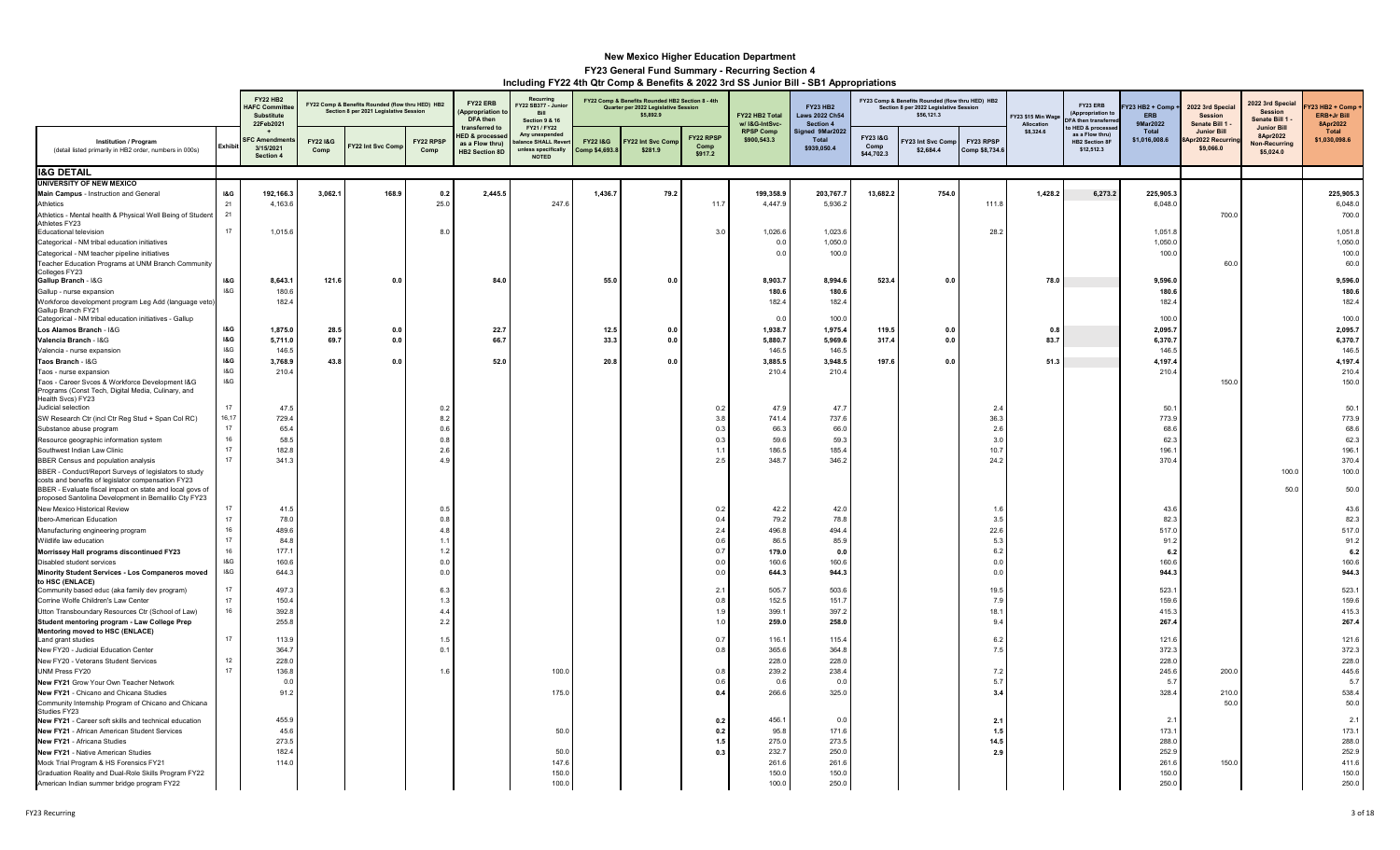|                                                                                                                                                                         |                | <b>FY22 HB2</b><br><b>HAFC Commit</b><br>Substitute<br>22Feb2021 |                 | FY22 Comp & Benefits Rounded (flow thru HED) HB2<br>Section 8 per 2021 Legislative Session |                   | FY22 ERB<br>Appropriation<br><b>DFA</b> then                                            | Recurring<br>Y22 SB377 - Junio<br>Bill<br><b>Section 9 &amp; 16</b>                      |                                      | FY22 Comp & Benefits Rounded HB2 Section 8 - 4th<br>Quarter per 2022 Legislative Session<br>\$5,892.9 |                                     | FY22 HB2 Total<br>w/ I&G-IntSvc- | <b>FY23 HB2</b><br><b>Laws 2022 Ch54</b><br>Section 4 |                               | FY23 Comp & Benefits Rounded (flow thru HED) HB2<br>Section 8 per 2022 Legislative Session<br>\$56,121.3 |                             | FY23 \$15 Min Wage<br>Allocation | FY23 ERB<br>(Appropriation to<br>FA then transferr                       | Y23 HB2 + Comp +<br><b>ERB</b><br>9Mar2022 | 2022 3rd Specia<br><b>Session</b><br>Senate Bill 1 | 2022 3rd Special<br><b>Session</b><br>Senate Bill 1          | <b>723 HB2 + Comp</b><br>ERB+Jr Bill<br>8Apr2022 |
|-------------------------------------------------------------------------------------------------------------------------------------------------------------------------|----------------|------------------------------------------------------------------|-----------------|--------------------------------------------------------------------------------------------|-------------------|-----------------------------------------------------------------------------------------|------------------------------------------------------------------------------------------|--------------------------------------|-------------------------------------------------------------------------------------------------------|-------------------------------------|----------------------------------|-------------------------------------------------------|-------------------------------|----------------------------------------------------------------------------------------------------------|-----------------------------|----------------------------------|--------------------------------------------------------------------------|--------------------------------------------|----------------------------------------------------|--------------------------------------------------------------|--------------------------------------------------|
| <b>Institution / Program</b><br>(detail listed primarily in HB2 order, numbers in 000s)                                                                                 | Exhibi         | FC Amendn<br>3/15/2021<br>Section 4                              | FY221&G<br>Comp | Y22 Int Svc Com                                                                            | FY22 RPSP<br>Comp | transferred to<br><b>IED &amp; processe</b><br>as a Flow thru)<br><b>HB2 Section 8D</b> | FY21 / FY22<br>Any unexpende<br>alance SHALL Reve<br>unless specifically<br><b>NOTED</b> | <b>FY22 I&amp;G</b><br>Comp \$4,693. | Y22 Int Svc Com<br>\$281.9                                                                            | <b>FY22 RPSF</b><br>Comp<br>\$917.2 | <b>RPSP Comp</b><br>\$900,543.3  | ned 9Mar2022<br>Total<br>\$939,050.4                  | FY231&G<br>Comp<br>\$44,702.3 | 23 Int Svc Comp<br>\$2,684.4                                                                             | FY23 RPSP<br>Comp \$8,734.6 | \$8,324.6                        | HED & processe<br>as a Flow thru)<br><b>HB2 Section 8F</b><br>\$12,512.3 | <b>Total</b><br>\$1,016,008.6              | <b>Junior Bill</b><br>or2022 Recurri<br>\$9,066.0  | <b>Junior Bill</b><br>8Apr2022<br>Non-Recurring<br>\$5,024.0 | Total<br>\$1,030,098.6                           |
| <b>I&amp;G DETAIL</b>                                                                                                                                                   |                |                                                                  |                 |                                                                                            |                   |                                                                                         |                                                                                          |                                      |                                                                                                       |                                     |                                  |                                                       |                               |                                                                                                          |                             |                                  |                                                                          |                                            |                                                    |                                                              |                                                  |
| <b>UNIVERSITY OF NEW MEXICO</b>                                                                                                                                         |                |                                                                  |                 |                                                                                            |                   |                                                                                         |                                                                                          |                                      |                                                                                                       |                                     |                                  |                                                       |                               |                                                                                                          |                             |                                  |                                                                          |                                            |                                                    |                                                              |                                                  |
| Main Campus - Instruction and General                                                                                                                                   | <b>1&amp;G</b> | 192,166.3                                                        | 3,062.1         | 168.9                                                                                      | 0.2               | 2,445.5                                                                                 |                                                                                          | 1,436.7                              | 79.2                                                                                                  |                                     | 199,358.9                        | 203,767.7                                             | 13,682.2                      | 754.0                                                                                                    |                             | 1,428.2                          | 6,273.2                                                                  | 225,905.3                                  |                                                    |                                                              | 225,905.3                                        |
| Athletics                                                                                                                                                               | 21<br>21       | 4,163.6                                                          |                 |                                                                                            | 25.0              |                                                                                         | 247.6                                                                                    |                                      |                                                                                                       | 11.7                                | 4,447.9                          | 5,936.2                                               |                               |                                                                                                          | 111.8                       |                                  |                                                                          | 6,048.0                                    |                                                    |                                                              | 6,048.0                                          |
| Athletics - Mental health & Physical Well Being of Student<br>Athletes FY23<br><b>Educational television</b>                                                            | 17             | 1,015.6                                                          |                 |                                                                                            | 8.0               |                                                                                         |                                                                                          |                                      |                                                                                                       | 3.0                                 | 1,026.6                          | 1,023.6                                               |                               |                                                                                                          | 28.2                        |                                  |                                                                          | 1,051.8                                    | 700.0                                              |                                                              | 700.0<br>1,051.8                                 |
| Categorical - NM tribal education initiatives                                                                                                                           |                |                                                                  |                 |                                                                                            |                   |                                                                                         |                                                                                          |                                      |                                                                                                       |                                     | 0.0                              | 1,050.0                                               |                               |                                                                                                          |                             |                                  |                                                                          | 1,050.0                                    |                                                    |                                                              | 1,050.0                                          |
| Categorical - NM teacher pipeline initiatives                                                                                                                           |                |                                                                  |                 |                                                                                            |                   |                                                                                         |                                                                                          |                                      |                                                                                                       |                                     | 0.0                              | 100.0                                                 |                               |                                                                                                          |                             |                                  |                                                                          | 100.0                                      |                                                    |                                                              | 100.0                                            |
| Teacher Education Programs at UNM Branch Community                                                                                                                      |                |                                                                  |                 |                                                                                            |                   |                                                                                         |                                                                                          |                                      |                                                                                                       |                                     |                                  |                                                       |                               |                                                                                                          |                             |                                  |                                                                          |                                            | 60.0                                               |                                                              | 60.0                                             |
| Colleges FY23<br>Gallup Branch - I&G                                                                                                                                    | <b>1&amp;G</b> | 8,643.1                                                          | 121.6           | 0.0                                                                                        |                   | 84.                                                                                     |                                                                                          | 55.0                                 | 0.0                                                                                                   |                                     | 8,903.7                          | 8,994.6                                               | 523.4                         | 0.0                                                                                                      |                             | 78.0                             |                                                                          | 9,596.0                                    |                                                    |                                                              | 9,596.0                                          |
| Gallup - nurse expansion                                                                                                                                                | 18G            | 180.6                                                            |                 |                                                                                            |                   |                                                                                         |                                                                                          |                                      |                                                                                                       |                                     | 180.6                            | 180.6                                                 |                               |                                                                                                          |                             |                                  |                                                                          | 180.6                                      |                                                    |                                                              | 180.6                                            |
| Workforce development program Leg Add (language veto                                                                                                                    |                | 182.4                                                            |                 |                                                                                            |                   |                                                                                         |                                                                                          |                                      |                                                                                                       |                                     | 182.4                            | 182.4                                                 |                               |                                                                                                          |                             |                                  |                                                                          | 182.4                                      |                                                    |                                                              | 182.4                                            |
| Gallup Branch FY21<br>Categorical - NM tribal education initiatives - Gallup                                                                                            |                |                                                                  |                 |                                                                                            |                   |                                                                                         |                                                                                          |                                      |                                                                                                       |                                     | 0.0                              | 100.0                                                 |                               |                                                                                                          |                             |                                  |                                                                          | 100.0                                      |                                                    |                                                              | 100.0                                            |
| Los Alamos Branch - I&G                                                                                                                                                 | <b>1&amp;G</b> | 1,875.0                                                          | 28.5            | 0.0                                                                                        |                   | 22.                                                                                     |                                                                                          | 12.5                                 | 0.0                                                                                                   |                                     | 1,938.7                          | 1,975.4                                               | 119.                          | 0.0                                                                                                      |                             | 0.8                              |                                                                          | 2,095.7                                    |                                                    |                                                              | 2,095.7                                          |
| Valencia Branch - I&G                                                                                                                                                   | <b>1&amp;G</b> | 5,711.0                                                          | 69.7            | 0.0                                                                                        |                   | 66.7                                                                                    |                                                                                          | 33.3                                 | 0.0                                                                                                   |                                     | 5,880.7                          | 5,969.6                                               | 317.4                         | 0.0                                                                                                      |                             | 83.7                             |                                                                          | 6,370.7                                    |                                                    |                                                              | 6,370.7                                          |
| Valencia - nurse expansion                                                                                                                                              | 18G            | 146.5                                                            |                 |                                                                                            |                   |                                                                                         |                                                                                          |                                      |                                                                                                       |                                     | 146.5                            | 146.5                                                 |                               |                                                                                                          |                             |                                  |                                                                          | 146.5                                      |                                                    |                                                              | 146.5                                            |
| Taos Branch - I&G                                                                                                                                                       | <b>I&amp;G</b> | 3,768.9                                                          | 43.8            | 0.0                                                                                        |                   | 52.0                                                                                    |                                                                                          | 20.8                                 | $0.0\,$                                                                                               |                                     | 3,885.5                          | 3,948.5                                               | 197.6                         | 0.0                                                                                                      |                             | 51.3                             |                                                                          | 4,197.4                                    |                                                    |                                                              | 4,197.4                                          |
| Taos - nurse expansion                                                                                                                                                  | 18G<br>18G     | 210.4                                                            |                 |                                                                                            |                   |                                                                                         |                                                                                          |                                      |                                                                                                       |                                     | 210.4                            | 210.4                                                 |                               |                                                                                                          |                             |                                  |                                                                          | 210.4                                      |                                                    |                                                              | 210.4                                            |
| Taos - Career Svces & Workforce Development I&G<br>Programs (Const Tech, Digital Media, Culinary, and                                                                   |                |                                                                  |                 |                                                                                            |                   |                                                                                         |                                                                                          |                                      |                                                                                                       |                                     |                                  |                                                       |                               |                                                                                                          |                             |                                  |                                                                          |                                            | 150.0                                              |                                                              | 150.0                                            |
| Health Svcs) FY23                                                                                                                                                       |                |                                                                  |                 |                                                                                            |                   |                                                                                         |                                                                                          |                                      |                                                                                                       |                                     |                                  |                                                       |                               |                                                                                                          |                             |                                  |                                                                          |                                            |                                                    |                                                              |                                                  |
| Judicial selection                                                                                                                                                      | 17<br>16,17    | 47.5<br>729.4                                                    |                 |                                                                                            | $0$ :<br>8.3      |                                                                                         |                                                                                          |                                      |                                                                                                       | 0.2<br>3.8                          | 47.9<br>741.4                    | 47.7<br>737.6                                         |                               |                                                                                                          | 2.4<br>36.3                 |                                  |                                                                          | 50.1                                       |                                                    |                                                              | 50.1                                             |
| SW Research Ctr (incl Ctr Reg Stud + Span Col RC)<br>Substance abuse program                                                                                            | 17             | 65.4                                                             |                 |                                                                                            | 0.6               |                                                                                         |                                                                                          |                                      |                                                                                                       | 0.3                                 | 66.3                             | 66.0                                                  |                               |                                                                                                          | 2.6                         |                                  |                                                                          | 773.9<br>68.6                              |                                                    |                                                              | 773.9<br>68.6                                    |
| Resource geographic information system                                                                                                                                  | 16             | 58.5                                                             |                 |                                                                                            | 0.8               |                                                                                         |                                                                                          |                                      |                                                                                                       | 0.3                                 | 59.6                             | 59.3                                                  |                               |                                                                                                          | 3.0                         |                                  |                                                                          | 62.3                                       |                                                    |                                                              | 62.3                                             |
| Southwest Indian Law Clinic                                                                                                                                             | 17             | 182.8                                                            |                 |                                                                                            | 2.6               |                                                                                         |                                                                                          |                                      |                                                                                                       | $\sim$ 1.1                          | 186.5                            | 185.4                                                 |                               |                                                                                                          | 10.7                        |                                  |                                                                          | 196.1                                      |                                                    |                                                              | 196.1                                            |
| BBER Census and population analysis                                                                                                                                     |                | 341.3                                                            |                 |                                                                                            | $\overline{4}$    |                                                                                         |                                                                                          |                                      |                                                                                                       | 2.5                                 | 348.7                            | 346.2                                                 |                               |                                                                                                          | 24.2                        |                                  |                                                                          | 370.4                                      |                                                    |                                                              | 370.4                                            |
| BBER - Conduct/Report Surveys of legislators to study                                                                                                                   |                |                                                                  |                 |                                                                                            |                   |                                                                                         |                                                                                          |                                      |                                                                                                       |                                     |                                  |                                                       |                               |                                                                                                          |                             |                                  |                                                                          |                                            |                                                    | 100.0                                                        | 100.0                                            |
| costs and benefits of legislator compensation FY23<br>BBER - Evaluate fiscal impact on state and local govs of<br>proposed Santolina Development in Bernalillo Cty FY23 |                |                                                                  |                 |                                                                                            |                   |                                                                                         |                                                                                          |                                      |                                                                                                       |                                     |                                  |                                                       |                               |                                                                                                          |                             |                                  |                                                                          |                                            |                                                    | 50.0                                                         | 50.0                                             |
| New Mexico Historical Review                                                                                                                                            |                | 41.                                                              |                 |                                                                                            | $\Omega$          |                                                                                         |                                                                                          |                                      |                                                                                                       | 0.2                                 | 42.2                             | 42.0                                                  |                               |                                                                                                          | 1.6                         |                                  |                                                                          | 43.6                                       |                                                    |                                                              | 43.6                                             |
| Ibero-American Education                                                                                                                                                | 17             | 78.0                                                             |                 |                                                                                            | $^{\circ}$        |                                                                                         |                                                                                          |                                      |                                                                                                       | $\Omega$                            | 79.2                             | 78.8                                                  |                               |                                                                                                          | 3.5                         |                                  |                                                                          | 82.3                                       |                                                    |                                                              | 82.3                                             |
| Manufacturing engineering program                                                                                                                                       | 16             | 489.6                                                            |                 |                                                                                            | 4.8               |                                                                                         |                                                                                          |                                      |                                                                                                       | 2.4                                 | 496.8                            | 494.4                                                 |                               |                                                                                                          | 22.6                        |                                  |                                                                          | 517.0                                      |                                                    |                                                              | 517.0                                            |
| Wildlife law education                                                                                                                                                  | 17<br>16       | 84.8                                                             |                 |                                                                                            | $1$ :             |                                                                                         |                                                                                          |                                      |                                                                                                       | 0.6                                 | 86.5                             | 85.9                                                  |                               |                                                                                                          | 5.3                         |                                  |                                                                          | 91.2                                       |                                                    |                                                              | 91.2                                             |
| Morrissey Hall programs discontinued FY23<br>Disabled student services                                                                                                  | 18G            | 177.1<br>160.6                                                   |                 |                                                                                            | 1.2<br>0.0        |                                                                                         |                                                                                          |                                      |                                                                                                       | 0.7<br>0.0                          | 179.0<br>160.6                   | 0.0<br>160.6                                          |                               |                                                                                                          | 6.2<br>0.0                  |                                  |                                                                          | 6.2<br>160.6                               |                                                    |                                                              | 6.2<br>160.6                                     |
| Minority Student Services - Los Companeros moved                                                                                                                        | 18G            | 644.3                                                            |                 |                                                                                            | 0.0               |                                                                                         |                                                                                          |                                      |                                                                                                       | 0.0                                 | 644.3                            | 944.3                                                 |                               |                                                                                                          | 0.0                         |                                  |                                                                          | 944.3                                      |                                                    |                                                              | 944.3                                            |
| to HSC (ENLACE)                                                                                                                                                         | 17             |                                                                  |                 |                                                                                            |                   |                                                                                         |                                                                                          |                                      |                                                                                                       |                                     |                                  |                                                       |                               |                                                                                                          |                             |                                  |                                                                          |                                            |                                                    |                                                              |                                                  |
| Community based educ (aka family dev program)<br>Corrine Wolfe Children's Law Center                                                                                    | 17             | 497.3<br>150.4                                                   |                 |                                                                                            | 6.3<br>1:         |                                                                                         |                                                                                          |                                      |                                                                                                       | 2.1<br>0.8                          | 505.7<br>152.5                   | 503.6<br>151.7                                        |                               |                                                                                                          | 19.5<br>7.9                 |                                  |                                                                          | 523.1<br>159.6                             |                                                    |                                                              | 523.1<br>159.6                                   |
| Utton Transboundary Resources Ctr (School of Law)                                                                                                                       | 16             | 392.8                                                            |                 |                                                                                            | 4.4               |                                                                                         |                                                                                          |                                      |                                                                                                       | 1.9                                 | 399.1                            | 397.2                                                 |                               |                                                                                                          | 18.1                        |                                  |                                                                          | 415.3                                      |                                                    |                                                              | 415.3                                            |
| Student mentoring program - Law College Prep                                                                                                                            |                | 255.8                                                            |                 |                                                                                            | 2.2               |                                                                                         |                                                                                          |                                      |                                                                                                       | 1.0                                 | 259.0                            | 258.0                                                 |                               |                                                                                                          | 9.4                         |                                  |                                                                          | 267.4                                      |                                                    |                                                              | 267.4                                            |
| Mentoring moved to HSC (ENLACE)                                                                                                                                         | 17             |                                                                  |                 |                                                                                            |                   |                                                                                         |                                                                                          |                                      |                                                                                                       |                                     |                                  |                                                       |                               |                                                                                                          |                             |                                  |                                                                          |                                            |                                                    |                                                              |                                                  |
| Land grant studies                                                                                                                                                      |                | 113.9<br>364.7                                                   |                 |                                                                                            | 1.5<br>0.1        |                                                                                         |                                                                                          |                                      |                                                                                                       | 0.7<br>0.8                          | 116.1<br>365.6                   | 115.4<br>364.8                                        |                               |                                                                                                          | 6.2<br>7.5                  |                                  |                                                                          | 121.6<br>372.3                             |                                                    |                                                              | 121.6<br>372.3                                   |
| New FY20 - Judicial Education Center<br>New FY20 - Veterans Student Services                                                                                            | 12             | 228.0                                                            |                 |                                                                                            |                   |                                                                                         |                                                                                          |                                      |                                                                                                       |                                     | 228.0                            | 228.0                                                 |                               |                                                                                                          |                             |                                  |                                                                          | 228.0                                      |                                                    |                                                              | 228.0                                            |
| UNM Press FY20                                                                                                                                                          | 17             | 136.8                                                            |                 |                                                                                            | 16                |                                                                                         | 100.1                                                                                    |                                      |                                                                                                       | 0.8                                 | 239.2                            | 238.4                                                 |                               |                                                                                                          | 72                          |                                  |                                                                          | 245.6                                      | 200.0                                              |                                                              | 445.6                                            |
| New FY21 Grow Your Own Teacher Network                                                                                                                                  |                | 0.0                                                              |                 |                                                                                            |                   |                                                                                         |                                                                                          |                                      |                                                                                                       | 0.6                                 | 0.6                              | 0.0                                                   |                               |                                                                                                          | 5.7                         |                                  |                                                                          | 5.7                                        |                                                    |                                                              | 5.7                                              |
| New FY21 - Chicano and Chicana Studies                                                                                                                                  |                | 91.2                                                             |                 |                                                                                            |                   |                                                                                         | 175.0                                                                                    |                                      |                                                                                                       | 0.4                                 | 266.6                            | 325.0                                                 |                               |                                                                                                          | 3.4                         |                                  |                                                                          | 328.4                                      | 210.0                                              |                                                              | 538.4                                            |
| Community Internship Program of Chicano and Chicana<br>Studies FY23                                                                                                     |                |                                                                  |                 |                                                                                            |                   |                                                                                         |                                                                                          |                                      |                                                                                                       |                                     |                                  |                                                       |                               |                                                                                                          |                             |                                  |                                                                          |                                            | 50.0                                               |                                                              | 50.0                                             |
| New FY21 - Career soft skills and technical education                                                                                                                   |                | 455.9                                                            |                 |                                                                                            |                   |                                                                                         |                                                                                          |                                      |                                                                                                       | 0.2                                 | 456.1                            | 0.0                                                   |                               |                                                                                                          | 2.1                         |                                  |                                                                          | 2.1                                        |                                                    |                                                              | 2.1                                              |
| New FY21 - African American Student Services<br>New FY21 - Africana Studies                                                                                             |                | 45.6<br>273.5                                                    |                 |                                                                                            |                   |                                                                                         | 50.0                                                                                     |                                      |                                                                                                       | 0.2<br>$\overline{1}$               | 95.8<br>275.0                    | 171.6<br>273.5                                        |                               |                                                                                                          | 1.5<br>14.5                 |                                  |                                                                          | 173.1<br>288.0                             |                                                    |                                                              | 173.1<br>288.0                                   |
| New FY21 - Native American Studies                                                                                                                                      |                | 182.4                                                            |                 |                                                                                            |                   |                                                                                         | 50.0                                                                                     |                                      |                                                                                                       | 0.3                                 | 232.7                            | 250.0                                                 |                               |                                                                                                          | 2.9                         |                                  |                                                                          | 252.9                                      |                                                    |                                                              | 252.9                                            |
| Mock Trial Program & HS Forensics FY21                                                                                                                                  |                | 114.0                                                            |                 |                                                                                            |                   |                                                                                         | 147.6                                                                                    |                                      |                                                                                                       |                                     | 261.6                            | 261.6                                                 |                               |                                                                                                          |                             |                                  |                                                                          | 261.6                                      | 150.0                                              |                                                              | 411.6                                            |
| Graduation Reality and Dual-Role Skills Program FY22                                                                                                                    |                |                                                                  |                 |                                                                                            |                   |                                                                                         | 150.0                                                                                    |                                      |                                                                                                       |                                     | 150.0                            | 150.0                                                 |                               |                                                                                                          |                             |                                  |                                                                          | 150.0                                      |                                                    |                                                              | 150.0                                            |
| American Indian summer bridge program FY22                                                                                                                              |                |                                                                  |                 |                                                                                            |                   |                                                                                         | 100.0                                                                                    |                                      |                                                                                                       |                                     | 100.0                            | 250.0                                                 |                               |                                                                                                          |                             |                                  |                                                                          | 250.0                                      |                                                    |                                                              | 250.0                                            |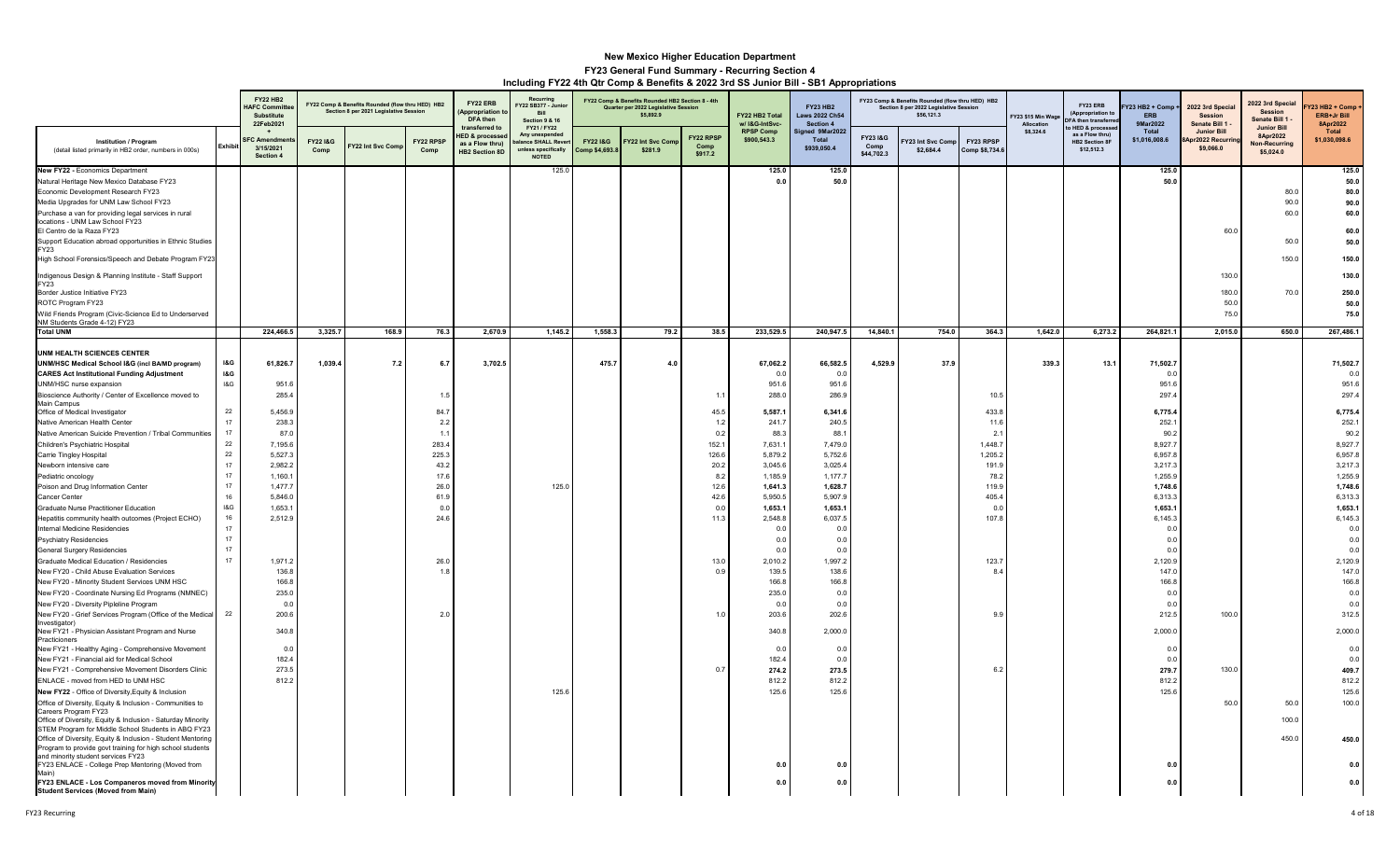|                                                                                                                                   |                | <b>FY22 HB2</b><br><b>HAFC Commit</b><br>Substitute<br>22Feb2021 |                  | FY22 Comp & Benefits Rounded (flow thru HED) HB2<br>Section 8 per 2021 Legislative Session |                   | FY22 ERB<br>Appropriation<br>DFA then<br>transferred to               | Recurring<br>-<br>Y22 SB377 - Junio<br>Bill<br>Section 9 & 16<br>FY21 / FY22 |                                      | FY22 Comp & Benefits Rounded HB2 Section 8 - 4th<br>Quarter per 2022 Legislative Session<br>\$5,892.9 |                              | FY22 HB2 Total<br>w/ I&G-IntSvc- | <b>FY23 HB2</b><br><b>Laws 2022 Ch54</b><br>Section 4 |                               | FY23 Comp & Benefits Rounded (flow thru HED) HB2<br>Section 8 per 2022 Legislative Session<br>\$56,121.3 |                             | FY23 \$15 Min Wag<br>Allocation | FY23 ERB<br>(Appropriation t<br>FA then transferr<br>HED & processe | $Y23$ HB2 + Comp $\cdot$<br><b>ERB</b><br><b>9Mar2022</b> | 2022 3rd Special<br><b>Session</b><br>Senate Bill 1 | 2022 3rd Specia<br>Session<br>Senate Bill 1 -<br><b>Junior Bill</b> | Y23 HB2 + Comp<br>ERB+Jr Bill<br>8Apr2022 |
|-----------------------------------------------------------------------------------------------------------------------------------|----------------|------------------------------------------------------------------|------------------|--------------------------------------------------------------------------------------------|-------------------|-----------------------------------------------------------------------|------------------------------------------------------------------------------|--------------------------------------|-------------------------------------------------------------------------------------------------------|------------------------------|----------------------------------|-------------------------------------------------------|-------------------------------|----------------------------------------------------------------------------------------------------------|-----------------------------|---------------------------------|---------------------------------------------------------------------|-----------------------------------------------------------|-----------------------------------------------------|---------------------------------------------------------------------|-------------------------------------------|
| Institution / Program<br>(detail listed primarily in HB2 order, numbers in 000s)                                                  |                | <b>FC Amendi</b><br>3/15/2021<br>Section 4                       | FY22 I&G<br>Comp | Y22 Int Svc Comp                                                                           | FY22 RPSP<br>Comp | <b>HED &amp; processe</b><br>as a Flow thru)<br><b>HB2 Section 8D</b> | Any unexpende<br>alance SHALL Reve<br>unless specifically<br><b>NOTED</b>    | <b>FY22 1&amp;G</b><br>Comp \$4,693. | Y22 Int Svc Com<br>\$281.9                                                                            | FY22 RPSP<br>Comp<br>\$917.2 | <b>RPSP Comp</b><br>\$900,543.3  | Signed 9Mar2022<br>Total<br>\$939,050.4               | FY231&G<br>Comp<br>\$44,702.3 | Y23 Int Syc Comp<br>\$2,684.4                                                                            | FY23 RPSP<br>Comp \$8,734.6 | \$8,324.6                       | as a Flow thrul<br><b>HB2 Section 8F</b><br>\$12,512.3              | Total<br>\$1,016,008.6                                    | <b>Junior Bill</b><br>pr2022 Recurri<br>\$9,066.0   | 8Apr2022<br>Non-Recurring<br>\$5,024.0                              | Total<br>\$1,030,098.6                    |
| New FY22 - Economics Department                                                                                                   |                |                                                                  |                  |                                                                                            |                   |                                                                       | 125.0                                                                        |                                      |                                                                                                       |                              | 125.0                            | 125.0                                                 |                               |                                                                                                          |                             |                                 |                                                                     | 125.0                                                     |                                                     |                                                                     | 125.0                                     |
| Natural Heritage New Mexico Database FY23                                                                                         |                |                                                                  |                  |                                                                                            |                   |                                                                       |                                                                              |                                      |                                                                                                       |                              | 0.0                              | 50.0                                                  |                               |                                                                                                          |                             |                                 |                                                                     | 50.0                                                      |                                                     |                                                                     | 50.0                                      |
| Economic Development Research FY23                                                                                                |                |                                                                  |                  |                                                                                            |                   |                                                                       |                                                                              |                                      |                                                                                                       |                              |                                  |                                                       |                               |                                                                                                          |                             |                                 |                                                                     |                                                           |                                                     | 80.0                                                                | 80.0                                      |
| Media Upgrades for UNM Law School FY23<br>Purchase a van for providing legal services in rural<br>locations - UNM Law School FY23 |                |                                                                  |                  |                                                                                            |                   |                                                                       |                                                                              |                                      |                                                                                                       |                              |                                  |                                                       |                               |                                                                                                          |                             |                                 |                                                                     |                                                           |                                                     | 90.0<br>60.0                                                        | 90.0<br>60.0                              |
| El Centro de la Raza FY23                                                                                                         |                |                                                                  |                  |                                                                                            |                   |                                                                       |                                                                              |                                      |                                                                                                       |                              |                                  |                                                       |                               |                                                                                                          |                             |                                 |                                                                     |                                                           | 60.0                                                |                                                                     | 60.0                                      |
| Support Education abroad opportunities in Ethnic Studies<br><b>FY23</b>                                                           |                |                                                                  |                  |                                                                                            |                   |                                                                       |                                                                              |                                      |                                                                                                       |                              |                                  |                                                       |                               |                                                                                                          |                             |                                 |                                                                     |                                                           |                                                     | 50.0                                                                | 50.0                                      |
| High School Forensics/Speech and Debate Program FY23                                                                              |                |                                                                  |                  |                                                                                            |                   |                                                                       |                                                                              |                                      |                                                                                                       |                              |                                  |                                                       |                               |                                                                                                          |                             |                                 |                                                                     |                                                           |                                                     | 150.0                                                               | 150.0                                     |
| Indigenous Design & Planning Institute - Staff Support                                                                            |                |                                                                  |                  |                                                                                            |                   |                                                                       |                                                                              |                                      |                                                                                                       |                              |                                  |                                                       |                               |                                                                                                          |                             |                                 |                                                                     |                                                           | 130.0                                               |                                                                     | 130.0                                     |
| FY23<br>Border Justice Initiative FY23                                                                                            |                |                                                                  |                  |                                                                                            |                   |                                                                       |                                                                              |                                      |                                                                                                       |                              |                                  |                                                       |                               |                                                                                                          |                             |                                 |                                                                     |                                                           | 180.0                                               | 70.0                                                                |                                           |
| ROTC Program FY23                                                                                                                 |                |                                                                  |                  |                                                                                            |                   |                                                                       |                                                                              |                                      |                                                                                                       |                              |                                  |                                                       |                               |                                                                                                          |                             |                                 |                                                                     |                                                           | 50.0                                                |                                                                     | 250.0<br>50.0                             |
| Wild Friends Program (Civic-Science Ed to Underserved                                                                             |                |                                                                  |                  |                                                                                            |                   |                                                                       |                                                                              |                                      |                                                                                                       |                              |                                  |                                                       |                               |                                                                                                          |                             |                                 |                                                                     |                                                           | 75.0                                                |                                                                     | 75.0                                      |
| NM Students Grade 4-12) FY23<br><b>Total UNM</b>                                                                                  |                | 224,466.5                                                        | 3,325.7          | 168.9                                                                                      | 76.3              | 2,670.9                                                               | 1,145.2                                                                      | 1,558.3                              | 79.2                                                                                                  | 38.5                         | 233,529.5                        | 240,947.5                                             | 14,840.1                      | 754.0                                                                                                    | 364.3                       | 1,642.0                         | 6,273.2                                                             | 264,821.1                                                 | 2,015.0                                             | 650.0                                                               | 267,486.1                                 |
|                                                                                                                                   |                |                                                                  |                  |                                                                                            |                   |                                                                       |                                                                              |                                      |                                                                                                       |                              |                                  |                                                       |                               |                                                                                                          |                             |                                 |                                                                     |                                                           |                                                     |                                                                     |                                           |
| <b>UNM HEALTH SCIENCES CENTER</b>                                                                                                 |                |                                                                  |                  |                                                                                            |                   |                                                                       |                                                                              |                                      |                                                                                                       |                              |                                  |                                                       |                               |                                                                                                          |                             |                                 |                                                                     |                                                           |                                                     |                                                                     |                                           |
| UNM/HSC Medical School I&G (incl BA/MD program)                                                                                   | <b>1&amp;G</b> | 61,826.7                                                         | 1,039.4          | 7.2                                                                                        | 6.7               | 3,702.5                                                               |                                                                              | 475.7                                | 4.0                                                                                                   |                              | 67,062.2                         | 66,582.5                                              | 4,529.9                       | 37.9                                                                                                     |                             | 339.3                           | 13.1                                                                | 71,502.7                                                  |                                                     |                                                                     | 71,502.7                                  |
| <b>CARES Act Institutional Funding Adjustment</b>                                                                                 | <b>I&amp;G</b> |                                                                  |                  |                                                                                            |                   |                                                                       |                                                                              |                                      |                                                                                                       |                              | 0.0                              | 0.0                                                   |                               |                                                                                                          |                             |                                 |                                                                     | 0.0                                                       |                                                     |                                                                     | 0.0                                       |
| UNM/HSC nurse expansion                                                                                                           | 18G            | 951.6                                                            |                  |                                                                                            |                   |                                                                       |                                                                              |                                      |                                                                                                       |                              | 951.6                            | 951.6                                                 |                               |                                                                                                          |                             |                                 |                                                                     | 951.6                                                     |                                                     |                                                                     | 951.6                                     |
| Bioscience Authority / Center of Excellence moved to                                                                              |                | 285.4                                                            |                  |                                                                                            | 1.5               |                                                                       |                                                                              |                                      |                                                                                                       | 1.1                          | 288.0                            | 286.9                                                 |                               |                                                                                                          | 10.5                        |                                 |                                                                     | 297.4                                                     |                                                     |                                                                     | 297.4                                     |
| Main Campus<br>Office of Medical Investigator                                                                                     | 22             | 5,456.9                                                          |                  |                                                                                            | 84.7              |                                                                       |                                                                              |                                      |                                                                                                       | 45.5                         | 5,587.1                          | 6,341.6                                               |                               |                                                                                                          | 433.8                       |                                 |                                                                     | 6,775.4                                                   |                                                     |                                                                     | 6,775.4                                   |
| Native American Health Center                                                                                                     | 17             | 238.3                                                            |                  |                                                                                            | 2.2               |                                                                       |                                                                              |                                      |                                                                                                       | 1.2                          | 241.7                            | 240.5                                                 |                               |                                                                                                          | 11.6                        |                                 |                                                                     | 252.1                                                     |                                                     |                                                                     | 252.1                                     |
| Native American Suicide Prevention / Tribal Communities                                                                           | 17             | 87.                                                              |                  |                                                                                            | 1.1               |                                                                       |                                                                              |                                      |                                                                                                       | 0.2                          | 88.3                             | 88.1                                                  |                               |                                                                                                          | 2.1                         |                                 |                                                                     | 90.2                                                      |                                                     |                                                                     | 90.2                                      |
| Children's Psychiatric Hospital                                                                                                   | 22             | 7,195.6                                                          |                  |                                                                                            | 283.4             |                                                                       |                                                                              |                                      |                                                                                                       | 152.1                        | 7,631.1                          | 7,479.0                                               |                               |                                                                                                          | 1,448.7                     |                                 |                                                                     | 8,927.7                                                   |                                                     |                                                                     | 8,927.7                                   |
| Carrie Tingley Hospital                                                                                                           | 22             | 5,527.3                                                          |                  |                                                                                            | 225.3             |                                                                       |                                                                              |                                      |                                                                                                       | 126.6                        | 5,879.2                          | 5,752.6                                               |                               |                                                                                                          | 1,205.2                     |                                 |                                                                     | 6,957.8                                                   |                                                     |                                                                     | 6,957.8                                   |
| Newborn intensive care                                                                                                            | 17             | 2,982.2                                                          |                  |                                                                                            | 43.2              |                                                                       |                                                                              |                                      |                                                                                                       | 20.2                         | 3,045.6                          | 3,025.4                                               |                               |                                                                                                          | 191.9                       |                                 |                                                                     | 3,217.3                                                   |                                                     |                                                                     | 3,217.3                                   |
| Pediatric oncology                                                                                                                | 17             | 1,160.                                                           |                  |                                                                                            | 17.6              |                                                                       |                                                                              |                                      |                                                                                                       | 8.2                          | 1,185.9                          | 1,177.7                                               |                               |                                                                                                          | 78.2                        |                                 |                                                                     | 1,255.9                                                   |                                                     |                                                                     | 1,255.9                                   |
| Poison and Drug Information Center                                                                                                | 17             | 1,477.7                                                          |                  |                                                                                            | 26.0              |                                                                       | 125.0                                                                        |                                      |                                                                                                       | 12.6                         | 1,641.3                          | 1,628.7                                               |                               |                                                                                                          | 119.9                       |                                 |                                                                     | 1,748.6                                                   |                                                     |                                                                     | 1,748.6                                   |
| Cancer Center                                                                                                                     | 16             | 5.846.0                                                          |                  |                                                                                            | 61.9              |                                                                       |                                                                              |                                      |                                                                                                       | 42.6                         | 5,950.5                          | 5,907.9                                               |                               |                                                                                                          | 405.4                       |                                 |                                                                     | 6,313.3                                                   |                                                     |                                                                     | 6,313.3                                   |
| Graduate Nurse Practitioner Education                                                                                             | 18G            | 1,653.                                                           |                  |                                                                                            | 0.0               |                                                                       |                                                                              |                                      |                                                                                                       | 0.0                          | 1,653.1                          | 1,653.1                                               |                               |                                                                                                          | 0.0                         |                                 |                                                                     | 1,653.1                                                   |                                                     |                                                                     | 1,653.1                                   |
| Hepatitis community health outcomes (Project ECHO)                                                                                | 16             | 2,512.9                                                          |                  |                                                                                            | 24.6              |                                                                       |                                                                              |                                      |                                                                                                       | 11.3                         | 2,548.8                          | 6,037.5                                               |                               |                                                                                                          | 107.8                       |                                 |                                                                     | 6,145.3                                                   |                                                     |                                                                     | 6,145.3                                   |
| Internal Medicine Residencies                                                                                                     | 17<br>17       |                                                                  |                  |                                                                                            |                   |                                                                       |                                                                              |                                      |                                                                                                       |                              | 0.0                              | 0.0<br>0 <sub>0</sub>                                 |                               |                                                                                                          |                             |                                 |                                                                     | 0.0                                                       |                                                     |                                                                     | 0.0                                       |
| Psychiatry Residencies                                                                                                            | 17             |                                                                  |                  |                                                                                            |                   |                                                                       |                                                                              |                                      |                                                                                                       |                              | 0.0<br>0.0                       | 0.0                                                   |                               |                                                                                                          |                             |                                 |                                                                     | 0.0<br>0.0                                                |                                                     |                                                                     | 0.0<br>0.0                                |
| <b>General Surgery Residencies</b><br>Graduate Medical Education / Residencies                                                    | 17             | 1,971.2                                                          |                  |                                                                                            | 26.0              |                                                                       |                                                                              |                                      |                                                                                                       | 13.0                         | 2,010.2                          | 1,997.2                                               |                               |                                                                                                          | 123.7                       |                                 |                                                                     | 2,120.9                                                   |                                                     |                                                                     | 2,120.9                                   |
| New FY20 - Child Abuse Evaluation Services                                                                                        |                | 136.8                                                            |                  |                                                                                            | 1.8               |                                                                       |                                                                              |                                      |                                                                                                       | 0.9                          | 139.5                            | 138.6                                                 |                               |                                                                                                          | 8.4                         |                                 |                                                                     | 147.0                                                     |                                                     |                                                                     | 147.0                                     |
| New FY20 - Minority Student Services UNM HSC                                                                                      |                | 166.8                                                            |                  |                                                                                            |                   |                                                                       |                                                                              |                                      |                                                                                                       |                              | 166.8                            | 166.8                                                 |                               |                                                                                                          |                             |                                 |                                                                     | 166.8                                                     |                                                     |                                                                     | 166.8                                     |
| New FY20 - Coordinate Nursing Ed Programs (NMNEC)                                                                                 |                | 235.0                                                            |                  |                                                                                            |                   |                                                                       |                                                                              |                                      |                                                                                                       |                              | 235.0                            | 0.0                                                   |                               |                                                                                                          |                             |                                 |                                                                     | 0.0                                                       |                                                     |                                                                     | 0.0                                       |
| New FY20 - Diversity Pipleline Program                                                                                            |                | 0.0                                                              |                  |                                                                                            |                   |                                                                       |                                                                              |                                      |                                                                                                       |                              | 0.0                              | 0.0                                                   |                               |                                                                                                          |                             |                                 |                                                                     | 0.0                                                       |                                                     |                                                                     | 0.0                                       |
| New FY20 - Grief Services Program (Office of the Medical                                                                          | 22             | 200.6                                                            |                  |                                                                                            | 2.0               |                                                                       |                                                                              |                                      |                                                                                                       | 1.0                          | 203.6                            | 202.6                                                 |                               |                                                                                                          | 9.9                         |                                 |                                                                     | 212.5                                                     | 100.0                                               |                                                                     | 312.5                                     |
| Investigator)<br>New FY21 - Physician Assistant Program and Nurse                                                                 |                | 340.8                                                            |                  |                                                                                            |                   |                                                                       |                                                                              |                                      |                                                                                                       |                              | 340.8                            | 2,000.0                                               |                               |                                                                                                          |                             |                                 |                                                                     | 2,000.0                                                   |                                                     |                                                                     | 2,000.0                                   |
| Practicioners<br>New FY21 - Healthy Aging - Comprehensive Movement                                                                |                | 0.0                                                              |                  |                                                                                            |                   |                                                                       |                                                                              |                                      |                                                                                                       |                              | 0.0                              | 0.0                                                   |                               |                                                                                                          |                             |                                 |                                                                     | 0.0                                                       |                                                     |                                                                     | 0.0                                       |
| New FY21 - Financial aid for Medical School                                                                                       |                | 182.4                                                            |                  |                                                                                            |                   |                                                                       |                                                                              |                                      |                                                                                                       |                              | 182.4                            | 0.0                                                   |                               |                                                                                                          |                             |                                 |                                                                     | 0.0                                                       |                                                     |                                                                     | 0.0                                       |
| New FY21 - Comprehensive Movement Disorders Clinic                                                                                |                | 273.5                                                            |                  |                                                                                            |                   |                                                                       |                                                                              |                                      |                                                                                                       | 0.7                          | 274.2                            | 273.5                                                 |                               |                                                                                                          | 6.3                         |                                 |                                                                     | 279.7                                                     | 130.0                                               |                                                                     | 409.7                                     |
| ENLACE - moved from HED to UNM HSC                                                                                                |                | 812.2                                                            |                  |                                                                                            |                   |                                                                       |                                                                              |                                      |                                                                                                       |                              | 812.2                            | 812.2                                                 |                               |                                                                                                          |                             |                                 |                                                                     | 812.2                                                     |                                                     |                                                                     | 812.2                                     |
| New FY22 - Office of Diversity, Equity & Inclusion                                                                                |                |                                                                  |                  |                                                                                            |                   |                                                                       | 125.6                                                                        |                                      |                                                                                                       |                              | 125.6                            | 125.6                                                 |                               |                                                                                                          |                             |                                 |                                                                     | 125.6                                                     |                                                     |                                                                     | 125.6                                     |
| Office of Diversity, Equity & Inclusion - Communities to                                                                          |                |                                                                  |                  |                                                                                            |                   |                                                                       |                                                                              |                                      |                                                                                                       |                              |                                  |                                                       |                               |                                                                                                          |                             |                                 |                                                                     |                                                           | 50.0                                                | 50.0                                                                | 100.0                                     |
| Careers Program FY23                                                                                                              |                |                                                                  |                  |                                                                                            |                   |                                                                       |                                                                              |                                      |                                                                                                       |                              |                                  |                                                       |                               |                                                                                                          |                             |                                 |                                                                     |                                                           |                                                     |                                                                     |                                           |
| Office of Diversity, Equity & Inclusion - Saturday Minority                                                                       |                |                                                                  |                  |                                                                                            |                   |                                                                       |                                                                              |                                      |                                                                                                       |                              |                                  |                                                       |                               |                                                                                                          |                             |                                 |                                                                     |                                                           |                                                     | 100.0                                                               |                                           |
| STEM Program for Middle School Students in ABQ FY23<br>Office of Diversity, Equity & Inclusion - Student Mentoring                |                |                                                                  |                  |                                                                                            |                   |                                                                       |                                                                              |                                      |                                                                                                       |                              |                                  |                                                       |                               |                                                                                                          |                             |                                 |                                                                     |                                                           |                                                     | 450.0                                                               | 450.0                                     |
| Program to provide govt training for high school students                                                                         |                |                                                                  |                  |                                                                                            |                   |                                                                       |                                                                              |                                      |                                                                                                       |                              |                                  |                                                       |                               |                                                                                                          |                             |                                 |                                                                     |                                                           |                                                     |                                                                     |                                           |
| and minority student services FY23                                                                                                |                |                                                                  |                  |                                                                                            |                   |                                                                       |                                                                              |                                      |                                                                                                       |                              |                                  |                                                       |                               |                                                                                                          |                             |                                 |                                                                     |                                                           |                                                     |                                                                     |                                           |
| FY23 ENLACE - College Prep Mentoring (Moved from<br>Main)                                                                         |                |                                                                  |                  |                                                                                            |                   |                                                                       |                                                                              |                                      |                                                                                                       |                              | 0.0                              | 0.0                                                   |                               |                                                                                                          |                             |                                 |                                                                     | 0.0                                                       |                                                     |                                                                     | 0.0                                       |
| FY23 ENLACE - Los Companeros moved from Minority                                                                                  |                |                                                                  |                  |                                                                                            |                   |                                                                       |                                                                              |                                      |                                                                                                       |                              | 0.0                              | 0.0                                                   |                               |                                                                                                          |                             |                                 |                                                                     | 0.0                                                       |                                                     |                                                                     | 0.0                                       |
| <b>Student Services (Moved from Main)</b>                                                                                         |                |                                                                  |                  |                                                                                            |                   |                                                                       |                                                                              |                                      |                                                                                                       |                              |                                  |                                                       |                               |                                                                                                          |                             |                                 |                                                                     |                                                           |                                                     |                                                                     |                                           |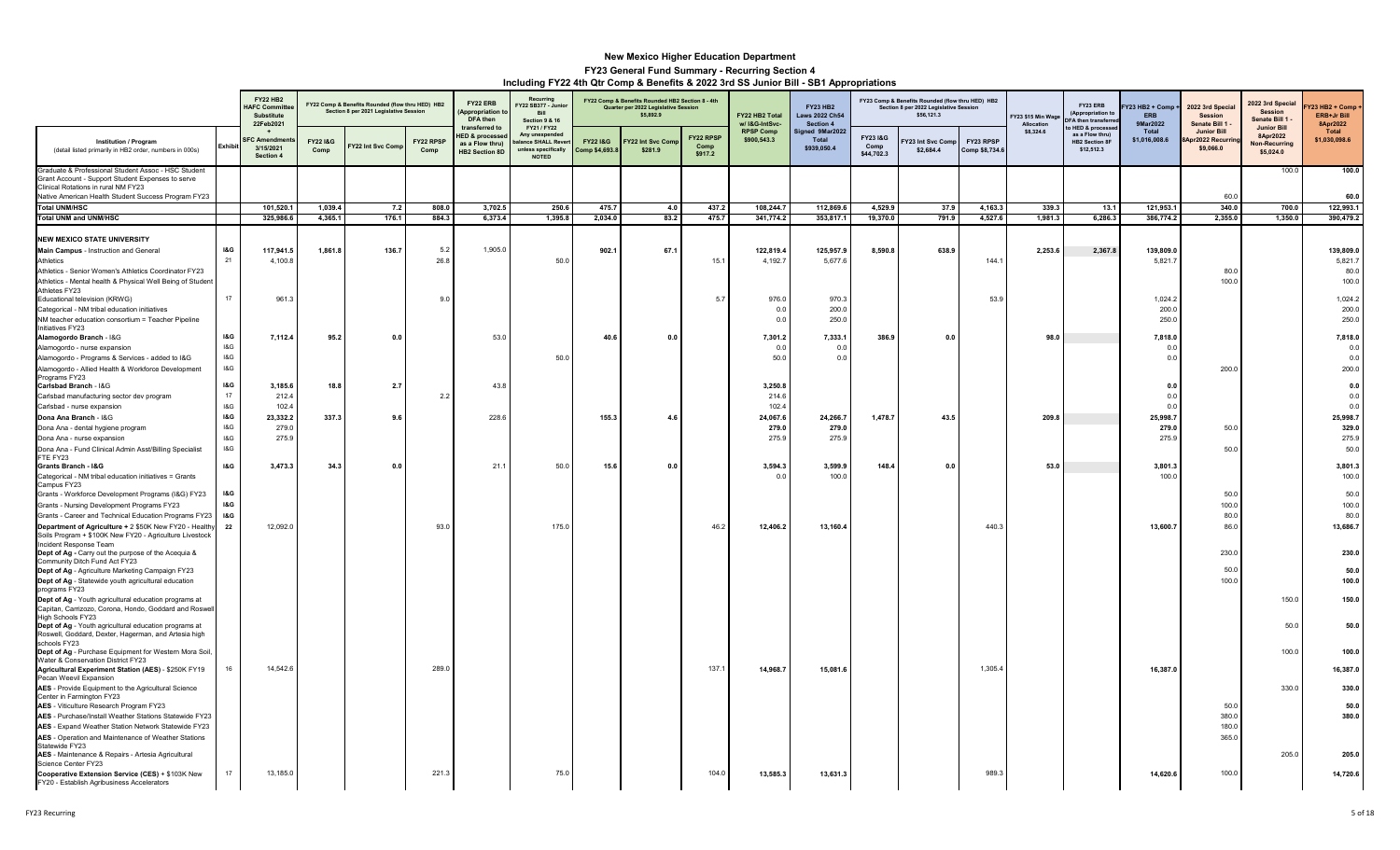|                                                                                                                                                                                                                                                                      |                                        | <b>FY22 HB2</b><br><b>HAFC Committe</b><br>Substitute<br>22Feb2021 |                            | FY22 Comp & Benefits Rounded (flow thru HED) HB2<br>Section 8 per 2021 Legislative Session |                   | FY22 ERB<br>(Appropriation t<br>DFA then                                          | Recurring<br>Y22 SB377 - Junic<br><b>Bill</b><br><b>Section 9 &amp; 16</b><br>FY21 / FY22 |                                       | FY22 Comp & Benefits Rounded HB2 Section 8 - 4th<br>Quarter per 2022 Legislative Session<br>\$5,892.9 |                                     | FY22 HB2 Total<br>w/ I&G-IntSvc- | <b>FY23 HB2</b><br><b>Laws 2022 Ch54</b><br>Section 4 |                               | FY23 Comp & Benefits Rounded (flow thru HED) HB2<br>Section 8 per 2022 Legislative Session<br>\$56,121.3 |                             | Y23 \$15 Min Wage<br>Allocation | FY23 ERB<br>(Appropriation t<br>FA then transferr<br>HED & process | 123 HB2 + Comp +<br><b>ERB</b><br>9Mar2022 | 2022 3rd Special<br><b>Session</b><br>Senate Bill 1 | 2022 3rd Special<br><b>Session</b><br>Senate Bill 1 -               | <b>723 HB2 + Comp</b><br><b>ERB+Jr Bill</b><br>8Apr2022 |
|----------------------------------------------------------------------------------------------------------------------------------------------------------------------------------------------------------------------------------------------------------------------|----------------------------------------|--------------------------------------------------------------------|----------------------------|--------------------------------------------------------------------------------------------|-------------------|-----------------------------------------------------------------------------------|-------------------------------------------------------------------------------------------|---------------------------------------|-------------------------------------------------------------------------------------------------------|-------------------------------------|----------------------------------|-------------------------------------------------------|-------------------------------|----------------------------------------------------------------------------------------------------------|-----------------------------|---------------------------------|--------------------------------------------------------------------|--------------------------------------------|-----------------------------------------------------|---------------------------------------------------------------------|---------------------------------------------------------|
| <b>Institution / Program</b><br>(detail listed primarily in HB2 order, numbers in 000s)                                                                                                                                                                              | Exhibit                                | <b>FC Amendm</b><br>3/15/2021<br>Section 4                         | <b>FY221&amp;G</b><br>Comp | Y22 Int Svc Com                                                                            | FY22 RPSP<br>Comp | transferred to<br><b>IED &amp; processed</b><br>as a Flow thru)<br>HB2 Section 8D | Any unexpende<br>ance SHALL Reve<br>unless specifically<br><b>NOTED</b>                   | <b>FY22 1&amp;G</b><br>Comp \$4,693.8 | Y22 Int Svc Com<br>\$281.9                                                                            | <b>FY22 RPSP</b><br>Comp<br>\$917.2 | <b>RPSP Comp</b><br>\$900,543.3  | Signed 9Mar2022<br><b>Total</b><br>\$939,050.4        | FY231&G<br>Comp<br>\$44,702.3 | Y23 Int Svc Comp<br>\$2,684.4                                                                            | FY23 RPSP<br>Comp \$8,734.6 | \$8,324.6                       | as a Flow thru)<br><b>HB2 Section 8F</b><br>\$12,512.3             | Total<br>\$1,016,008.6                     | <b>Junior Bill</b><br>pr2022 Recurri<br>\$9,066.0   | <b>Junior Bill</b><br>8Apr2022<br><b>Non-Recurring</b><br>\$5,024.0 | Total<br>\$1,030,098.6                                  |
| Graduate & Professional Student Assoc - HSC Student<br>Grant Account - Support Student Expenses to serve<br>Clinical Rotations in rural NM FY23<br>Native American Health Student Success Program FY23                                                               |                                        |                                                                    |                            |                                                                                            |                   |                                                                                   |                                                                                           |                                       |                                                                                                       |                                     |                                  |                                                       |                               |                                                                                                          |                             |                                 |                                                                    |                                            | 60.0                                                | 100.0                                                               | 100.0<br>60.0                                           |
| <b>Total UNM/HSC</b>                                                                                                                                                                                                                                                 |                                        | 101,520.1                                                          | 1,039.4                    | 7.2                                                                                        | 808.0             | 3,702.5                                                                           | 250.6                                                                                     | 475.7                                 | 4.0                                                                                                   | 437.2                               | 108,244.                         | 112,869.6                                             | 4,529.9                       | 37.9                                                                                                     | 4,163.3                     | 339.3                           | 13.1                                                               | 121,953.1                                  | 340.0                                               | 700.0                                                               | 122,993.1                                               |
| <b>Total UNM and UNM/HSC</b>                                                                                                                                                                                                                                         |                                        | 325,986.6                                                          | 4,365.1                    | 176.1                                                                                      | 884.3             | 6,373.4                                                                           | 1,395.8                                                                                   | 2,034.0                               | 83.2                                                                                                  | 475.7                               | 341,774.2                        | 353,817.1                                             | 19,370.0                      | 791.9                                                                                                    | 4,527.6                     | 1,981.3                         | 6,286.3                                                            | 386,774.2                                  | 2,355.0                                             | 1,350.0                                                             | 390,479.2                                               |
| <b>NEW MEXICO STATE UNIVERSITY</b><br>Main Campus - Instruction and General<br>Athletics<br>Athletics - Senior Women's Athletics Coordinator FY23<br>Athletics - Mental health & Physical Well Being of Student<br>Athletes FY23                                     | <b>I&amp;G</b><br>21                   | 117,941.5<br>4,100.8                                               | 1,861.8                    | 136.7                                                                                      | 5.2<br>26.8       | 1,905.0                                                                           | 50.0                                                                                      | 902.1                                 | 67.1                                                                                                  | 15.1                                | 122,819.4<br>4,192.7             | 125,957.9<br>5,677.6                                  | 8,590.8                       | 638.9                                                                                                    | 144.7                       | 2,253.6                         | 2,367.8                                                            | 139,809.0<br>5,821.7                       | 80.0<br>100.0                                       |                                                                     | 139,809.0<br>5,821.7<br>80.0<br>100.0                   |
| Educational television (KRWG)<br>Categorical - NM tribal education initiatives                                                                                                                                                                                       | 17                                     | 961.3                                                              |                            |                                                                                            | 9.0               |                                                                                   |                                                                                           |                                       |                                                                                                       | 5.7                                 | 976.0<br>0.0<br>0.0              | 970.3<br>200.0                                        |                               |                                                                                                          | 53.9                        |                                 |                                                                    | 1,024.2<br>200.0                           |                                                     |                                                                     | 1,024.2<br>200.0<br>250.0                               |
| NM teacher education consortium = Teacher Pipeline<br>Initiatives FY23<br>Alamogordo Branch - I&G<br>Alamogordo - nurse expansion<br>Alamogordo - Programs & Services - added to I&G<br>Alamogordo - Allied Health & Workforce Development<br>Programs FY23          | I&G<br>18G<br>18G<br>18G               | 7,112.4                                                            | 95.2                       | 0.                                                                                         |                   | 53.0                                                                              | 50.0                                                                                      | 40.6                                  | 0.0                                                                                                   |                                     | 7,301.2<br>0.0<br>50.0           | 250.0<br>7,333.1<br>0.0<br>0.0                        | 386.9                         | 0.0                                                                                                      |                             | 98.0                            |                                                                    | 250.0<br>7,818.0<br>0.0<br>0.0             | 200.0                                               |                                                                     | 7,818.0<br>0.0<br>0.0<br>200.0                          |
| Carlsbad Branch - I&G<br>Carlsbad manufacturing sector dev program<br>Carlsbad - nurse expansion                                                                                                                                                                     | <b>1&amp;G</b><br>17<br>18G            | 3,185.6<br>212.4<br>102.4                                          | 18.8                       | 2.7                                                                                        | 2.7               | 43.8                                                                              |                                                                                           |                                       |                                                                                                       |                                     | 3,250.8<br>214.6<br>102.4        |                                                       |                               |                                                                                                          |                             |                                 |                                                                    | 0.0<br>0.0<br>0.0                          |                                                     |                                                                     | 0.0<br>0.0<br>0.0                                       |
| Dona Ana Branch - I&G<br>Dona Ana - dental hygiene program<br>Dona Ana - nurse expansion<br>Dona Ana - Fund Clinical Admin Asst/Billing Specialist<br>FTE FY23                                                                                                       | I&G<br>18G<br>18G<br>18G               | 23,332.2<br>279.0<br>275.9                                         | 337.3                      | 9.6                                                                                        |                   | 228.6                                                                             |                                                                                           | 155.3                                 | 4.6                                                                                                   |                                     | 24,067.6<br>279.0<br>275.9       | 24,266.7<br>279.0<br>275.9                            | 1,478.7                       | 43.5                                                                                                     |                             | 209.8                           |                                                                    | 25,998.7<br>279.0<br>275.9                 | 50.0<br>50.0                                        |                                                                     | 25,998.7<br>329.0<br>275.9<br>50.0                      |
| Grants Branch - I&G<br>Categorical - NM tribal education initiatives = Grants<br>Campus FY23<br>Grants - Workforce Development Programs (I&G) FY23                                                                                                                   | <b>I&amp;G</b><br>I&G                  | 3,473.3                                                            | 34.3                       | 0.0                                                                                        |                   | 21.1                                                                              | 50.0                                                                                      | 15.6                                  | 0.0                                                                                                   |                                     | 3,594.3<br>0.0                   | 3,599.9<br>100.0                                      | 148.4                         | 0.0                                                                                                      |                             | 53.0                            |                                                                    | 3,801.3<br>100.0                           | 50.0                                                |                                                                     | 3,801.3<br>100.0<br>50.0                                |
| Grants - Nursing Development Programs FY23<br>Grants - Career and Technical Education Programs FY23<br>Department of Agriculture + 2 \$50K New FY20 - Healthy<br>Soils Program + \$100K New FY20 - Agriculture Livestock                                             | <b>I&amp;G</b><br><b>1&amp;G</b><br>22 | 12,092.0                                                           |                            |                                                                                            | 93.0              |                                                                                   | 175.0                                                                                     |                                       |                                                                                                       | 46.2                                | 12,406.2                         | 13,160.4                                              |                               |                                                                                                          | 440.3                       |                                 |                                                                    | 13,600.7                                   | 100.0<br>80.0<br>86.0                               |                                                                     | 100.0<br>80.0<br>13,686.7                               |
| Incident Response Team<br>Dept of Ag - Carry out the purpose of the Acequia &<br>Community Ditch Fund Act FY23<br>Dept of Ag - Agriculture Marketing Campaign FY23<br>Dept of Ag - Statewide youth agricultural education<br>programs FY23                           |                                        |                                                                    |                            |                                                                                            |                   |                                                                                   |                                                                                           |                                       |                                                                                                       |                                     |                                  |                                                       |                               |                                                                                                          |                             |                                 |                                                                    |                                            | 230.0<br>50.0<br>100.0                              | 150.0                                                               | 230.0<br>50.0<br>100.0                                  |
| Dept of Ag - Youth agricultural education programs at<br>Capitan, Carrizozo, Corona, Hondo, Goddard and Roswel<br>High Schools FY23<br>Dept of Ag - Youth agricultural education programs at<br>Roswell, Goddard, Dexter, Hagerman, and Artesia high<br>schools FY23 |                                        |                                                                    |                            |                                                                                            |                   |                                                                                   |                                                                                           |                                       |                                                                                                       |                                     |                                  |                                                       |                               |                                                                                                          |                             |                                 |                                                                    |                                            |                                                     | 50.0                                                                | 150.0<br>50.0                                           |
| Dept of Ag - Purchase Equipment for Western Mora Soil,<br>Water & Conservation District FY23<br>Agricultural Experiment Station (AES) - \$250K FY19<br>Pecan Weevil Expansion<br>AES - Provide Equipment to the Agricultural Science                                 |                                        | 14,542.6                                                           |                            |                                                                                            | 289.0             |                                                                                   |                                                                                           |                                       |                                                                                                       | 137.1                               | 14,968.7                         | 15,081.6                                              |                               |                                                                                                          | 1,305.4                     |                                 |                                                                    | 16,387.0                                   |                                                     | 100.0<br>330.0                                                      | 100.0<br>16,387.0<br>330.0                              |
| Center in Farmington FY23<br>AES - Viticulture Research Program FY23<br>AES - Purchase/Install Weather Stations Statewide FY23<br>AES - Expand Weather Station Network Statewide FY23<br>AES - Operation and Maintenance of Weather Stations<br>Statewide FY23       |                                        |                                                                    |                            |                                                                                            |                   |                                                                                   |                                                                                           |                                       |                                                                                                       |                                     |                                  |                                                       |                               |                                                                                                          |                             |                                 |                                                                    |                                            | 50.0<br>380.0<br>180.0<br>365.0                     |                                                                     | 50.0<br>380.0                                           |
| AES - Maintenance & Repairs - Artesia Agricultural<br>Science Center FY23<br>Cooperative Extension Service (CES) + \$103K New<br>FY20 - Establish Agribusiness Accelerators                                                                                          | 17                                     | 13,185.0                                                           |                            |                                                                                            | 221.3             |                                                                                   | 75.0                                                                                      |                                       |                                                                                                       | 104.0                               | 13,585.3                         | 13,631.3                                              |                               |                                                                                                          | 989.3                       |                                 |                                                                    | 14,620.6                                   | 100.0                                               | 205.0                                                               | 205.0<br>14,720.6                                       |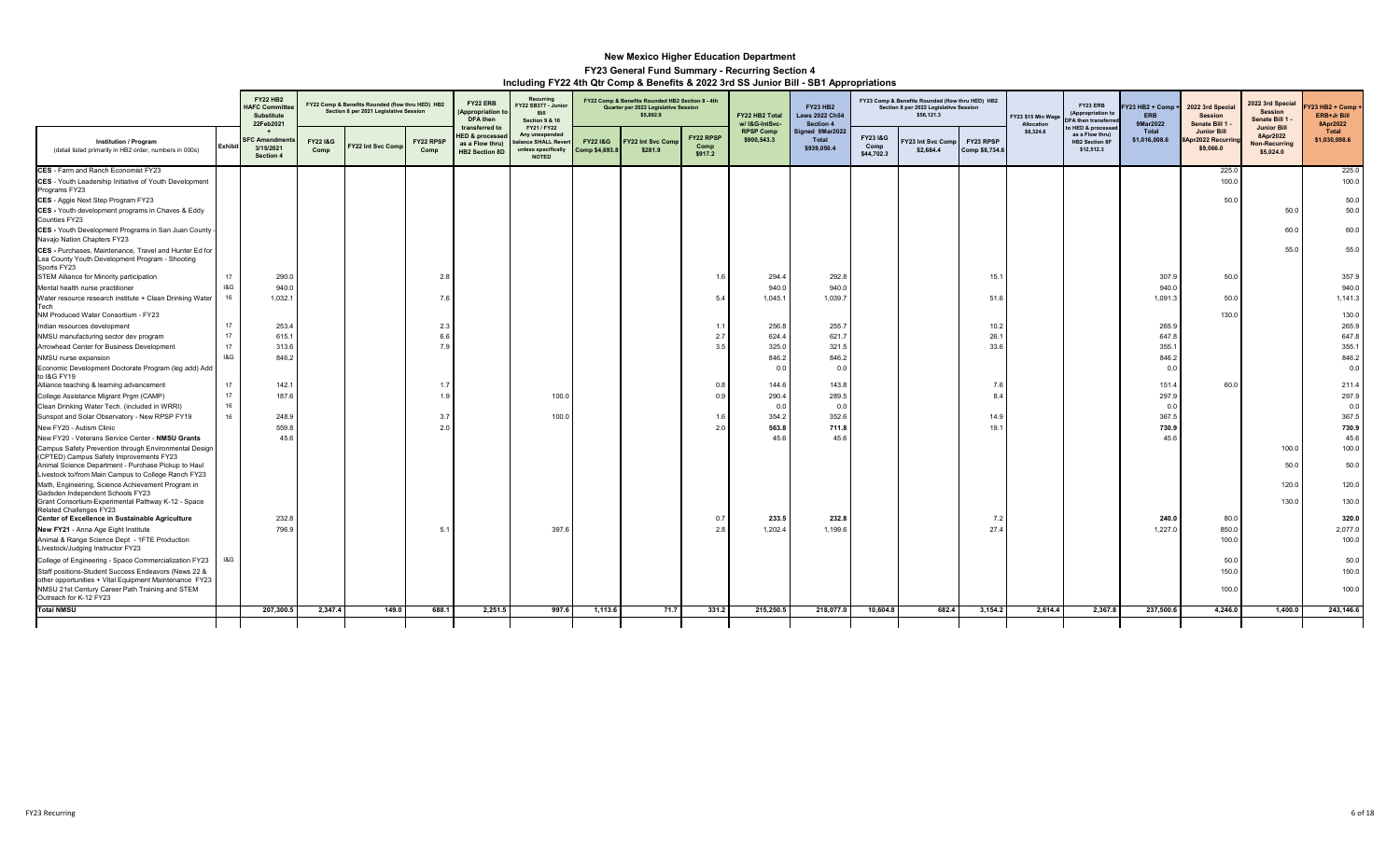|                                                                                                                                                         |                | <b>FY22 HB2</b><br><b>IAFC Committe</b><br><b>Substitute</b><br>22Feb2021 |                            | FY22 Comp & Benefits Rounded (flow thru HED) HB2<br>Section 8 per 2021 Legislative Session |                   | FY22 ERB<br><b>Appropriation t</b><br>DFA then                                    | Recurring<br>Y22 SB377 - Junio<br>Bill<br><b>Section 9 &amp; 16</b>                        |                                       | FY22 Comp & Benefits Rounded HB2 Section 8 - 4th<br>Quarter per 2022 Legislative Session<br>\$5,892.9 |                              | FY22 HB2 Total<br>w/ I&G-IntSvc- | <b>FY23 HB2</b><br>aws 2022 Ch54<br>Section 4 |                               | FY23 Comp & Benefits Rounded (flow thru HED) HB2<br>Section 8 per 2022 Legislative Session<br>\$56,121.3 |                             | Y23 \$15 Min Wage<br>Allocation | FY23 ERB<br>(Appropriation t<br><b>DFA</b> then transferre                  | Y23 HB2 + Comp +<br><b>ERB</b><br>9Mar2022 | 2022 3rd Specia<br><b>Session</b><br>Senate Bill 1          | 2022 3rd Special<br><b>Session</b><br>Senate Bill 1                 | Y23 HB2 + Comp +<br><b>ERB+Jr Bill</b><br>8Apr2022 |
|---------------------------------------------------------------------------------------------------------------------------------------------------------|----------------|---------------------------------------------------------------------------|----------------------------|--------------------------------------------------------------------------------------------|-------------------|-----------------------------------------------------------------------------------|--------------------------------------------------------------------------------------------|---------------------------------------|-------------------------------------------------------------------------------------------------------|------------------------------|----------------------------------|-----------------------------------------------|-------------------------------|----------------------------------------------------------------------------------------------------------|-----------------------------|---------------------------------|-----------------------------------------------------------------------------|--------------------------------------------|-------------------------------------------------------------|---------------------------------------------------------------------|----------------------------------------------------|
| <b>Institution / Program</b><br>(detail listed primarily in HB2 order, numbers in 000s)                                                                 | <b>Exhibit</b> | <b>FC Amendmen</b><br>3/15/2021<br>Section 4                              | <b>FY221&amp;G</b><br>Comp | Y22 Int Svc Comp                                                                           | FY22 RPSI<br>Comp | transferred to<br><b>IED &amp; processed</b><br>as a Flow thru)<br>HB2 Section 8D | FY21 / FY22<br>Any unexpended<br>alance SHALL Rever<br>unless specifically<br><b>NOTED</b> | <b>FY22 1&amp;G</b><br>Comp \$4,693.8 | Y22 Int Svc Comp<br>\$281.9                                                                           | FY22 RPSP<br>Comp<br>\$917.2 | <b>RPSP Comp</b><br>\$900,543.3  | Signed 9Mar2022<br>Total<br>\$939,050.4       | FY231&G<br>Comp<br>\$44,702.3 | Y23 Int Svc Comp<br>\$2,684.4                                                                            | FY23 RPSP<br>Comp \$8,734.6 | \$8,324.6                       | to HED & processe<br>as a Flow thru)<br><b>HB2 Section 8F</b><br>\$12,512.3 | Total<br>\$1,016,008.6                     | <b>Junior Bill</b><br><b>BApr2022 Recurril</b><br>\$9,066.0 | <b>Junior Bill</b><br>8Apr2022<br><b>Non-Recurring</b><br>\$5,024.0 | Total<br>\$1,030,098.6                             |
| CES - Farm and Ranch Economist FY23                                                                                                                     |                |                                                                           |                            |                                                                                            |                   |                                                                                   |                                                                                            |                                       |                                                                                                       |                              |                                  |                                               |                               |                                                                                                          |                             |                                 |                                                                             |                                            | 225.0                                                       |                                                                     | 225.0                                              |
| CES - Youth Leadership Initiative of Youth Development<br>Programs FY23                                                                                 |                |                                                                           |                            |                                                                                            |                   |                                                                                   |                                                                                            |                                       |                                                                                                       |                              |                                  |                                               |                               |                                                                                                          |                             |                                 |                                                                             |                                            | 100.0                                                       |                                                                     | 100.0                                              |
| CES - Aggie Next Step Program FY23                                                                                                                      |                |                                                                           |                            |                                                                                            |                   |                                                                                   |                                                                                            |                                       |                                                                                                       |                              |                                  |                                               |                               |                                                                                                          |                             |                                 |                                                                             |                                            | 50.0                                                        |                                                                     | 50.0                                               |
| CES - Youth development programs in Chaves & Eddy<br>Counties FY23                                                                                      |                |                                                                           |                            |                                                                                            |                   |                                                                                   |                                                                                            |                                       |                                                                                                       |                              |                                  |                                               |                               |                                                                                                          |                             |                                 |                                                                             |                                            |                                                             | 50.0                                                                | 50.0                                               |
| CES - Youth Development Programs in San Juan County<br>Navajo Nation Chapters FY23                                                                      |                |                                                                           |                            |                                                                                            |                   |                                                                                   |                                                                                            |                                       |                                                                                                       |                              |                                  |                                               |                               |                                                                                                          |                             |                                 |                                                                             |                                            |                                                             | 60.0                                                                | 60.0                                               |
| CES - Purchases, Maintenance, Travel and Hunter Ed for<br>Lea County Youth Development Program - Shooting<br>Sports FY23                                |                |                                                                           |                            |                                                                                            |                   |                                                                                   |                                                                                            |                                       |                                                                                                       |                              |                                  |                                               |                               |                                                                                                          |                             |                                 |                                                                             |                                            |                                                             | 55.0                                                                | 55.0                                               |
| STEM Alliance for Minority participation                                                                                                                | 17             | 290.0                                                                     |                            |                                                                                            | 2.8               |                                                                                   |                                                                                            |                                       |                                                                                                       | 1.1                          | 294.4                            | 292.8                                         |                               |                                                                                                          | 15.                         |                                 |                                                                             | 307.9                                      | 50.0                                                        |                                                                     | 357.9                                              |
| Mental health nurse practitioner                                                                                                                        | 18G            | 940.0                                                                     |                            |                                                                                            |                   |                                                                                   |                                                                                            |                                       |                                                                                                       |                              | 940.0                            | 940.0                                         |                               |                                                                                                          |                             |                                 |                                                                             | 940.0                                      |                                                             |                                                                     | 940.0                                              |
| Water resource research institute + Clean Drinking Water<br>Tech<br>NM Produced Water Consortium - FY23                                                 | 16             | 1,032.1                                                                   |                            |                                                                                            | 7.6               |                                                                                   |                                                                                            |                                       |                                                                                                       | 5.                           | 1,045.1                          | 1.039.7                                       |                               |                                                                                                          | 51.6                        |                                 |                                                                             | 1,091.3                                    | 50.0<br>130.0                                               |                                                                     | 1,141.3                                            |
| Indian resources development                                                                                                                            | 17             | 253.4                                                                     |                            |                                                                                            | 2.3               |                                                                                   |                                                                                            |                                       |                                                                                                       | 1.                           | 256.8                            | 255.7                                         |                               |                                                                                                          | 10.2                        |                                 |                                                                             | 265.9                                      |                                                             |                                                                     | 130.0<br>265.9                                     |
| NMSU manufacturing sector dev program                                                                                                                   | 17             | 615.1                                                                     |                            |                                                                                            | 6.6               |                                                                                   |                                                                                            |                                       |                                                                                                       | 2.7                          | 624.4                            | 621.7                                         |                               |                                                                                                          | 26.1                        |                                 |                                                                             | 647.8                                      |                                                             |                                                                     | 647.8                                              |
| Arrowhead Center for Business Development                                                                                                               | 17             | 313.6                                                                     |                            |                                                                                            |                   |                                                                                   |                                                                                            |                                       |                                                                                                       | 3 <sup>5</sup>               | 325.0                            | 321.5                                         |                               |                                                                                                          | 33.6                        |                                 |                                                                             | 355.1                                      |                                                             |                                                                     | 355.1                                              |
| NMSU nurse expansion                                                                                                                                    | 18G            | 846.2                                                                     |                            |                                                                                            |                   |                                                                                   |                                                                                            |                                       |                                                                                                       |                              | 846.2                            | 846.2                                         |                               |                                                                                                          |                             |                                 |                                                                             | 846.2                                      |                                                             |                                                                     | 846.2                                              |
| Economic Development Doctorate Program (leg add) Add<br>to I&G FY19                                                                                     |                |                                                                           |                            |                                                                                            |                   |                                                                                   |                                                                                            |                                       |                                                                                                       |                              | 0.0                              | 0.0                                           |                               |                                                                                                          |                             |                                 |                                                                             | 0.0                                        |                                                             |                                                                     | 0.0                                                |
| Alliance teaching & learning advancement                                                                                                                | 17             | 142.1                                                                     |                            |                                                                                            |                   |                                                                                   |                                                                                            |                                       |                                                                                                       | 0.5                          | 144.6                            | 143.8                                         |                               |                                                                                                          | 7.6                         |                                 |                                                                             | 151.4                                      | 60.0                                                        |                                                                     | 211.4                                              |
| College Assistance Migrant Prgm (CAMP)                                                                                                                  | 17             | 187.6                                                                     |                            |                                                                                            |                   |                                                                                   | 100.0                                                                                      |                                       |                                                                                                       | 0.5                          | 290.4                            | 289.5                                         |                               |                                                                                                          | $\mathbf{R}$                |                                 |                                                                             | 297.9                                      |                                                             |                                                                     | 297.9                                              |
| Clean Drinking Water Tech. (included in WRRI)                                                                                                           | 16             |                                                                           |                            |                                                                                            |                   |                                                                                   |                                                                                            |                                       |                                                                                                       |                              | 0.0                              | 0.0                                           |                               |                                                                                                          |                             |                                 |                                                                             | 0.0                                        |                                                             |                                                                     | 0.0                                                |
| Sunspot and Solar Observatory - New RPSP FY19                                                                                                           | 16             | 248.9                                                                     |                            |                                                                                            | 3.7               |                                                                                   | 100.0                                                                                      |                                       |                                                                                                       | 1.6                          | 354.2                            | 352.6                                         |                               |                                                                                                          | 14.9                        |                                 |                                                                             | 367.5                                      |                                                             |                                                                     | 367.5                                              |
| New FY20 - Autism Clinic                                                                                                                                |                | 559.8                                                                     |                            |                                                                                            | 2.0               |                                                                                   |                                                                                            |                                       |                                                                                                       | 21                           | 563.8                            | 711.8                                         |                               |                                                                                                          | 19.1                        |                                 |                                                                             | 730.9                                      |                                                             |                                                                     | 730.9                                              |
| New FY20 - Veterans Service Center - NMSU Grants                                                                                                        |                | 45.6                                                                      |                            |                                                                                            |                   |                                                                                   |                                                                                            |                                       |                                                                                                       |                              | 45.6                             | 45.6                                          |                               |                                                                                                          |                             |                                 |                                                                             | 45.6                                       |                                                             |                                                                     | 45.6                                               |
| Campus Safety Prevention through Environmental Design<br>(CPTED) Campus Safety Improvements FY23<br>Animal Science Department - Purchase Pickup to Haul |                |                                                                           |                            |                                                                                            |                   |                                                                                   |                                                                                            |                                       |                                                                                                       |                              |                                  |                                               |                               |                                                                                                          |                             |                                 |                                                                             |                                            |                                                             | 100.0<br>50.0                                                       | 100.0<br>50.0                                      |
| Livestock to/from Main Campus to College Ranch FY23                                                                                                     |                |                                                                           |                            |                                                                                            |                   |                                                                                   |                                                                                            |                                       |                                                                                                       |                              |                                  |                                               |                               |                                                                                                          |                             |                                 |                                                                             |                                            |                                                             |                                                                     |                                                    |
| Math, Engineering, Science Achievement Program in<br>Gadsden Independent Schools FY23                                                                   |                |                                                                           |                            |                                                                                            |                   |                                                                                   |                                                                                            |                                       |                                                                                                       |                              |                                  |                                               |                               |                                                                                                          |                             |                                 |                                                                             |                                            |                                                             | 120.0                                                               | 120.0                                              |
| Grant Consortium-Experimental Pathway K-12 - Space<br>Related Challenges FY23                                                                           |                |                                                                           |                            |                                                                                            |                   |                                                                                   |                                                                                            |                                       |                                                                                                       |                              |                                  |                                               |                               |                                                                                                          |                             |                                 |                                                                             |                                            |                                                             | 130.0                                                               | 130.0                                              |
| Center of Excellence in Sustainable Agriculture                                                                                                         |                | 232.8                                                                     |                            |                                                                                            |                   |                                                                                   |                                                                                            |                                       |                                                                                                       | 0.7                          | 233.5                            | 232.8                                         |                               |                                                                                                          | 7.2                         |                                 |                                                                             | 240.0                                      | 80.0                                                        |                                                                     | 320.0                                              |
| New FY21 - Anna Age Eight Institute                                                                                                                     |                | 796.9                                                                     |                            |                                                                                            | 5.                |                                                                                   | 397.6                                                                                      |                                       |                                                                                                       | 2.8                          | 1,202.4                          | 1,199.6                                       |                               |                                                                                                          | 27.4                        |                                 |                                                                             | 1,227.0                                    | 850.0                                                       |                                                                     | 2,077.0                                            |
| Animal & Range Science Dept - 1FTE Production<br>Livestock/Judging Instructor FY23                                                                      |                |                                                                           |                            |                                                                                            |                   |                                                                                   |                                                                                            |                                       |                                                                                                       |                              |                                  |                                               |                               |                                                                                                          |                             |                                 |                                                                             |                                            | 100.0                                                       |                                                                     | 100.0                                              |
| College of Engineering - Space Commercialization FY23                                                                                                   | I&G            |                                                                           |                            |                                                                                            |                   |                                                                                   |                                                                                            |                                       |                                                                                                       |                              |                                  |                                               |                               |                                                                                                          |                             |                                 |                                                                             |                                            | 50.0                                                        |                                                                     | 50.0                                               |
| Staff positions-Student Success Endeavors (News 22 &<br>other opportunities + Vital Equipment Maintenance FY23                                          |                |                                                                           |                            |                                                                                            |                   |                                                                                   |                                                                                            |                                       |                                                                                                       |                              |                                  |                                               |                               |                                                                                                          |                             |                                 |                                                                             |                                            | 150.0                                                       |                                                                     | 150.0                                              |
| NMSU 21st Century Career Path Training and STEM<br>Outreach for K-12 FY23                                                                               |                |                                                                           |                            |                                                                                            |                   |                                                                                   |                                                                                            |                                       |                                                                                                       |                              |                                  |                                               |                               |                                                                                                          |                             |                                 |                                                                             |                                            | 100.0                                                       |                                                                     | 100.0                                              |
| <b>Total NMSU</b>                                                                                                                                       |                | 207,300.5                                                                 | 2,347.4                    | 149.0                                                                                      | 688.1             | 2,251.5                                                                           | 997.6                                                                                      | 1,113.6                               | 71.7                                                                                                  | 331.2                        | 215,250.5                        | 218,077.0                                     | 10,604.8                      | 682.4                                                                                                    | 3,154.2                     | 2,614.4                         | 2,367.8                                                                     | 237,500.6                                  | 4,246.0                                                     | 1,400.0                                                             | 243,146.6                                          |
|                                                                                                                                                         |                |                                                                           |                            |                                                                                            |                   |                                                                                   |                                                                                            |                                       |                                                                                                       |                              |                                  |                                               |                               |                                                                                                          |                             |                                 |                                                                             |                                            |                                                             |                                                                     |                                                    |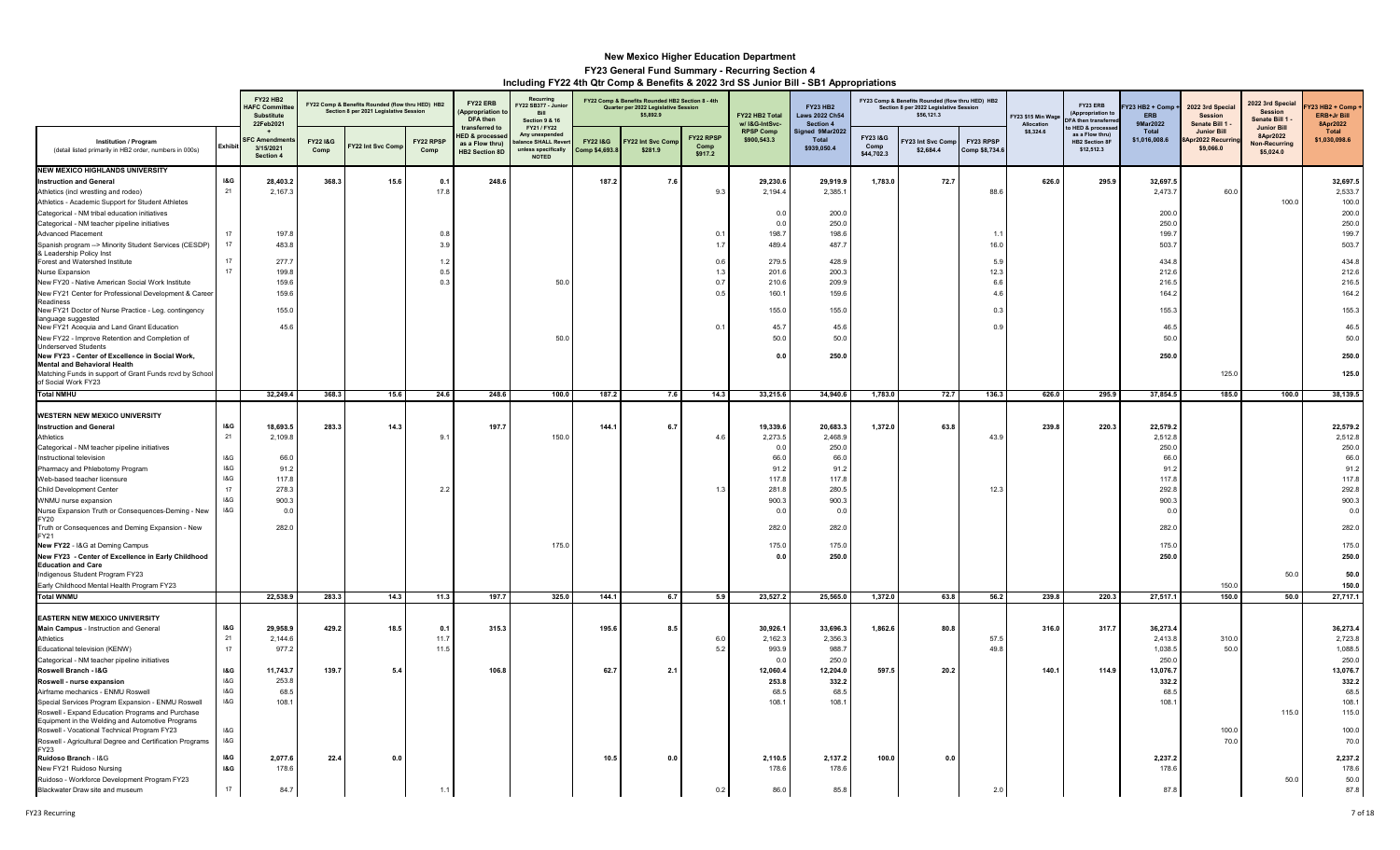|                                                                                                 |                | <b>FY22 HB2</b><br><b>HAFC Commit</b><br>Substitute<br>22Feb2021 |                            | FY22 Comp & Benefits Rounded (flow thru HED) HB2<br>Section 8 per 2021 Legislative Session |                   | FY22 ERB<br>Appropriation<br>DFA then                                                   | Recurring<br>-<br>Y22 SB377 - Junio<br>Bill<br>Section 9 & 16                                  |                                      | FY22 Comp & Benefits Rounded HB2 Section 8 - 4th<br>Quarter per 2022 Legislative Session<br>\$5,892.9 |                                     | FY22 HB2 Total<br>w/ I&G-IntSvc- | <b>FY23 HB2</b><br><b>Laws 2022 Ch54</b><br>Section 4 |                               | FY23 Comp & Benefits Rounded (flow thru HED) HB2<br>Section 8 per 2022 Legislative Session<br>\$56,121.3 |                             | Y23 \$15 Min Wag<br>Allocatio | FY23 ERB<br>(Appropriation t<br><b>FA then transferr</b>                   | Y23 HB2 + Comp ·<br><b>ERB</b><br>9Mar2022 | 2022 3rd Special<br><b>Session</b><br>Senate Bill 1 | 2022 3rd Specia<br><b>Session</b><br>Senate Bill 1 -                | <b>723 HB2 + Comp</b><br>ERB+Jr Bill<br>8Apr2022 |
|-------------------------------------------------------------------------------------------------|----------------|------------------------------------------------------------------|----------------------------|--------------------------------------------------------------------------------------------|-------------------|-----------------------------------------------------------------------------------------|------------------------------------------------------------------------------------------------|--------------------------------------|-------------------------------------------------------------------------------------------------------|-------------------------------------|----------------------------------|-------------------------------------------------------|-------------------------------|----------------------------------------------------------------------------------------------------------|-----------------------------|-------------------------------|----------------------------------------------------------------------------|--------------------------------------------|-----------------------------------------------------|---------------------------------------------------------------------|--------------------------------------------------|
| <b>Institution / Program</b><br>(detail listed primarily in HB2 order, numbers in 000s)         | Exhibi         | <b>SFC: Amendr</b><br>3/15/2021<br>Section 4                     | <b>FY221&amp;G</b><br>Comp | FY22 Int Svc Com                                                                           | FY22 RPSP<br>Comp | transferred to<br><b>HED &amp; processe</b><br>as a Flow thrul<br><b>HB2 Section 8D</b> | FY21 / FY22<br>Any unexpende<br><b>Ilance SHALL Reve</b><br>nless specifically<br><b>NOTED</b> | <b>FY22 I&amp;G</b><br>Comp \$4,693. | Y22 Int Svc Com<br>\$281.9                                                                            | <b>FY22 RPSF</b><br>Comp<br>\$917.2 | <b>RPSP Comp</b><br>\$900,543.3  | Signed 9Mar2022<br>Total<br>\$939,050.4               | FY231&G<br>Comp<br>\$44,702.3 | 123 Int Svc Comp<br>\$2,684.4                                                                            | FY23 RPSP<br>Comp \$8,734.6 | \$8,324.6                     | o HED & processe<br>as a Flow thrul<br><b>HB2 Section 8F</b><br>\$12,512.3 | Total<br>\$1,016,008.6                     | <b>Junior Bill</b><br>br2022 Recurr<br>\$9,066.0    | <b>Junior Bill</b><br>8Apr2022<br><b>Non-Recurring</b><br>\$5,024.0 | Total<br>\$1,030,098.6                           |
| <b>NEW MEXICO HIGHLANDS UNIVERSITY</b>                                                          |                |                                                                  |                            |                                                                                            |                   |                                                                                         |                                                                                                |                                      |                                                                                                       |                                     |                                  |                                                       |                               |                                                                                                          |                             |                               |                                                                            |                                            |                                                     |                                                                     |                                                  |
| <b>Instruction and General</b>                                                                  | <b>I&amp;G</b> | 28,403.2                                                         | 368.3                      | 15.6                                                                                       | 0.1               | 248.6                                                                                   |                                                                                                | 187.2                                | 7.6                                                                                                   |                                     | 29,230.6                         | 29,919.9                                              | 1,783.0                       | 72.7                                                                                                     |                             | 626.0                         | 295.9                                                                      | 32,697.5                                   |                                                     |                                                                     | 32,697.5                                         |
| Athletics (incl wrestling and rodeo)<br>Athletics - Academic Support for Student Athletes       | 21             | 2,167.3                                                          |                            |                                                                                            | 17.8              |                                                                                         |                                                                                                |                                      |                                                                                                       | 9.3                                 | 2,194.4                          | 2,385.1                                               |                               |                                                                                                          | 88.6                        |                               |                                                                            | 2,473.7                                    | 60.0                                                | 100.0                                                               | 2,533.7<br>100.0                                 |
| Categorical - NM tribal education initiatives                                                   |                |                                                                  |                            |                                                                                            |                   |                                                                                         |                                                                                                |                                      |                                                                                                       |                                     | 0.0                              | 200.0                                                 |                               |                                                                                                          |                             |                               |                                                                            | 200.0                                      |                                                     |                                                                     | 200.0                                            |
| Categorical - NM teacher pipeline initiatives                                                   |                |                                                                  |                            |                                                                                            |                   |                                                                                         |                                                                                                |                                      |                                                                                                       |                                     | 0.0                              | 250.0                                                 |                               |                                                                                                          |                             |                               |                                                                            | 250.0                                      |                                                     |                                                                     | 250.0                                            |
| Advanced Placement                                                                              | 17             | 197.                                                             |                            |                                                                                            | 0.8               |                                                                                         |                                                                                                |                                      |                                                                                                       | 0.1                                 | 198.7                            | 198.6                                                 |                               |                                                                                                          | $\overline{1}$ .            |                               |                                                                            | 199.                                       |                                                     |                                                                     | 199.7                                            |
| Spanish program --> Minority Student Services (CESDP)                                           | 17             | 483.8                                                            |                            |                                                                                            | 3.9               |                                                                                         |                                                                                                |                                      |                                                                                                       | 1.7                                 | 489.4                            | 487.7                                                 |                               |                                                                                                          | 16.0                        |                               |                                                                            | 503.                                       |                                                     |                                                                     | 503.7                                            |
| & Leadership Policy Inst<br>Forest and Watershed Institute                                      | 17             | 277.7                                                            |                            |                                                                                            | 12                |                                                                                         |                                                                                                |                                      |                                                                                                       | 0.6                                 | 279.5                            | 428.9                                                 |                               |                                                                                                          | 5.9                         |                               |                                                                            | 434.                                       |                                                     |                                                                     | 434.8                                            |
| Nurse Expansion                                                                                 | 17             | 199.8                                                            |                            |                                                                                            | 0.5               |                                                                                         |                                                                                                |                                      |                                                                                                       | 1.3                                 | 201.6                            | 200.3                                                 |                               |                                                                                                          | 12.3                        |                               |                                                                            | 212.6                                      |                                                     |                                                                     | 212.6                                            |
| New FY20 - Native American Social Work Institute                                                |                | 159.6                                                            |                            |                                                                                            | 0.3               |                                                                                         | 50.0                                                                                           |                                      |                                                                                                       | 0.7                                 | 210.6                            | 209.9                                                 |                               |                                                                                                          | 6.6                         |                               |                                                                            | 216.5                                      |                                                     |                                                                     | 216.5                                            |
| New FY21 Center for Professional Development & Career                                           |                | 159.6                                                            |                            |                                                                                            |                   |                                                                                         |                                                                                                |                                      |                                                                                                       | 0.5                                 | 160.1                            | 159.6                                                 |                               |                                                                                                          | 4.6                         |                               |                                                                            | 164.2                                      |                                                     |                                                                     | 164.2                                            |
| Readiness<br>New FY21 Doctor of Nurse Practice - Leg. contingency                               |                | 155.0                                                            |                            |                                                                                            |                   |                                                                                         |                                                                                                |                                      |                                                                                                       |                                     | 155.0                            | 155.0                                                 |                               |                                                                                                          | 0.3                         |                               |                                                                            | 155.3                                      |                                                     |                                                                     | 155.3                                            |
| language suggested                                                                              |                |                                                                  |                            |                                                                                            |                   |                                                                                         |                                                                                                |                                      |                                                                                                       |                                     |                                  |                                                       |                               |                                                                                                          |                             |                               |                                                                            |                                            |                                                     |                                                                     |                                                  |
| New FY21 Acequia and Land Grant Education                                                       |                | 45.6                                                             |                            |                                                                                            |                   |                                                                                         |                                                                                                |                                      |                                                                                                       | 0.1                                 | 45.7                             | 45.6                                                  |                               |                                                                                                          | 0.9                         |                               |                                                                            | 46.5                                       |                                                     |                                                                     | 46.5                                             |
| New FY22 - Improve Retention and Completion of                                                  |                |                                                                  |                            |                                                                                            |                   |                                                                                         | 50.0                                                                                           |                                      |                                                                                                       |                                     | 50.0                             | 50.0                                                  |                               |                                                                                                          |                             |                               |                                                                            | 50.0                                       |                                                     |                                                                     | 50.0                                             |
| <b>Underserved Students</b><br>New FY23 - Center of Excellence in Social Work,                  |                |                                                                  |                            |                                                                                            |                   |                                                                                         |                                                                                                |                                      |                                                                                                       |                                     | 0.0                              | 250.0                                                 |                               |                                                                                                          |                             |                               |                                                                            | 250.0                                      |                                                     |                                                                     | 250.0                                            |
| <b>Mental and Behavioral Health</b>                                                             |                |                                                                  |                            |                                                                                            |                   |                                                                                         |                                                                                                |                                      |                                                                                                       |                                     |                                  |                                                       |                               |                                                                                                          |                             |                               |                                                                            |                                            |                                                     |                                                                     |                                                  |
| Matching Funds in support of Grant Funds rcvd by School                                         |                |                                                                  |                            |                                                                                            |                   |                                                                                         |                                                                                                |                                      |                                                                                                       |                                     |                                  |                                                       |                               |                                                                                                          |                             |                               |                                                                            |                                            | 125.0                                               |                                                                     | 125.0                                            |
| of Social Work FY23<br><b>Total NMHU</b>                                                        |                | 32,249.4                                                         | 368.3                      | 15.6                                                                                       | 24.6              | 248.6                                                                                   | 100.0                                                                                          | 187.2                                | 7.6                                                                                                   | 14.3                                | 33,215.6                         | 34,940.6                                              | 1,783.0                       | 72.7                                                                                                     | 136.3                       | 626.0                         | 295.9                                                                      | 37,854.5                                   | 185.0                                               | 100.0                                                               | 38,139.5                                         |
|                                                                                                 |                |                                                                  |                            |                                                                                            |                   |                                                                                         |                                                                                                |                                      |                                                                                                       |                                     |                                  |                                                       |                               |                                                                                                          |                             |                               |                                                                            |                                            |                                                     |                                                                     |                                                  |
| <b>WESTERN NEW MEXICO UNIVERSITY</b>                                                            |                |                                                                  |                            |                                                                                            |                   |                                                                                         |                                                                                                |                                      |                                                                                                       |                                     |                                  |                                                       |                               |                                                                                                          |                             |                               |                                                                            |                                            |                                                     |                                                                     |                                                  |
| <b>Instruction and General</b>                                                                  | <b>I&amp;G</b> | 18,693.5                                                         | 283.3                      | 14.3                                                                                       |                   | 197.7                                                                                   |                                                                                                | 144.1                                | 6.7                                                                                                   |                                     | 19,339.6                         | 20,683.3                                              | 1,372.0                       | 63.8                                                                                                     |                             | 239.8                         | 220.3                                                                      | 22,579.2                                   |                                                     |                                                                     | 22,579.2                                         |
| Athletics                                                                                       | ${\bf 21}$     | 2,109.8                                                          |                            |                                                                                            | 9.1               |                                                                                         | 150.0                                                                                          |                                      |                                                                                                       | 4.6                                 | 2,273.5                          | 2,468.9                                               |                               |                                                                                                          | 43.9                        |                               |                                                                            | 2,512.8                                    |                                                     |                                                                     | 2,512.8                                          |
| Categorical - NM teacher pipeline initiatives                                                   |                |                                                                  |                            |                                                                                            |                   |                                                                                         |                                                                                                |                                      |                                                                                                       |                                     | 0.0                              | 250.0                                                 |                               |                                                                                                          |                             |                               |                                                                            | 250.0                                      |                                                     |                                                                     | 250.0                                            |
| Instructional television                                                                        | I&G            | 66.0                                                             |                            |                                                                                            |                   |                                                                                         |                                                                                                |                                      |                                                                                                       |                                     | 66.0                             | 66.0                                                  |                               |                                                                                                          |                             |                               |                                                                            | 66.0                                       |                                                     |                                                                     | 66.0                                             |
| Pharmacy and Phlebotomy Program<br>Web-based teacher licensure                                  | 18G<br>18G     | 91.2<br>117.8                                                    |                            |                                                                                            |                   |                                                                                         |                                                                                                |                                      |                                                                                                       |                                     | 91.2<br>117.8                    | 91.2<br>117.8                                         |                               |                                                                                                          |                             |                               |                                                                            | 91.2<br>117.8                              |                                                     |                                                                     | 91.2<br>117.8                                    |
| Child Development Center                                                                        | 17             | 278.3                                                            |                            |                                                                                            | 2.2               |                                                                                         |                                                                                                |                                      |                                                                                                       | 1.3                                 | 281.8                            | 280.5                                                 |                               |                                                                                                          | 12.3                        |                               |                                                                            | 292.8                                      |                                                     |                                                                     | 292.8                                            |
| WNMU nurse expansion                                                                            | 18G            | 900.3                                                            |                            |                                                                                            |                   |                                                                                         |                                                                                                |                                      |                                                                                                       |                                     | 900.3                            | 900.3                                                 |                               |                                                                                                          |                             |                               |                                                                            | 900.3                                      |                                                     |                                                                     | 900.3                                            |
| Nurse Expansion Truth or Consequences-Deming - New                                              | 18G            | 0.0                                                              |                            |                                                                                            |                   |                                                                                         |                                                                                                |                                      |                                                                                                       |                                     | 0.0                              | 0.0                                                   |                               |                                                                                                          |                             |                               |                                                                            | 0.0                                        |                                                     |                                                                     | 0.0                                              |
| <b>FY20</b>                                                                                     |                | 282.0                                                            |                            |                                                                                            |                   |                                                                                         |                                                                                                |                                      |                                                                                                       |                                     | 282.0                            |                                                       |                               |                                                                                                          |                             |                               |                                                                            |                                            |                                                     |                                                                     |                                                  |
| Truth or Consequences and Deming Expansion - New<br>FY21                                        |                |                                                                  |                            |                                                                                            |                   |                                                                                         |                                                                                                |                                      |                                                                                                       |                                     |                                  | 282.0                                                 |                               |                                                                                                          |                             |                               |                                                                            | 282.0                                      |                                                     |                                                                     | 282.0                                            |
| New FY22 - I&G at Deming Campus                                                                 |                |                                                                  |                            |                                                                                            |                   |                                                                                         | 175.0                                                                                          |                                      |                                                                                                       |                                     | 175.0                            | 175.0                                                 |                               |                                                                                                          |                             |                               |                                                                            | 175.0                                      |                                                     |                                                                     | 175.0                                            |
| New FY23 - Center of Excellence in Early Childhood                                              |                |                                                                  |                            |                                                                                            |                   |                                                                                         |                                                                                                |                                      |                                                                                                       |                                     | 0.0                              | 250.0                                                 |                               |                                                                                                          |                             |                               |                                                                            | 250.0                                      |                                                     |                                                                     | 250.0                                            |
| <b>Education and Care</b><br>Indigenous Student Program FY23                                    |                |                                                                  |                            |                                                                                            |                   |                                                                                         |                                                                                                |                                      |                                                                                                       |                                     |                                  |                                                       |                               |                                                                                                          |                             |                               |                                                                            |                                            |                                                     | 50.0                                                                | 50.0                                             |
| Early Childhood Mental Health Program FY23                                                      |                |                                                                  |                            |                                                                                            |                   |                                                                                         |                                                                                                |                                      |                                                                                                       |                                     |                                  |                                                       |                               |                                                                                                          |                             |                               |                                                                            |                                            | 150.0                                               |                                                                     | 150.0                                            |
| <b>Total WNMU</b>                                                                               |                | 22,538.9                                                         | 283.3                      | 14.3                                                                                       | 11.3              | 197.7                                                                                   | 325.0                                                                                          | 144.1                                | 6.7                                                                                                   | 5.9                                 | 23,527.2                         | 25,565.0                                              | 1,372.0                       | 63.8                                                                                                     | 56.2                        | 239.8                         | 220.3                                                                      | 27,517.1                                   | 150.0                                               | 50.0                                                                | 27,717.1                                         |
|                                                                                                 |                |                                                                  |                            |                                                                                            |                   |                                                                                         |                                                                                                |                                      |                                                                                                       |                                     |                                  |                                                       |                               |                                                                                                          |                             |                               |                                                                            |                                            |                                                     |                                                                     |                                                  |
| EASTERN NEW MEXICO UNIVERSITY                                                                   |                |                                                                  |                            |                                                                                            |                   |                                                                                         |                                                                                                |                                      |                                                                                                       |                                     |                                  |                                                       |                               |                                                                                                          |                             |                               |                                                                            |                                            |                                                     |                                                                     |                                                  |
| Main Campus - Instruction and General                                                           | <b>I&amp;G</b> | 29,958.9                                                         | 429.2                      | 18.5                                                                                       | 0.1               | 315.3                                                                                   |                                                                                                | 195.6                                | 8.5                                                                                                   |                                     | 30,926.1                         | 33,696.3                                              | 1,862.6                       | 80.8                                                                                                     |                             | 316.0                         | 317.7                                                                      | 36,273.4                                   |                                                     |                                                                     | 36,273.4                                         |
| Athletics<br>Educational television (KENW)                                                      | 21<br>17       | 2,144.6<br>977.2                                                 |                            |                                                                                            | 11.7<br>11.5      |                                                                                         |                                                                                                |                                      |                                                                                                       | 6.0<br>5.2                          | 2,162.3<br>993.9                 | 2,356.3<br>988.7                                      |                               |                                                                                                          | 57.5<br>49.8                |                               |                                                                            | 2,413.8<br>1,038.5                         | 310.0<br>50.0                                       |                                                                     | 2,723.8<br>1,088.5                               |
| Categorical - NM teacher pipeline initiatives                                                   |                |                                                                  |                            |                                                                                            |                   |                                                                                         |                                                                                                |                                      |                                                                                                       |                                     | 0.1                              | 250.0                                                 |                               |                                                                                                          |                             |                               |                                                                            | 250.0                                      |                                                     |                                                                     | 250.0                                            |
| Roswell Branch - I&G                                                                            | <b>I&amp;G</b> | 11,743.7                                                         | 139.7                      | 5.4                                                                                        |                   | 106.8                                                                                   |                                                                                                | 62.7                                 | 2.1                                                                                                   |                                     | 12,060.4                         | 12,204.0                                              | 597.5                         | 20.2                                                                                                     |                             | 140.1                         | 114.9                                                                      | 13,076.7                                   |                                                     |                                                                     | 13,076.7                                         |
| Roswell - nurse expansion                                                                       | 18G            | 253.8                                                            |                            |                                                                                            |                   |                                                                                         |                                                                                                |                                      |                                                                                                       |                                     | 253.8                            | 332.2                                                 |                               |                                                                                                          |                             |                               |                                                                            | 332.2                                      |                                                     |                                                                     | 332.2                                            |
| Airframe mechanics - ENMU Roswell                                                               | 18G            | 68.5                                                             |                            |                                                                                            |                   |                                                                                         |                                                                                                |                                      |                                                                                                       |                                     | 68.                              | 68.5                                                  |                               |                                                                                                          |                             |                               |                                                                            | 68.                                        |                                                     |                                                                     | 68.5                                             |
| Special Services Program Expansion - ENMU Roswell                                               | 18G            | 108.1                                                            |                            |                                                                                            |                   |                                                                                         |                                                                                                |                                      |                                                                                                       |                                     | 108.1                            | 108.1                                                 |                               |                                                                                                          |                             |                               |                                                                            | 108.1                                      |                                                     |                                                                     | 108.1                                            |
| Roswell - Expand Education Programs and Purchase                                                |                |                                                                  |                            |                                                                                            |                   |                                                                                         |                                                                                                |                                      |                                                                                                       |                                     |                                  |                                                       |                               |                                                                                                          |                             |                               |                                                                            |                                            |                                                     | 115.0                                                               | 115.0                                            |
| Equipment in the Welding and Automotive Programs<br>Roswell - Vocational Technical Program FY23 | 18G            |                                                                  |                            |                                                                                            |                   |                                                                                         |                                                                                                |                                      |                                                                                                       |                                     |                                  |                                                       |                               |                                                                                                          |                             |                               |                                                                            |                                            | 100.0                                               |                                                                     | 100.0                                            |
| Roswell - Agricultural Degree and Certification Programs                                        | <b>I&amp;G</b> |                                                                  |                            |                                                                                            |                   |                                                                                         |                                                                                                |                                      |                                                                                                       |                                     |                                  |                                                       |                               |                                                                                                          |                             |                               |                                                                            |                                            | 70.0                                                |                                                                     | 70.0                                             |
| FY23                                                                                            |                |                                                                  |                            |                                                                                            |                   |                                                                                         |                                                                                                |                                      |                                                                                                       |                                     |                                  |                                                       |                               |                                                                                                          |                             |                               |                                                                            |                                            |                                                     |                                                                     |                                                  |
| Ruidoso Branch - I&G                                                                            | <b>I&amp;G</b> | 2,077.6                                                          | 22.4                       | 0.0                                                                                        |                   |                                                                                         |                                                                                                | 10.5                                 | 0.0                                                                                                   |                                     | 2,110.5                          | 2,137.2                                               | 100.0                         | 0.0                                                                                                      |                             |                               |                                                                            | 2,237.2                                    |                                                     |                                                                     | 2,237.2                                          |
| New FY21 Ruidoso Nursing<br>Ruidoso - Workforce Development Program FY23                        | <b>I&amp;G</b> | 178.6                                                            |                            |                                                                                            |                   |                                                                                         |                                                                                                |                                      |                                                                                                       |                                     | 178.6                            | 178.6                                                 |                               |                                                                                                          |                             |                               |                                                                            | 178.6                                      |                                                     | 50.0                                                                | 178.6<br>50.0                                    |
| Blackwater Draw site and museum                                                                 | 17             | 84.7                                                             |                            |                                                                                            | 1.1               |                                                                                         |                                                                                                |                                      |                                                                                                       | 0.2                                 | 86.0                             | 85.8                                                  |                               |                                                                                                          | 2.0                         |                               |                                                                            | 87.8                                       |                                                     |                                                                     | 87.8                                             |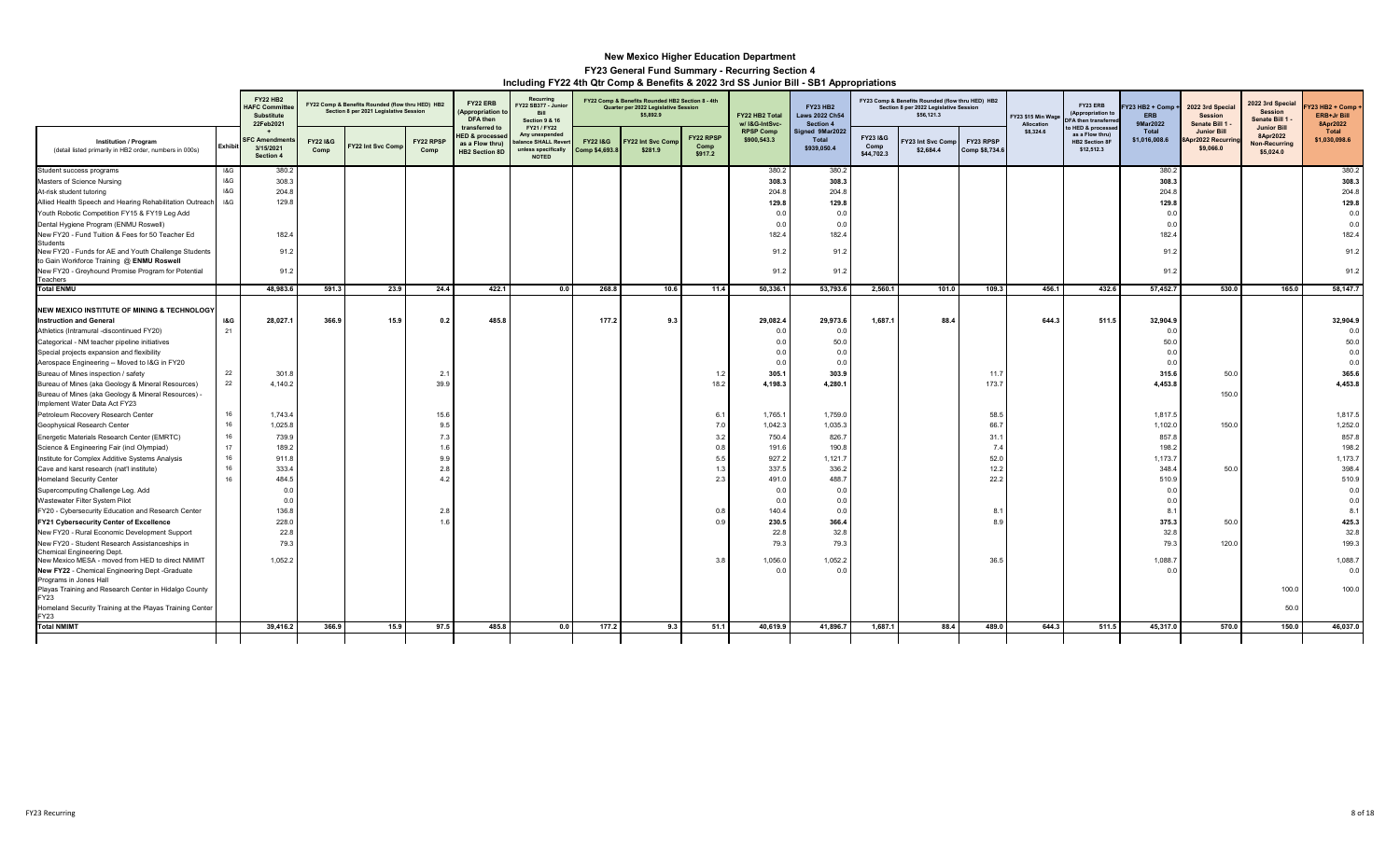|                                                                                                                      |                | <b>FY22 HB2</b><br><b>IAFC Commit</b><br><b>Substitute</b><br>22Feb2021 |                            | FY22 Comp & Benefits Rounded (flow thru HED) HB2<br>Section 8 per 2021 Legislative Session |                          | FY22 ERB<br><b>Appropriation</b><br>DFA then                                            | Recurring<br>Y22 SB377 - Junio<br>Bill<br><b>Section 9 &amp; 16</b>                       |                            | FY22 Comp & Benefits Rounded HB2 Section 8 - 4th<br>Quarter per 2022 Legislative Session<br>\$5,892.9 |                              | FY22 HB2 Total<br>w/ I&G-IntSvc- | <b>FY23 HB2</b><br>Laws 2022 Ch54<br>Section 4 |                               | FY23 Comp & Benefits Rounded (flow thru HED) HB2<br>Section 8 per 2022 Legislative Session<br>\$56,121.3 |                             | FY23 \$15 Min Wage<br>Allocation | FY23 ERB<br>(Appropriation t<br><b>FA then transferre</b>                | Y23 HB2 + Comp +<br><b>ERB</b><br>9Mar2022 | 2022 3rd Special<br><b>Session</b><br>Senate Bill 1  | 2022 3rd Special<br><b>Session</b><br>Senate Bill 1          | Y23 HB2 + Comp +<br><b>ERB+Jr Bill</b><br>8Apr2022 |
|----------------------------------------------------------------------------------------------------------------------|----------------|-------------------------------------------------------------------------|----------------------------|--------------------------------------------------------------------------------------------|--------------------------|-----------------------------------------------------------------------------------------|-------------------------------------------------------------------------------------------|----------------------------|-------------------------------------------------------------------------------------------------------|------------------------------|----------------------------------|------------------------------------------------|-------------------------------|----------------------------------------------------------------------------------------------------------|-----------------------------|----------------------------------|--------------------------------------------------------------------------|--------------------------------------------|------------------------------------------------------|--------------------------------------------------------------|----------------------------------------------------|
| <b>Institution / Program</b><br>(detail listed primarily in HB2 order, numbers in 000s)                              | <b>Exhibit</b> | <b>SFC Amendme</b><br>3/15/2021<br>Section 4                            | <b>FY221&amp;G</b><br>Comp | Y22 Int Svc Com                                                                            | <b>FY22 RPSF</b><br>Comp | transferred to<br><b>IED &amp; processe</b><br>as a Flow thru)<br><b>HB2 Section 8D</b> | FY21 / FY22<br>Any unexpended<br>alance SHALL Reve<br>unless specifically<br><b>NOTED</b> | FY22 1&G<br>Comp \$4,693.8 | Y22 Int Svc Com<br>\$281.9                                                                            | FY22 RPSP<br>Comp<br>\$917.2 | <b>RPSP Comp</b><br>\$900,543.3  | Signed 9Mar2022<br>Total<br>\$939,050.4        | FY231&G<br>Comp<br>\$44,702.3 | 23 Int Svc Comp<br>\$2,684.4                                                                             | FY23 RPSP<br>Comp \$8,734.6 | \$8,324.6                        | HED & processe<br>as a Flow thru)<br><b>HB2 Section 8F</b><br>\$12,512.3 | Total<br>\$1,016,008.6                     | <b>Junior Bill</b><br>Apr2022 Recurring<br>\$9,066.0 | <b>Junior Bill</b><br>8Apr2022<br>Non-Recurring<br>\$5,024.0 | Total<br>\$1,030,098.6                             |
| Student success programs                                                                                             | 18G            | 380.2                                                                   |                            |                                                                                            |                          |                                                                                         |                                                                                           |                            |                                                                                                       |                              | 380.2                            | 380.2                                          |                               |                                                                                                          |                             |                                  |                                                                          | 380.2                                      |                                                      |                                                              | 380.2                                              |
| Masters of Science Nursing                                                                                           | 18G            | 308.3                                                                   |                            |                                                                                            |                          |                                                                                         |                                                                                           |                            |                                                                                                       |                              | 308.3                            | 308.3                                          |                               |                                                                                                          |                             |                                  |                                                                          | 308.3                                      |                                                      |                                                              | 308.3                                              |
| At-risk student tutoring                                                                                             | 18G            | 204.8                                                                   |                            |                                                                                            |                          |                                                                                         |                                                                                           |                            |                                                                                                       |                              | 204.8                            | 204.8                                          |                               |                                                                                                          |                             |                                  |                                                                          | 204.8                                      |                                                      |                                                              | 204.8                                              |
| Allied Health Speech and Hearing Rehabilitation Outreach                                                             | 18G            | 129.8                                                                   |                            |                                                                                            |                          |                                                                                         |                                                                                           |                            |                                                                                                       |                              | 129.8                            | 129.8                                          |                               |                                                                                                          |                             |                                  |                                                                          | 129.8                                      |                                                      |                                                              | 129.8                                              |
| Youth Robotic Competition FY15 & FY19 Leg Add                                                                        |                |                                                                         |                            |                                                                                            |                          |                                                                                         |                                                                                           |                            |                                                                                                       |                              | 0.0                              | 0.0                                            |                               |                                                                                                          |                             |                                  |                                                                          | 0.0                                        |                                                      |                                                              | 0.0                                                |
| Dental Hygiene Program (ENMU Roswell)                                                                                |                |                                                                         |                            |                                                                                            |                          |                                                                                         |                                                                                           |                            |                                                                                                       |                              | 0.0                              | 0.0                                            |                               |                                                                                                          |                             |                                  |                                                                          | 0.0                                        |                                                      |                                                              | 0.0                                                |
| New FY20 - Fund Tuition & Fees for 50 Teacher Ed                                                                     |                | 182.                                                                    |                            |                                                                                            |                          |                                                                                         |                                                                                           |                            |                                                                                                       |                              | 182.4                            | 182.4                                          |                               |                                                                                                          |                             |                                  |                                                                          | 182.4                                      |                                                      |                                                              | 182.4                                              |
| <b>Students</b><br>New FY20 - Funds for AE and Youth Challenge Students<br>to Gain Workforce Training @ ENMU Roswell |                | 91.2                                                                    |                            |                                                                                            |                          |                                                                                         |                                                                                           |                            |                                                                                                       |                              | 91.2                             | 91.2                                           |                               |                                                                                                          |                             |                                  |                                                                          | 91.2                                       |                                                      |                                                              | 91.2                                               |
| New FY20 - Greyhound Promise Program for Potential<br>Teachers                                                       |                | 91.2                                                                    |                            |                                                                                            |                          |                                                                                         |                                                                                           |                            |                                                                                                       |                              | 91.2                             | 91.2                                           |                               |                                                                                                          |                             |                                  |                                                                          | 91.2                                       |                                                      |                                                              | 91.2                                               |
| <b>Total ENMU</b>                                                                                                    |                | 48,983.6                                                                | 591.3                      | 23.9                                                                                       | 24.4                     | 422.1                                                                                   | 0.0                                                                                       | 268.8                      | 10.6                                                                                                  | 11.4                         | 50,336.1                         | 53,793.6                                       | 2,560.1                       | 101.0                                                                                                    | 109.3                       | 456.1                            | 432.6                                                                    | 57,452.7                                   | 530.0                                                | 165.0                                                        | 58,147.7                                           |
| NEW MEXICO INSTITUTE OF MINING & TECHNOLOGY                                                                          |                |                                                                         |                            |                                                                                            |                          |                                                                                         |                                                                                           |                            |                                                                                                       |                              |                                  |                                                |                               |                                                                                                          |                             |                                  |                                                                          |                                            |                                                      |                                                              |                                                    |
| <b>Instruction and General</b>                                                                                       | <b>1&amp;G</b> | 28,027.1                                                                | 366.9                      | 15.9                                                                                       | 0.2                      | 485.8                                                                                   |                                                                                           | 177.2                      | 9.3                                                                                                   |                              | 29,082.4                         | 29,973.6                                       | 1,687.1                       | 88.4                                                                                                     |                             | 644.3                            | 511.5                                                                    | 32,904.9                                   |                                                      |                                                              | 32,904.9                                           |
| Athletics (Intramural -discontinued FY20)                                                                            | 21             |                                                                         |                            |                                                                                            |                          |                                                                                         |                                                                                           |                            |                                                                                                       |                              | 0.0                              | 0.0                                            |                               |                                                                                                          |                             |                                  |                                                                          | 0.0                                        |                                                      |                                                              | 0.0                                                |
| Categorical - NM teacher pipeline initiatives                                                                        |                |                                                                         |                            |                                                                                            |                          |                                                                                         |                                                                                           |                            |                                                                                                       |                              | 0.0                              | 50.0                                           |                               |                                                                                                          |                             |                                  |                                                                          | 50.0                                       |                                                      |                                                              | 50.0                                               |
| Special projects expansion and flexibility                                                                           |                |                                                                         |                            |                                                                                            |                          |                                                                                         |                                                                                           |                            |                                                                                                       |                              | 0.0                              | 0.0                                            |                               |                                                                                                          |                             |                                  |                                                                          | 0.0                                        |                                                      |                                                              | 0.0                                                |
| Aerospace Engineering -- Moved to I&G in FY20                                                                        |                |                                                                         |                            |                                                                                            |                          |                                                                                         |                                                                                           |                            |                                                                                                       |                              | 0.0                              | 0.0                                            |                               |                                                                                                          |                             |                                  |                                                                          | 0.0                                        |                                                      |                                                              | 0.0                                                |
| Bureau of Mines inspection / safety                                                                                  | 22             | 301.8                                                                   |                            |                                                                                            | 2.1                      |                                                                                         |                                                                                           |                            |                                                                                                       | 1.2                          | 305.1                            | 303.9                                          |                               |                                                                                                          | 11.7                        |                                  |                                                                          | 315.6                                      | 50.0                                                 |                                                              | 365.6                                              |
| Bureau of Mines (aka Geology & Mineral Resources)                                                                    | 22             | 4,140.2                                                                 |                            |                                                                                            | 39.9                     |                                                                                         |                                                                                           |                            |                                                                                                       | 18.2                         | 4,198.3                          | 4,280.1                                        |                               |                                                                                                          | 173.7                       |                                  |                                                                          | 4,453.8                                    |                                                      |                                                              | 4,453.8                                            |
| Bureau of Mines (aka Geology & Mineral Resources) -<br>Implement Water Data Act FY23                                 |                |                                                                         |                            |                                                                                            |                          |                                                                                         |                                                                                           |                            |                                                                                                       |                              |                                  |                                                |                               |                                                                                                          |                             |                                  |                                                                          |                                            | 150.0                                                |                                                              |                                                    |
| Petroleum Recovery Research Center                                                                                   | 16             | 1,743.4                                                                 |                            |                                                                                            | 15.6                     |                                                                                         |                                                                                           |                            |                                                                                                       | 6.1                          | 1,765.1                          | 1,759.0                                        |                               |                                                                                                          | 58.                         |                                  |                                                                          | 1.817.5                                    |                                                      |                                                              | 1,817.5                                            |
| Geophysical Research Center                                                                                          | 16             | 1,025.8                                                                 |                            |                                                                                            | 9.5                      |                                                                                         |                                                                                           |                            |                                                                                                       | 7.0                          | 1,042.3                          | 1.035.3                                        |                               |                                                                                                          | 66.                         |                                  |                                                                          | 1,102.0                                    | 150.0                                                |                                                              | 1,252.0                                            |
| Energetic Materials Research Center (EMRTC)                                                                          | 16             | 739.9                                                                   |                            |                                                                                            | 7.3                      |                                                                                         |                                                                                           |                            |                                                                                                       | 3.2                          | 750.4                            | 826.7                                          |                               |                                                                                                          | 31.1                        |                                  |                                                                          | 857.8                                      |                                                      |                                                              | 857.8                                              |
| Science & Engineering Fair (incl Olympiad)                                                                           | 17             | 189.2                                                                   |                            |                                                                                            | 1.6                      |                                                                                         |                                                                                           |                            |                                                                                                       | 0.8                          | 191.6                            | 190.8                                          |                               |                                                                                                          | 7.4                         |                                  |                                                                          | 198.2                                      |                                                      |                                                              | 198.2                                              |
| Institute for Complex Additive Systems Analysis                                                                      | 16             | 911.8                                                                   |                            |                                                                                            | 9.9                      |                                                                                         |                                                                                           |                            |                                                                                                       | 5.5                          | 927.2                            | 1,121.7                                        |                               |                                                                                                          | 52.0                        |                                  |                                                                          | 1,173.7                                    |                                                      |                                                              | 1,173.7                                            |
| Cave and karst research (nat'l institute)                                                                            | 16             | 333.4                                                                   |                            |                                                                                            | 2.8                      |                                                                                         |                                                                                           |                            |                                                                                                       | 1.3                          | 337.5                            | 336.2                                          |                               |                                                                                                          | 12.2                        |                                  |                                                                          | 348.4                                      | 50.0                                                 |                                                              | 398.4                                              |
| <b>Homeland Security Center</b>                                                                                      | 16             | 484.5                                                                   |                            |                                                                                            | $\overline{4}$ :         |                                                                                         |                                                                                           |                            |                                                                                                       | 2.3                          | 491.0                            | 488.7                                          |                               |                                                                                                          | 22.2                        |                                  |                                                                          | 510.9                                      |                                                      |                                                              | 510.9                                              |
| Supercomputing Challenge Leg. Add                                                                                    |                | 0.0                                                                     |                            |                                                                                            |                          |                                                                                         |                                                                                           |                            |                                                                                                       |                              | 0.0                              | 0.0                                            |                               |                                                                                                          |                             |                                  |                                                                          | 0.0                                        |                                                      |                                                              | 0.0                                                |
| Wastewater Filter System Pilot                                                                                       |                | 0.0                                                                     |                            |                                                                                            |                          |                                                                                         |                                                                                           |                            |                                                                                                       |                              | 0.0                              | 0.0                                            |                               |                                                                                                          |                             |                                  |                                                                          | 0.0                                        |                                                      |                                                              | 0.0                                                |
| FY20 - Cybersecurity Education and Research Center                                                                   |                | 136.8                                                                   |                            |                                                                                            | 2.8                      |                                                                                         |                                                                                           |                            |                                                                                                       | 0.8                          | 140.4                            | 0.0                                            |                               |                                                                                                          | 8.                          |                                  |                                                                          | 8.1                                        |                                                      |                                                              | 8.1                                                |
| FY21 Cybersecurity Center of Excellence                                                                              |                | 228.0                                                                   |                            |                                                                                            | $-11$                    |                                                                                         |                                                                                           |                            |                                                                                                       | 0.9                          | 230.5                            | 366.4                                          |                               |                                                                                                          | 8.                          |                                  |                                                                          | 375.3                                      | 50.0                                                 |                                                              | 425.3                                              |
| New FY20 - Rural Economic Development Support                                                                        |                | 22.8                                                                    |                            |                                                                                            |                          |                                                                                         |                                                                                           |                            |                                                                                                       |                              | 22.8                             | 32.8                                           |                               |                                                                                                          |                             |                                  |                                                                          | 32.8                                       |                                                      |                                                              | 32.8                                               |
| New FY20 - Student Research Assistanceships in<br>Chemical Engineering Dept.                                         |                | 79.3                                                                    |                            |                                                                                            |                          |                                                                                         |                                                                                           |                            |                                                                                                       |                              | 79.3                             | 79.3                                           |                               |                                                                                                          |                             |                                  |                                                                          | 79.3                                       | 120.0                                                |                                                              | 199.3                                              |
| New Mexico MESA - moved from HED to direct NMIMT<br>New FY22 - Chemical Engineering Dept -Graduate                   |                | 1,052.2                                                                 |                            |                                                                                            |                          |                                                                                         |                                                                                           |                            |                                                                                                       | 3.8                          | 1,056.0<br>0.0                   | 1,052.2<br>0.0                                 |                               |                                                                                                          | 36.5                        |                                  |                                                                          | 1,088.7<br>0.0                             |                                                      |                                                              | 1,088.7<br>0.0                                     |
| Programs in Jones Hall<br>Playas Training and Research Center in Hidalgo County                                      |                |                                                                         |                            |                                                                                            |                          |                                                                                         |                                                                                           |                            |                                                                                                       |                              |                                  |                                                |                               |                                                                                                          |                             |                                  |                                                                          |                                            |                                                      | 100.0                                                        | 100.0                                              |
| FY23<br>Homeland Security Training at the Playas Training Center                                                     |                |                                                                         |                            |                                                                                            |                          |                                                                                         |                                                                                           |                            |                                                                                                       |                              |                                  |                                                |                               |                                                                                                          |                             |                                  |                                                                          |                                            |                                                      | 50.0                                                         |                                                    |
| FY23                                                                                                                 |                |                                                                         |                            |                                                                                            |                          |                                                                                         |                                                                                           |                            |                                                                                                       |                              |                                  |                                                |                               |                                                                                                          |                             |                                  |                                                                          |                                            |                                                      |                                                              |                                                    |
| <b>Total NMIMT</b>                                                                                                   |                | 39,416.2                                                                | 366.9                      | 15.9                                                                                       | 97.5                     | 485.8                                                                                   | 0.0                                                                                       | 177.2                      | 9.3                                                                                                   | 51.1                         | 40,619.9                         | 41,896.7                                       | 1,687.1                       | 88.4                                                                                                     | 489.0                       | 644.3                            | 511.5                                                                    | 45,317.0                                   | 570.0                                                | 150.0                                                        | 46,037.0                                           |
|                                                                                                                      |                |                                                                         |                            |                                                                                            |                          |                                                                                         |                                                                                           |                            |                                                                                                       |                              |                                  |                                                |                               |                                                                                                          |                             |                                  |                                                                          |                                            |                                                      |                                                              |                                                    |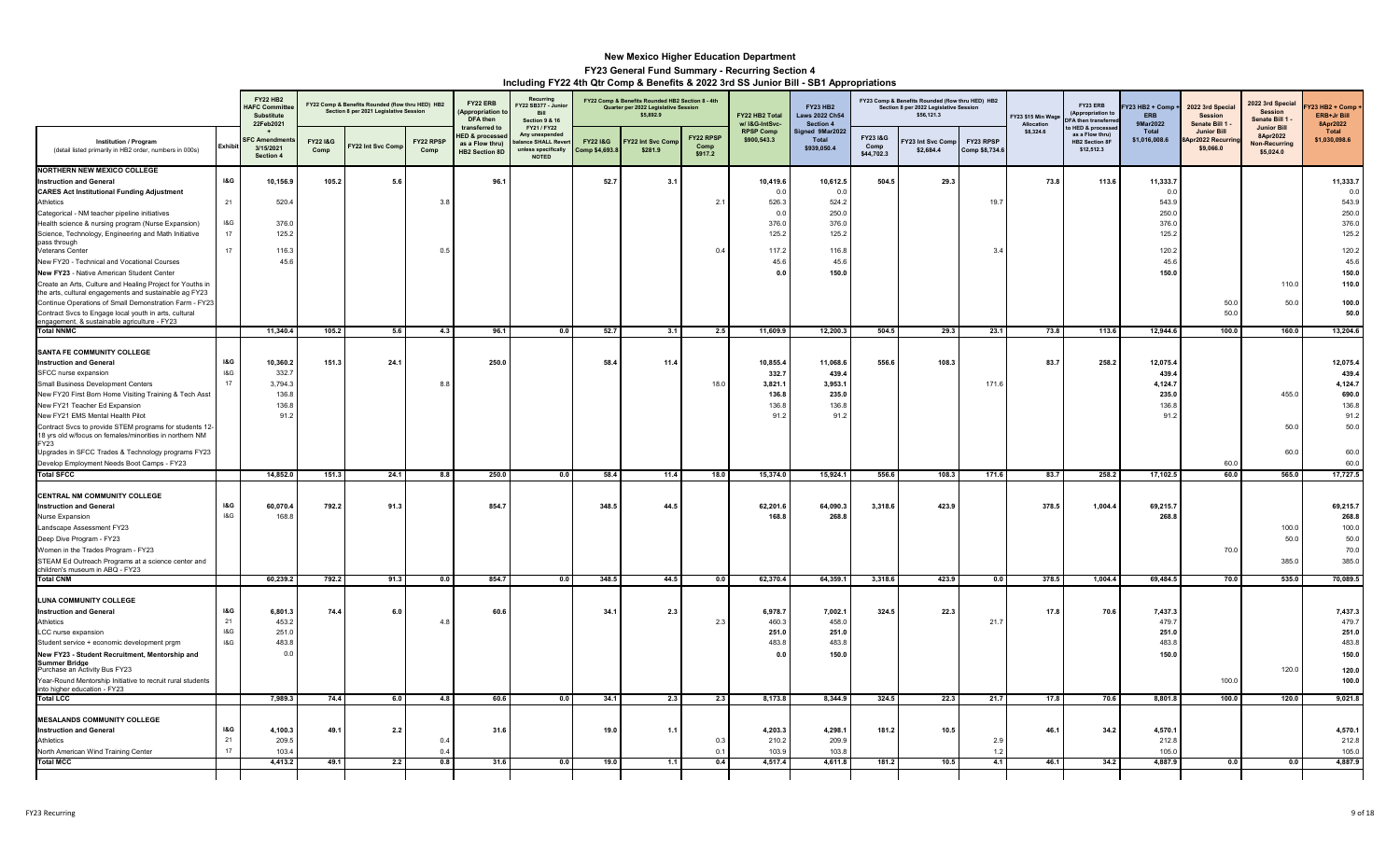|                                                                                                                                                                                                                                                                                                                                                                                                                  |                                    | <b>FY22 HB2</b><br><b>IAFC Commi</b><br>Substitute<br>22Feb2021 |                 | FY22 Comp & Benefits Rounded (flow thru HED) HB2<br>Section 8 per 2021 Legislative Session |                          | FY22 ERB<br>Appropriation<br>DFA then<br>transferred to               | Recurring<br>Y22 SB377 - Junio<br>Bill<br>Section 9 & 16<br>FY21 / FY22 |                                       | FY22 Comp & Benefits Rounded HB2 Section 8 - 4th<br>Quarter per 2022 Legislative Session<br>\$5,892.9 |                              | FY22 HB2 Total<br>w/ I&G-IntSvc-                       | <b>FY23 HB2</b><br><b>Laws 2022 Ch54</b><br>Section 4  |                               | FY23 Comp & Benefits Rounded (flow thru HED) HB2<br>Section 8 per 2022 Legislative Session<br>\$56,121.3 |                             | FY23 \$15 Min Wage<br>Allocation | FY23 ERB<br>(Appropriation to<br><b>DFA then transfer</b><br>HED & processe | Y23 HB2 + Comp +<br><b>ERB</b><br>9Mar2022             | 2022 3rd Special<br><b>Session</b><br>Senate Bill 1 | 2022 3rd Specia<br><b>Session</b><br>Senate Bill 1<br><b>Junior Bill</b> | (23 HB2 + Comp<br>ERB+Jr Bill<br>8Apr2022                      |
|------------------------------------------------------------------------------------------------------------------------------------------------------------------------------------------------------------------------------------------------------------------------------------------------------------------------------------------------------------------------------------------------------------------|------------------------------------|-----------------------------------------------------------------|-----------------|--------------------------------------------------------------------------------------------|--------------------------|-----------------------------------------------------------------------|-------------------------------------------------------------------------|---------------------------------------|-------------------------------------------------------------------------------------------------------|------------------------------|--------------------------------------------------------|--------------------------------------------------------|-------------------------------|----------------------------------------------------------------------------------------------------------|-----------------------------|----------------------------------|-----------------------------------------------------------------------------|--------------------------------------------------------|-----------------------------------------------------|--------------------------------------------------------------------------|----------------------------------------------------------------|
| <b>Institution / Program</b><br>(detail listed primarily in HB2 order, numbers in 000s)                                                                                                                                                                                                                                                                                                                          | Exhibit                            | <sup>∶</sup> C Amendı<br>3/15/2021<br>Section 4                 | FY221&G<br>Comp | Y22 Int Svc Com                                                                            | <b>FY22 RPSF</b><br>Comp | <b>IED &amp; processe</b><br>as a Flow thrul<br><b>HB2 Section 8D</b> | Any unexpende<br>lance SHALL Rev<br>unless specifically<br><b>NOTED</b> | <b>FY22 1&amp;G</b><br>Comp \$4,693.8 | Y22 Int Svc Com<br>\$281.9                                                                            | FY22 RPSF<br>Comp<br>\$917.2 | <b>RPSP Comp</b><br>\$900,543.3                        | Signed 9Mar2022<br>Total<br>\$939,050.4                | FY231&G<br>Comp<br>\$44,702.3 | 23 Int Svc Comp<br>\$2,684.4                                                                             | FY23 RPSP<br>Comp \$8,734.6 | \$8,324.6                        | as a Flow thru)<br><b>HB2 Section 8F</b><br>\$12,512.3                      | Total<br>\$1,016,008.6                                 | <b>Junior Bill</b><br>or2022 Recurri<br>\$9,066.0   | 8Apr2022<br>Non-Recurring<br>\$5,024.0                                   | Total<br>\$1,030,098.6                                         |
| <b>NORTHERN NEW MEXICO COLLEGE</b><br><b>Instruction and General</b><br><b>CARES Act Institutional Funding Adjustment</b><br>Athletics                                                                                                                                                                                                                                                                           | <b>1&amp;G</b><br>21               | 10,156.9<br>520.4                                               | 105.2           | $5.6\,$                                                                                    | 3.1                      | 96.1                                                                  |                                                                         | 52.7                                  | 3.1                                                                                                   | 2.1                          | 10,419.6<br>0.0<br>526.3                               | 10,612.5<br>0.1<br>524.2                               | 504.5                         | 29.3                                                                                                     | 19.7                        | 73.8                             | 113.6                                                                       | 11,333.7<br>0.0<br>543.9                               |                                                     |                                                                          | 11,333.7<br>0.0<br>543.9                                       |
| Categorical - NM teacher pipeline initiatives<br>Health science & nursing program (Nurse Expansion)<br>Science, Technology, Engineering and Math Initiative<br>pass through<br>Veterans Cente<br>New FY20 - Technical and Vocational Courses<br>New FY23 - Native American Student Center<br>Create an Arts, Culture and Healing Project for Youths in<br>the arts, cultural engagements and sustainable ag FY23 | $18\,\mathrm{G}$<br>17<br>17       | 376.0<br>125.2<br>116.<br>45.6                                  |                 |                                                                                            | 0.5                      |                                                                       |                                                                         |                                       |                                                                                                       | 0.4                          | 0.0<br>376.0<br>125.2<br>117.2<br>45.6<br>0.0          | 250.0<br>376.0<br>125.2<br>116.8<br>45.6<br>150.0      |                               |                                                                                                          | 3.                          |                                  |                                                                             | 250.0<br>376.0<br>125.2<br>120.2<br>45.6<br>150.0      |                                                     | 110.0                                                                    | 250.0<br>376.0<br>125.2<br>120.2<br>45.6<br>150.0<br>110.0     |
| Continue Operations of Small Demonstration Farm - FY23<br>Contract Svcs to Engage local youth in arts, cultural<br>engagement, & sustainable agriculture - FY23                                                                                                                                                                                                                                                  |                                    |                                                                 |                 |                                                                                            |                          |                                                                       |                                                                         |                                       |                                                                                                       |                              |                                                        |                                                        |                               |                                                                                                          |                             |                                  |                                                                             |                                                        | 50.0<br>50.0                                        | 50.0                                                                     | 100.0<br>50.0                                                  |
| <b>Total NNMC</b>                                                                                                                                                                                                                                                                                                                                                                                                |                                    | 11,340.4                                                        | 105.2           | 5.6                                                                                        | 4.3                      | 96.1                                                                  | 0.0                                                                     | 52.7                                  | 3.1                                                                                                   | 2.5                          | 11,609.9                                               | 12,200.3                                               | 504.5                         | 29.3                                                                                                     | 23.1                        | 73.8                             | 113.6                                                                       | 12,944.6                                               | 100.0                                               | 160.0                                                                    | 13,204.6                                                       |
| SANTA FE COMMUNITY COLLEGE<br><b>Instruction and General</b><br>SFCC nurse expansion<br>Small Business Development Centers<br>New FY20 First Born Home Visiting Training & Tech Asst<br>New FY21 Teacher Ed Expansion<br>New FY21 EMS Mental Health Pilot<br>Contract Svcs to provide STEM programs for students 12-<br>18 yrs old w/focus on females/minorities in northern NM                                  | <b>I&amp;G</b><br>18G<br>17        | 10,360.2<br>332.7<br>3,794.3<br>136.<br>136.8<br>91.2           | 151.3           | 24.1                                                                                       | 8.1                      | 250.0                                                                 |                                                                         | 58.4                                  | 11.4                                                                                                  | 18.0                         | 10,855.4<br>332.7<br>3,821.1<br>136.8<br>136.8<br>91.2 | 11,068.6<br>439.4<br>3,953.1<br>235.0<br>136.8<br>91.2 | 556.6                         | 108.3                                                                                                    | 171.6                       | 83.7                             | 258.2                                                                       | 12,075.4<br>439.4<br>4,124.7<br>235.0<br>136.8<br>91.2 |                                                     | 455.0<br>50.0                                                            | 12,075.4<br>439.4<br>4,124.7<br>690.0<br>136.8<br>91.2<br>50.0 |
| <b>FY23</b><br>Upgrades in SFCC Trades & Technology programs FY23<br>Develop Employment Needs Boot Camps - FY23                                                                                                                                                                                                                                                                                                  |                                    |                                                                 |                 |                                                                                            |                          |                                                                       |                                                                         |                                       |                                                                                                       |                              |                                                        |                                                        |                               |                                                                                                          |                             |                                  |                                                                             |                                                        | 60.0                                                | 60.0                                                                     | 60.0<br>60.0                                                   |
| <b>Total SFCC</b>                                                                                                                                                                                                                                                                                                                                                                                                |                                    | 14,852.0                                                        | 151.3           | 24.1                                                                                       | 8.8                      | 250.0                                                                 | 0.0                                                                     | 58.4                                  | 11.4                                                                                                  | 18.0                         | 15,374.0                                               | 15,924.1                                               | 556.6                         | 108.3                                                                                                    | 171.6                       | 83.7                             | 258.2                                                                       | 17,102.5                                               | 60.0                                                | 565.0                                                                    | 17,727.5                                                       |
| CENTRAL NM COMMUNITY COLLEGE<br><b>Instruction and General</b><br>Nurse Expansion<br>Landscape Assessment FY23<br>Deep Dive Program - FY23<br>Women in the Trades Program - FY23<br>STEAM Ed Outreach Programs at a science center and<br>hildren's museum in ABQ - FY23                                                                                                                                         | <b>I&amp;G</b><br>18G              | 60,070.4<br>168.8                                               | 792.2           | 91.3                                                                                       |                          | 854.7                                                                 |                                                                         | 348.5                                 | 44.5                                                                                                  |                              | 62,201.6<br>168.8                                      | 64,090.3<br>268.8                                      | 3,318.6                       | 423.9                                                                                                    |                             | 378.5                            | 1,004.4                                                                     | 69,215.7<br>268.8                                      | 70.0                                                | 100.0<br>50.0<br>385.0                                                   | 69,215.7<br>268.8<br>100.0<br>50.0<br>70.0<br>385.0            |
| <b>Total CNM</b>                                                                                                                                                                                                                                                                                                                                                                                                 |                                    | 60,239.2                                                        | 792.2           | 91.3                                                                                       | 0.0                      | 854.7                                                                 | 0.0                                                                     | 348.5                                 | 44.5                                                                                                  | 0.0                          | 62,370.4                                               | 64,359.1                                               | 3,318.6                       | 423.9                                                                                                    | 0.0                         | 378.5                            | 1,004.4                                                                     | 69,484.5                                               | 70.0                                                | 535.0                                                                    | 70,089.5                                                       |
| <b>LUNA COMMUNITY COLLEGE</b><br><b>Instruction and General</b><br>Athletics<br>LCC nurse expansion<br>Student service + economic development prgm<br>New FY23 - Student Recruitment, Mentorship and<br><b>Summer Bridge</b><br>Purchase an Activity Bus FY23<br>Year-Round Mentorship Initiative to recruit rural students<br>into higher education - FY23                                                      | <b>I&amp;G</b><br>21<br>18G<br>18G | 6,801.3<br>453.2<br>251.0<br>483.8<br>0.0                       | 74.4            | 6.0                                                                                        | $\overline{4}$           | 60.6                                                                  |                                                                         | 34.1                                  | 2.3                                                                                                   | 2.3                          | 6,978.7<br>460.3<br>251.0<br>483.8<br>0.0              | 7,002.1<br>458.0<br>251.0<br>483.8<br>150.0            | 324.5                         | 22.3                                                                                                     | 21.7                        | 17.8                             | 70.6                                                                        | 7,437.3<br>479.7<br>251.0<br>483.8<br>150.0            | 100.0                                               | 120.0                                                                    | 7,437.3<br>479.7<br>251.0<br>483.8<br>150.0<br>120.0<br>100.0  |
| <b>Total LCC</b>                                                                                                                                                                                                                                                                                                                                                                                                 |                                    | 7,989.3                                                         | 74.4            | 6.0                                                                                        | 4.8                      | 60.6                                                                  | 0.0                                                                     | 34.1                                  | 2.3                                                                                                   | 2.3                          | 8,173.8                                                | 8.344.9                                                | 324.5                         | 22.3                                                                                                     | 21.7                        | 17.8                             | 70.6                                                                        | 8,801.8                                                | 100.0                                               | 120.0                                                                    | 9,021.8                                                        |
| <b>MESALANDS COMMUNITY COLLEGE</b><br><b>Instruction and General</b><br>Athletics<br>North American Wind Training Center                                                                                                                                                                                                                                                                                         | <b>I&amp;G</b><br>21<br>17         | 4,100.3<br>209.<br>103.4                                        | 49.1            | 2.2                                                                                        | 0.4<br>0.4               | 31.6                                                                  |                                                                         | 19.0                                  | 1.1                                                                                                   | 0.3<br>0.1                   | 4,203.3<br>210.2<br>103.9                              | 4,298.1<br>209.9<br>103.8                              | 181.2                         | 10.5                                                                                                     | 2.9<br>1.2                  | 46.1                             | 34.2                                                                        | 4,570.1<br>212.8<br>105.0                              |                                                     |                                                                          | 4,570.1<br>212.8<br>105.0                                      |
| <b>Total MCC</b>                                                                                                                                                                                                                                                                                                                                                                                                 |                                    | 4,413.2                                                         | 49.1            | 2.2                                                                                        | 0.8                      | 31.6                                                                  | 0.0                                                                     | 19.0                                  | 1.1                                                                                                   | 0.4                          | 4,517.4                                                | 4,611.8                                                | 181.2                         | 10.5                                                                                                     | 4.1                         | 46.1                             | 34.2                                                                        | 4,887.9                                                | 0.0                                                 | 0.0                                                                      | 4,887.9                                                        |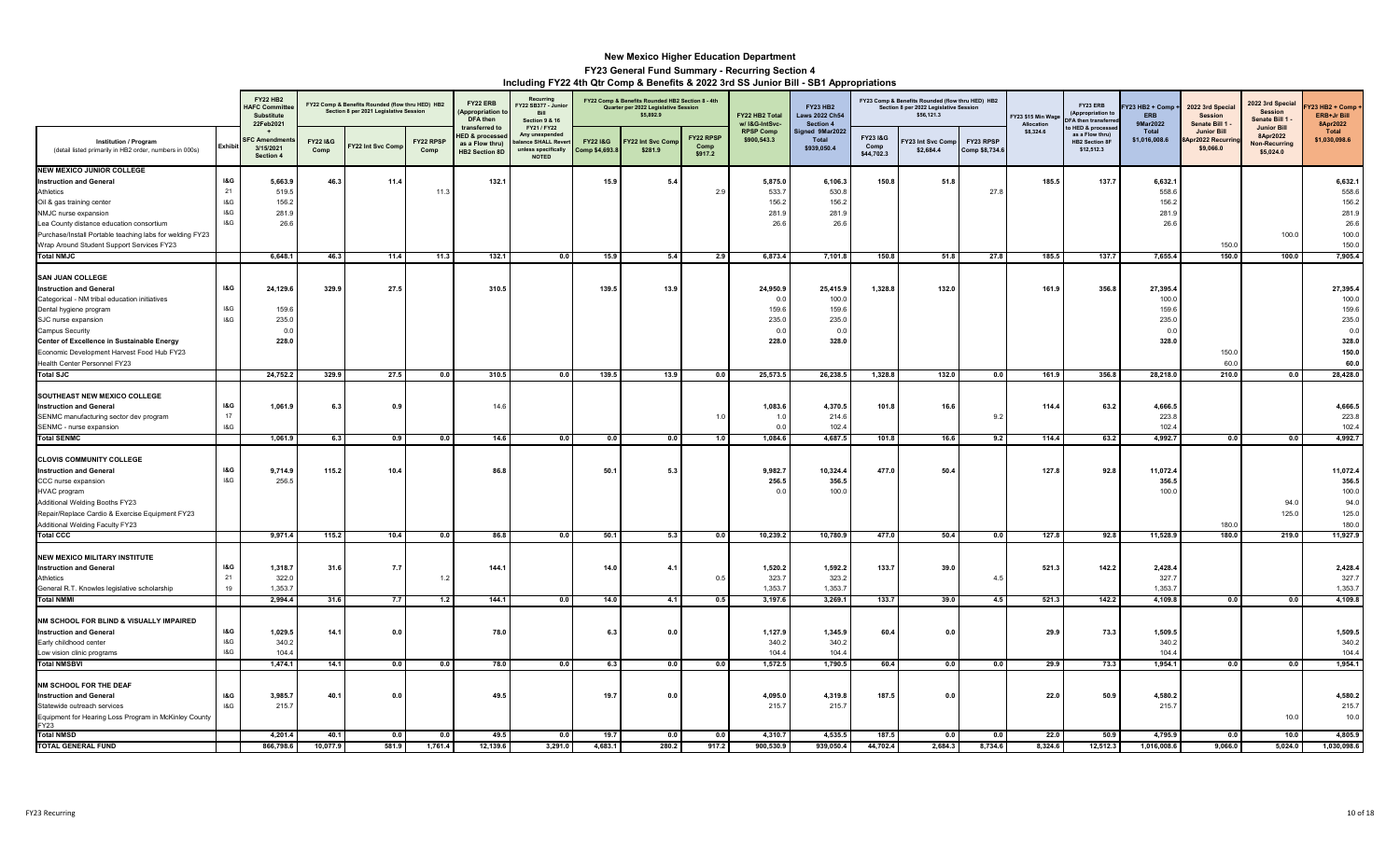|                                                                                                                                                                                                                                                                                                            |                                               | <b>FY22 HB2</b><br><b>HAFC Committe</b><br><b>Substitute</b><br>22Feb2021 |                            | FY22 Comp & Benefits Rounded (flow thru HED) HB2<br>Section 8 per 2021 Legislative Session |                   | FY22 ERB<br>(Appropriation<br>DFA then<br>transferred to              | Recurring<br>FY22 SB377 - Junio<br><b>Rill</b><br><b>Section 9 &amp; 16</b><br>FY21 / FY22 |                                       | FY22 Comp & Benefits Rounded HB2 Section 8 - 4th<br>Quarter per 2022 Legislative Session<br>\$5,892.9 |                              | FY22 HB2 Total<br>w/ I&G-IntSvc-                  | <b>FY23 HB2</b><br><b>Laws 2022 Ch54</b><br>Section 4 |                               | FY23 Comp & Benefits Rounded (flow thru HED) HB2<br>Section 8 per 2022 Legislative Session<br>\$56,121.3 |                             | Y23 \$15 Min Wage<br>Allocation | FY23 ERB<br>(Appropriation to<br><b>FA then transferre</b><br>o HED & processe | Y23 HB2 + Comp ·<br><b>FRR</b><br>9Mar2022          | 2022 3rd Special<br><b>Session</b><br>Senate Bill 1 | 2022 3rd Special<br><b>Session</b><br>Senate Bill 1<br><b>Junior Bill</b> | <b>723 HB2 + Comp</b><br>ERB+Jr Bill<br>8Apr2022                     |
|------------------------------------------------------------------------------------------------------------------------------------------------------------------------------------------------------------------------------------------------------------------------------------------------------------|-----------------------------------------------|---------------------------------------------------------------------------|----------------------------|--------------------------------------------------------------------------------------------|-------------------|-----------------------------------------------------------------------|--------------------------------------------------------------------------------------------|---------------------------------------|-------------------------------------------------------------------------------------------------------|------------------------------|---------------------------------------------------|-------------------------------------------------------|-------------------------------|----------------------------------------------------------------------------------------------------------|-----------------------------|---------------------------------|--------------------------------------------------------------------------------|-----------------------------------------------------|-----------------------------------------------------|---------------------------------------------------------------------------|----------------------------------------------------------------------|
| Institution / Program<br>(detail listed primarily in HB2 order, numbers in 000s)                                                                                                                                                                                                                           | Exhibit                                       | <b>SFC Amendme</b><br>3/15/2021<br>Section 4                              | <b>FY221&amp;G</b><br>Comp | Y22 Int Svc Com                                                                            | FY22 RPSP<br>Comp | <b>IED &amp; processe</b><br>as a Flow thru)<br><b>HB2 Section 8D</b> | Any unexpender<br>ance SHALL Reve<br>unless specifically<br><b>NOTED</b>                   | <b>FY22 I&amp;G</b><br>Comp \$4,693.8 | Y22 Int Svc Con<br>\$281.9                                                                            | FY22 RPSP<br>Comp<br>\$917.2 | <b>RPSP Comp</b><br>\$900,543.3                   | Signed 9Mar2022<br>Total<br>\$939,050.4               | FY231&G<br>Comp<br>\$44,702.3 | Y23 Int Svc Comp<br>\$2,684.4                                                                            | FY23 RPSP<br>Comp \$8,734.6 | \$8,324.6                       | as a Flow thru)<br><b>HB2 Section 8F</b><br>\$12,512.3                         | Total<br>\$1,016,008.6                              | <b>Junior Bill</b><br>Apr2022 Recurri<br>\$9,066.0  | 8Apr2022<br><b>Non-Recurring</b><br>\$5,024.0                             | <b>Total</b><br>\$1,030,098.6                                        |
| <b>NEW MEXICO JUNIOR COLLEGE</b><br><b>Instruction and General</b><br>Athletics<br>Oil & gas training center<br>NMJC nurse expansion<br>Lea County distance education consortium<br>Purchase/Install Portable teaching labs for welding FY23<br>Wrap Around Student Support Services FY23                  | <b>I&amp;G</b><br>21<br>$18G$<br>$18G$<br>18G | 5,663.9<br>519.5<br>156.2<br>281.9<br>26.6                                | 46.3                       | 11.4                                                                                       | 11.               | 132.1                                                                 |                                                                                            | 15.9                                  | 5.4                                                                                                   | 2.9                          | 5,875.0<br>533.<br>156.2<br>281.<br>26.6          | 6,106.3<br>530.8<br>156.2<br>281.9<br>26.6            | 150.8                         | 51.8                                                                                                     | 27.8                        | 185.5                           | 137.7                                                                          | 6,632.1<br>558.6<br>156.2<br>281.9<br>26.6          | 150.0                                               | 100.0                                                                     | 6,632.1<br>558.6<br>156.2<br>281.9<br>26.6<br>100.0<br>150.0         |
| <b>Total NMJC</b>                                                                                                                                                                                                                                                                                          |                                               | 6,648.1                                                                   | 46.3                       | 11.4                                                                                       | 11.3              | 132.1                                                                 | 0.0                                                                                        | 15.9                                  | 5.4                                                                                                   | 2.9                          | 6,873.4                                           | 7,101.8                                               | 150.8                         | 51.8                                                                                                     | 27.8                        | 185.5                           | 137.7                                                                          | 7,655.4                                             | 150.0                                               | 100.0                                                                     | 7,905.4                                                              |
| <b>SAN JUAN COLLEGE</b><br><b>Instruction and General</b><br>Categorical - NM tribal education initiatives<br>Dental hygiene program<br>SJC nurse expansion<br>Campus Security<br>Center of Excellence in Sustainable Energy<br>Economic Development Harvest Food Hub FY23<br>Health Center Personnel FY23 | <b>I&amp;G</b><br>18G<br>18G                  | 24,129.<br>159.6<br>235.0<br>0.0<br>228.0                                 | 329.9                      | 27.5                                                                                       |                   | 310.5                                                                 |                                                                                            | 139.5                                 | 13.9                                                                                                  |                              | 24,950.9<br>0.0<br>159.6<br>235.0<br>0.0<br>228.0 | 25,415.9<br>100.0<br>159.6<br>235.0<br>0.0<br>328.0   | 1,328.8                       | 132.0                                                                                                    |                             | 161.9                           | 356.8                                                                          | 27,395.4<br>100.0<br>159.6<br>235.0<br>0.0<br>328.0 | 150.0<br>60.0                                       |                                                                           | 27,395.4<br>100.0<br>159.6<br>235.0<br>0.0<br>328.0<br>150.0<br>60.0 |
| <b>Total SJC</b>                                                                                                                                                                                                                                                                                           |                                               | 24,752.2                                                                  | 329.9                      | 27.5                                                                                       | 0.0               | 310.5                                                                 | 0.0                                                                                        | 139.5                                 | 13.9                                                                                                  | 0.0                          | 25,573.5                                          | 26,238.5                                              | 1,328.8                       | 132.0                                                                                                    | 0.0                         | 161.9                           | 356.8                                                                          | 28,218.0                                            | 210.0                                               | 0.0                                                                       | 28,428.0                                                             |
| SOUTHEAST NEW MEXICO COLLEGE<br><b>Instruction and General</b><br>SENMC manufacturing sector dev program<br>SENMC - nurse expansion                                                                                                                                                                        | 18G<br>17<br>$18G$                            | 1,061.9                                                                   | 6.3                        | 0.9                                                                                        |                   | 14.6                                                                  |                                                                                            |                                       |                                                                                                       | 1.0                          | 1,083.6<br>1.0<br>0.0                             | 4,370.5<br>214.6<br>102.4                             | 101.8                         | 16.6                                                                                                     | 9.2                         | 114.4                           | 63.2                                                                           | 4,666.5<br>223.8<br>102.4                           |                                                     |                                                                           | 4,666.5<br>223.8<br>102.4                                            |
| <b>Total SENMC</b>                                                                                                                                                                                                                                                                                         |                                               | 1,061.9                                                                   | 6.3                        | 0.9                                                                                        | 0.0               | 14.6                                                                  | 0.0                                                                                        | 0.0                                   | 0.0                                                                                                   | 1.0                          | 1,084.6                                           | 4,687.5                                               | 101.8                         | 16.6                                                                                                     | 9.2                         | 114.4                           | 63.2                                                                           | 4,992.7                                             | 0.0                                                 | 0.0                                                                       | 4,992.7                                                              |
| <b>CLOVIS COMMUNITY COLLEGE</b><br><b>Instruction and General</b><br>CCC nurse expansion<br>HVAC program<br>Additional Welding Booths FY23<br>Repair/Replace Cardio & Exercise Equipment FY23<br>Additional Welding Faculty FY23                                                                           | <b>I&amp;G</b><br>$18G$                       | 9,714.9<br>256.5                                                          | 115.2                      | 10.4                                                                                       |                   | 86.8                                                                  |                                                                                            | 50.1                                  | 5.3                                                                                                   |                              | 9,982.7<br>256.5<br>0.0                           | 10,324.4<br>356.5<br>100.0                            | 477.0                         | 50.4                                                                                                     |                             | 127.8                           | 92.8                                                                           | 11,072.4<br>356.5<br>100.0                          | 180.0                                               | 94.0<br>125.0                                                             | 11,072.4<br>356.5<br>100.0<br>94.0<br>125.0<br>180.0                 |
| <b>Total CCC</b>                                                                                                                                                                                                                                                                                           |                                               | 9,971.4                                                                   | 115.2                      | 10.4                                                                                       | 0.0               | 86.8                                                                  | 0.0                                                                                        | 50.1                                  | 5.3                                                                                                   | 0.0                          | 10,239.2                                          | 10,780.9                                              | 477.0                         | 50.4                                                                                                     | 0.0                         | 127.8                           | 92.8                                                                           | 11,528.9                                            | 180.0                                               | 219.0                                                                     | 11,927.9                                                             |
| NEW MEXICO MILITARY INSTITUTE<br><b>Instruction and General</b><br>Athletics<br>General R.T. Knowles legislative scholarship<br><b>Total NMMI</b>                                                                                                                                                          | <b>1&amp;G</b><br>21<br>19                    | 1,318.7<br>322.0<br>1.353.7<br>2,994.4                                    | 31.6<br>31.6               | 7.7<br>7.7                                                                                 | 1.2<br>1.2        | 144.1<br>144.1                                                        | 0.0                                                                                        | 14.0<br>14.0                          | 4.<br>4.1                                                                                             | 0.5<br>0.5                   | 1,520.2<br>323.7<br>1.353.7<br>3,197.6            | 1,592.2<br>323.2<br>1.353.7<br>3,269.1                | 133.7<br>133.7                | 39.0<br>39.0                                                                                             | 4.5<br>4.5                  | 521.3<br>521.3                  | 142.2<br>142.2                                                                 | 2,428.4<br>327.7<br>1.353.7<br>4,109.8              | 0.0                                                 | 0.0                                                                       | 2,428.4<br>327.7<br>1,353.7<br>4,109.8                               |
| NM SCHOOL FOR BLIND & VISUALLY IMPAIRED<br><b>Instruction and General</b><br>Early childhood center<br>Low vision clinic programs                                                                                                                                                                          | <b>I&amp;G</b><br>18G<br>18G                  | 1,029.<br>340.2<br>104.4                                                  | 14.1                       | 0.0                                                                                        |                   | 78.0                                                                  |                                                                                            | 6.3                                   | 0.0                                                                                                   |                              | 1,127.9<br>340.2<br>104.4                         | 1,345.9<br>340.2<br>104.4                             | 60.4                          | 0.0                                                                                                      |                             | 29.9                            | 73.3                                                                           | 1,509.<br>340.2<br>104.4                            |                                                     |                                                                           | 1,509.5<br>340.2<br>104.4                                            |
| <b>Total NMSBVI</b>                                                                                                                                                                                                                                                                                        |                                               | 1.474.1                                                                   | 14.1                       | 0.0                                                                                        | 0.0               | 78.0                                                                  | 0.0                                                                                        | 6.3                                   | 0.0                                                                                                   | 0.0                          | 1,572.5                                           | 1,790.5                                               | 60.4                          | 0.0                                                                                                      | 0.0                         | 29.9                            | 73.3                                                                           | 1,954.1                                             | 0.0                                                 | 0.0                                                                       | 1,954.1                                                              |
| NM SCHOOL FOR THE DEAF<br><b>Instruction and General</b><br>Statewide outreach services<br>Equipment for Hearing Loss Program in McKinley County<br>FY23<br>Total NMSD                                                                                                                                     | <b>I&amp;G</b><br>18G                         | 3,985.7<br>215.7                                                          | 40.1                       | 0.0                                                                                        |                   | 49.5                                                                  |                                                                                            | 19.7                                  | 0.0                                                                                                   |                              | 4,095.0<br>215.7                                  | 4,319.8<br>215.7                                      | 187.5                         | 0.0                                                                                                      |                             | 22.0                            | 50.9                                                                           | 4,580.2<br>215.7                                    |                                                     | 10.0                                                                      | 4,580.2<br>215.7<br>10.0                                             |
| <b>TOTAL GENERAL FUND</b>                                                                                                                                                                                                                                                                                  |                                               | 4,201.4<br>866,798.6                                                      | 40.1<br>10,077.9           | 0.0<br>581.9                                                                               | 0.0<br>1,761.4    | 49.5<br>12,139.6                                                      | 0.0<br>3,291.0                                                                             | 19.7<br>4,683.1                       | 0.0<br>280.2                                                                                          | 0.0<br>917.2                 | 4,310.7<br>900,530.9                              | 4,535.5<br>939,050.4                                  | 187.5<br>44,702.4             | 0.0<br>2,684.3                                                                                           | 0.0<br>8,734.6              | 22.0<br>8,324.6                 | 50.9<br>12,512.3                                                               | 4,795.9<br>1,016,008.6                              | 0.0<br>9,066.0                                      | 10.0<br>5,024.0                                                           | 4,805.9<br>1,030,098.6                                               |
|                                                                                                                                                                                                                                                                                                            |                                               |                                                                           |                            |                                                                                            |                   |                                                                       |                                                                                            |                                       |                                                                                                       |                              |                                                   |                                                       |                               |                                                                                                          |                             |                                 |                                                                                |                                                     |                                                     |                                                                           |                                                                      |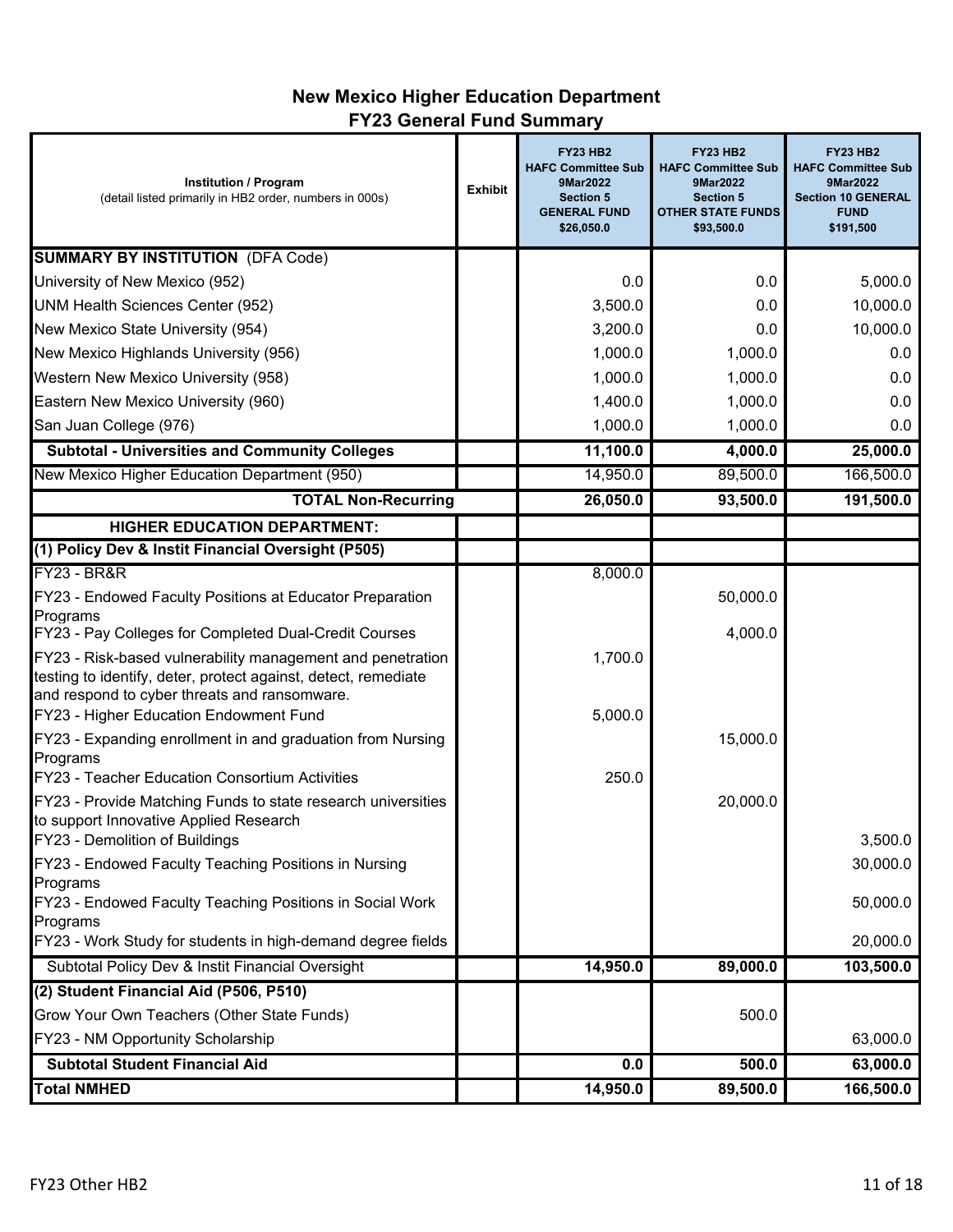# **New Mexico Higher Education Department FY23 General Fund Summary**

| <b>Institution / Program</b><br>(detail listed primarily in HB2 order, numbers in 000s)                                                                                                                                | <b>Exhibit</b> | <b>FY23 HB2</b><br><b>HAFC Committee Sub</b><br>9Mar2022<br><b>Section 5</b><br><b>GENERAL FUND</b><br>\$26,050.0 | <b>FY23 HB2</b><br><b>HAFC Committee Sub</b><br>9Mar2022<br><b>Section 5</b><br><b>OTHER STATE FUNDS</b><br>\$93,500.0 | <b>FY23 HB2</b><br><b>HAFC Committee Sub</b><br>9Mar2022<br><b>Section 10 GENERAL</b><br><b>FUND</b><br>\$191,500 |
|------------------------------------------------------------------------------------------------------------------------------------------------------------------------------------------------------------------------|----------------|-------------------------------------------------------------------------------------------------------------------|------------------------------------------------------------------------------------------------------------------------|-------------------------------------------------------------------------------------------------------------------|
| <b>SUMMARY BY INSTITUTION (DFA Code)</b>                                                                                                                                                                               |                |                                                                                                                   |                                                                                                                        |                                                                                                                   |
| University of New Mexico (952)                                                                                                                                                                                         |                | 0.0                                                                                                               | 0.0                                                                                                                    | 5,000.0                                                                                                           |
| UNM Health Sciences Center (952)                                                                                                                                                                                       |                | 3,500.0                                                                                                           | 0.0                                                                                                                    | 10,000.0                                                                                                          |
| New Mexico State University (954)                                                                                                                                                                                      |                | 3,200.0                                                                                                           | 0.0                                                                                                                    | 10,000.0                                                                                                          |
| New Mexico Highlands University (956)                                                                                                                                                                                  |                | 1,000.0                                                                                                           | 1,000.0                                                                                                                | 0.0                                                                                                               |
| Western New Mexico University (958)                                                                                                                                                                                    |                | 1,000.0                                                                                                           | 1,000.0                                                                                                                | 0.0                                                                                                               |
| Eastern New Mexico University (960)                                                                                                                                                                                    |                | 1,400.0                                                                                                           | 1,000.0                                                                                                                | 0.0                                                                                                               |
| San Juan College (976)                                                                                                                                                                                                 |                | 1,000.0                                                                                                           | 1,000.0                                                                                                                | 0.0                                                                                                               |
| <b>Subtotal - Universities and Community Colleges</b>                                                                                                                                                                  |                | 11,100.0                                                                                                          | 4,000.0                                                                                                                | 25,000.0                                                                                                          |
| New Mexico Higher Education Department (950)                                                                                                                                                                           |                | 14,950.0                                                                                                          | 89,500.0                                                                                                               | 166,500.0                                                                                                         |
| <b>TOTAL Non-Recurring</b>                                                                                                                                                                                             |                | 26,050.0                                                                                                          | 93,500.0                                                                                                               | 191,500.0                                                                                                         |
| <b>HIGHER EDUCATION DEPARTMENT:</b>                                                                                                                                                                                    |                |                                                                                                                   |                                                                                                                        |                                                                                                                   |
| (1) Policy Dev & Instit Financial Oversight (P505)                                                                                                                                                                     |                |                                                                                                                   |                                                                                                                        |                                                                                                                   |
| <b>FY23 - BR&amp;R</b>                                                                                                                                                                                                 |                | 8,000.0                                                                                                           |                                                                                                                        |                                                                                                                   |
| FY23 - Endowed Faculty Positions at Educator Preparation                                                                                                                                                               |                |                                                                                                                   | 50,000.0                                                                                                               |                                                                                                                   |
| Programs<br>FY23 - Pay Colleges for Completed Dual-Credit Courses                                                                                                                                                      |                |                                                                                                                   | 4,000.0                                                                                                                |                                                                                                                   |
| FY23 - Risk-based vulnerability management and penetration<br>testing to identify, deter, protect against, detect, remediate<br>and respond to cyber threats and ransomware.<br>FY23 - Higher Education Endowment Fund |                | 1,700.0<br>5,000.0                                                                                                |                                                                                                                        |                                                                                                                   |
| FY23 - Expanding enrollment in and graduation from Nursing<br>Programs                                                                                                                                                 |                |                                                                                                                   | 15,000.0                                                                                                               |                                                                                                                   |
| FY23 - Teacher Education Consortium Activities<br>FY23 - Provide Matching Funds to state research universities<br>to support Innovative Applied Research                                                               |                | 250.0                                                                                                             | 20,000.0                                                                                                               |                                                                                                                   |
| FY23 - Demolition of Buildings<br>FY23 - Endowed Faculty Teaching Positions in Nursing                                                                                                                                 |                |                                                                                                                   |                                                                                                                        | 3,500.0<br>30,000.0                                                                                               |
| Programs<br>FY23 - Endowed Faculty Teaching Positions in Social Work<br>Programs                                                                                                                                       |                |                                                                                                                   |                                                                                                                        | 50,000.0                                                                                                          |
| FY23 - Work Study for students in high-demand degree fields                                                                                                                                                            |                |                                                                                                                   |                                                                                                                        | 20,000.0                                                                                                          |
| Subtotal Policy Dev & Instit Financial Oversight                                                                                                                                                                       |                | 14,950.0                                                                                                          | 89,000.0                                                                                                               | 103,500.0                                                                                                         |
| (2) Student Financial Aid (P506, P510)                                                                                                                                                                                 |                |                                                                                                                   |                                                                                                                        |                                                                                                                   |
| Grow Your Own Teachers (Other State Funds)                                                                                                                                                                             |                |                                                                                                                   | 500.0                                                                                                                  |                                                                                                                   |
| FY23 - NM Opportunity Scholarship                                                                                                                                                                                      |                |                                                                                                                   |                                                                                                                        | 63,000.0                                                                                                          |
| <b>Subtotal Student Financial Aid</b>                                                                                                                                                                                  |                | 0.0                                                                                                               | 500.0                                                                                                                  | 63,000.0                                                                                                          |
| <b>Total NMHED</b>                                                                                                                                                                                                     |                | 14,950.0                                                                                                          | 89,500.0                                                                                                               | 166,500.0                                                                                                         |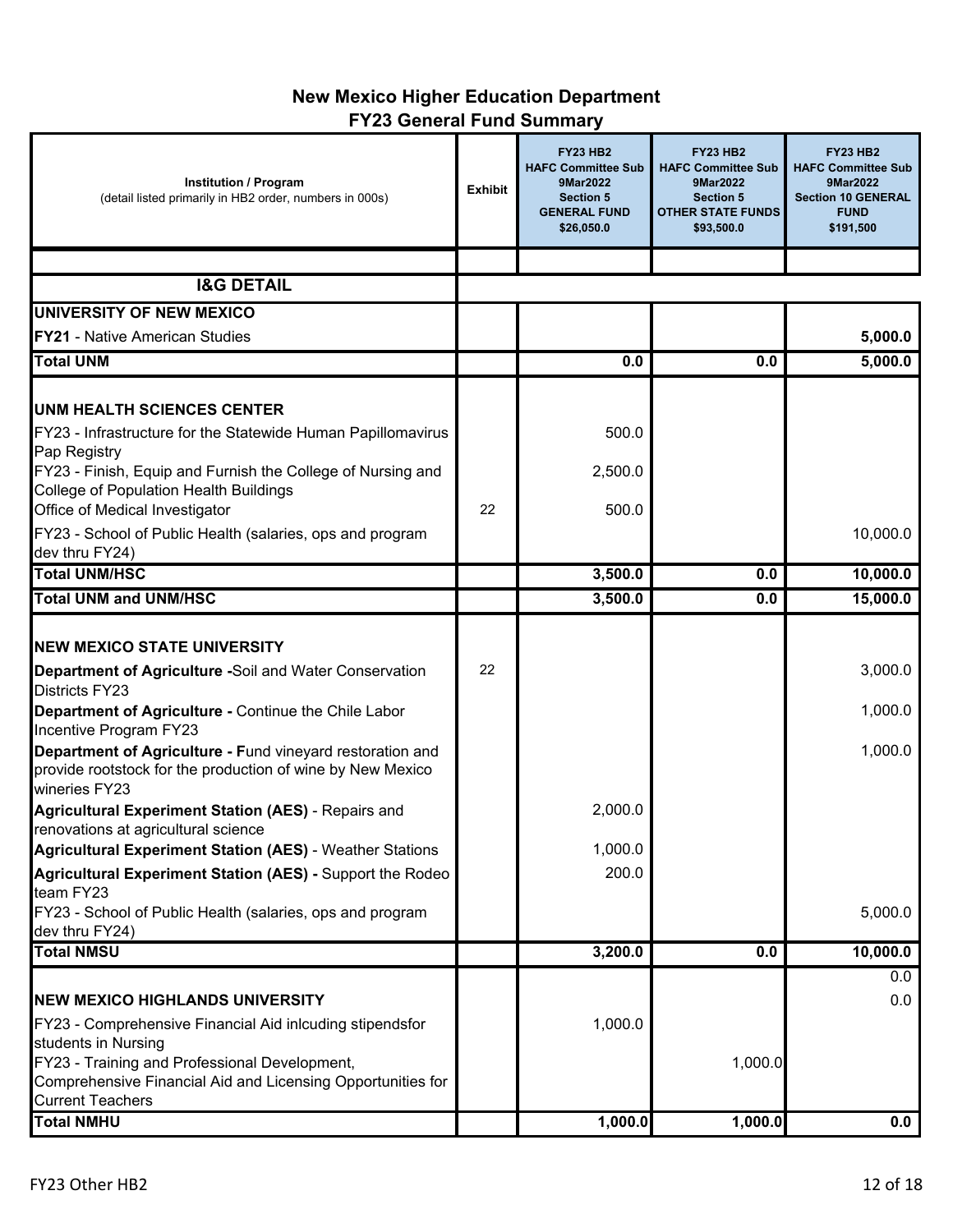# **New Mexico Higher Education Department FY23 General Fund Summary**

| <b>Institution / Program</b><br>(detail listed primarily in HB2 order, numbers in 000s) | <b>Exhibit</b> | <b>FY23 HB2</b><br><b>HAFC Committee Sub</b><br>9Mar2022<br><b>Section 5</b><br><b>GENERAL FUND</b><br>\$26,050.0 | <b>FY23 HB2</b><br><b>HAFC Committee Sub</b><br>9Mar2022<br><b>Section 5</b><br><b>OTHER STATE FUNDS</b><br>\$93,500.0 | <b>FY23 HB2</b><br><b>HAFC Committee Sub</b><br>9Mar2022<br><b>Section 10 GENERAL</b><br><b>FUND</b><br>\$191,500 |
|-----------------------------------------------------------------------------------------|----------------|-------------------------------------------------------------------------------------------------------------------|------------------------------------------------------------------------------------------------------------------------|-------------------------------------------------------------------------------------------------------------------|
|                                                                                         |                |                                                                                                                   |                                                                                                                        |                                                                                                                   |
| <b>I&amp;G DETAIL</b>                                                                   |                |                                                                                                                   |                                                                                                                        |                                                                                                                   |
| UNIVERSITY OF NEW MEXICO                                                                |                |                                                                                                                   |                                                                                                                        |                                                                                                                   |
| <b>FY21 - Native American Studies</b>                                                   |                |                                                                                                                   |                                                                                                                        | 5,000.0                                                                                                           |
| <b>Total UNM</b>                                                                        |                | 0.0                                                                                                               | 0.0                                                                                                                    | 5,000.0                                                                                                           |
|                                                                                         |                |                                                                                                                   |                                                                                                                        |                                                                                                                   |
| <b>UNM HEALTH SCIENCES CENTER</b>                                                       |                |                                                                                                                   |                                                                                                                        |                                                                                                                   |
| FY23 - Infrastructure for the Statewide Human Papillomavirus                            |                | 500.0                                                                                                             |                                                                                                                        |                                                                                                                   |
| Pap Registry                                                                            |                |                                                                                                                   |                                                                                                                        |                                                                                                                   |
| FY23 - Finish, Equip and Furnish the College of Nursing and                             |                | 2,500.0                                                                                                           |                                                                                                                        |                                                                                                                   |
| <b>College of Population Health Buildings</b>                                           |                |                                                                                                                   |                                                                                                                        |                                                                                                                   |
| Office of Medical Investigator                                                          | 22             | 500.0                                                                                                             |                                                                                                                        |                                                                                                                   |
| FY23 - School of Public Health (salaries, ops and program                               |                |                                                                                                                   |                                                                                                                        | 10,000.0                                                                                                          |
| dev thru FY24)                                                                          |                |                                                                                                                   |                                                                                                                        |                                                                                                                   |
| <b>Total UNM/HSC</b>                                                                    |                | 3,500.0                                                                                                           | 0.0                                                                                                                    | 10,000.0                                                                                                          |
| <b>Total UNM and UNM/HSC</b>                                                            |                | 3,500.0                                                                                                           | 0.0                                                                                                                    | 15,000.0                                                                                                          |
|                                                                                         |                |                                                                                                                   |                                                                                                                        |                                                                                                                   |
| <b>NEW MEXICO STATE UNIVERSITY</b>                                                      |                |                                                                                                                   |                                                                                                                        |                                                                                                                   |
| <b>Department of Agriculture -Soil and Water Conservation</b>                           | 22             |                                                                                                                   |                                                                                                                        | 3,000.0                                                                                                           |
| <b>Districts FY23</b>                                                                   |                |                                                                                                                   |                                                                                                                        |                                                                                                                   |
| Department of Agriculture - Continue the Chile Labor<br>Incentive Program FY23          |                |                                                                                                                   |                                                                                                                        | 1,000.0                                                                                                           |
| Department of Agriculture - Fund vineyard restoration and                               |                |                                                                                                                   |                                                                                                                        | 1,000.0                                                                                                           |
| provide rootstock for the production of wine by New Mexico<br>wineries FY23             |                |                                                                                                                   |                                                                                                                        |                                                                                                                   |
| <b>Agricultural Experiment Station (AES) - Repairs and</b>                              |                | 2,000.0                                                                                                           |                                                                                                                        |                                                                                                                   |
| renovations at agricultural science                                                     |                |                                                                                                                   |                                                                                                                        |                                                                                                                   |
| <b>Agricultural Experiment Station (AES) - Weather Stations</b>                         |                | 1,000.0                                                                                                           |                                                                                                                        |                                                                                                                   |
| Agricultural Experiment Station (AES) - Support the Rodeo<br>team FY23                  |                | 200.0                                                                                                             |                                                                                                                        |                                                                                                                   |
| FY23 - School of Public Health (salaries, ops and program                               |                |                                                                                                                   |                                                                                                                        | 5,000.0                                                                                                           |
| dev thru FY24)                                                                          |                |                                                                                                                   |                                                                                                                        |                                                                                                                   |
| <b>Total NMSU</b>                                                                       |                | 3,200.0                                                                                                           | 0.0                                                                                                                    | 10,000.0                                                                                                          |
|                                                                                         |                |                                                                                                                   |                                                                                                                        | 0.0                                                                                                               |
| <b>INEW MEXICO HIGHLANDS UNIVERSITY</b>                                                 |                |                                                                                                                   |                                                                                                                        | 0.0                                                                                                               |
| FY23 - Comprehensive Financial Aid inlcuding stipendsfor<br>students in Nursing         |                | 1,000.0                                                                                                           |                                                                                                                        |                                                                                                                   |
| FY23 - Training and Professional Development,                                           |                |                                                                                                                   | 1,000.0                                                                                                                |                                                                                                                   |
| Comprehensive Financial Aid and Licensing Opportunities for                             |                |                                                                                                                   |                                                                                                                        |                                                                                                                   |
| <b>Current Teachers</b>                                                                 |                |                                                                                                                   |                                                                                                                        |                                                                                                                   |
| <b>Total NMHU</b>                                                                       |                | 1,000.0                                                                                                           | 1,000.0                                                                                                                | 0.0                                                                                                               |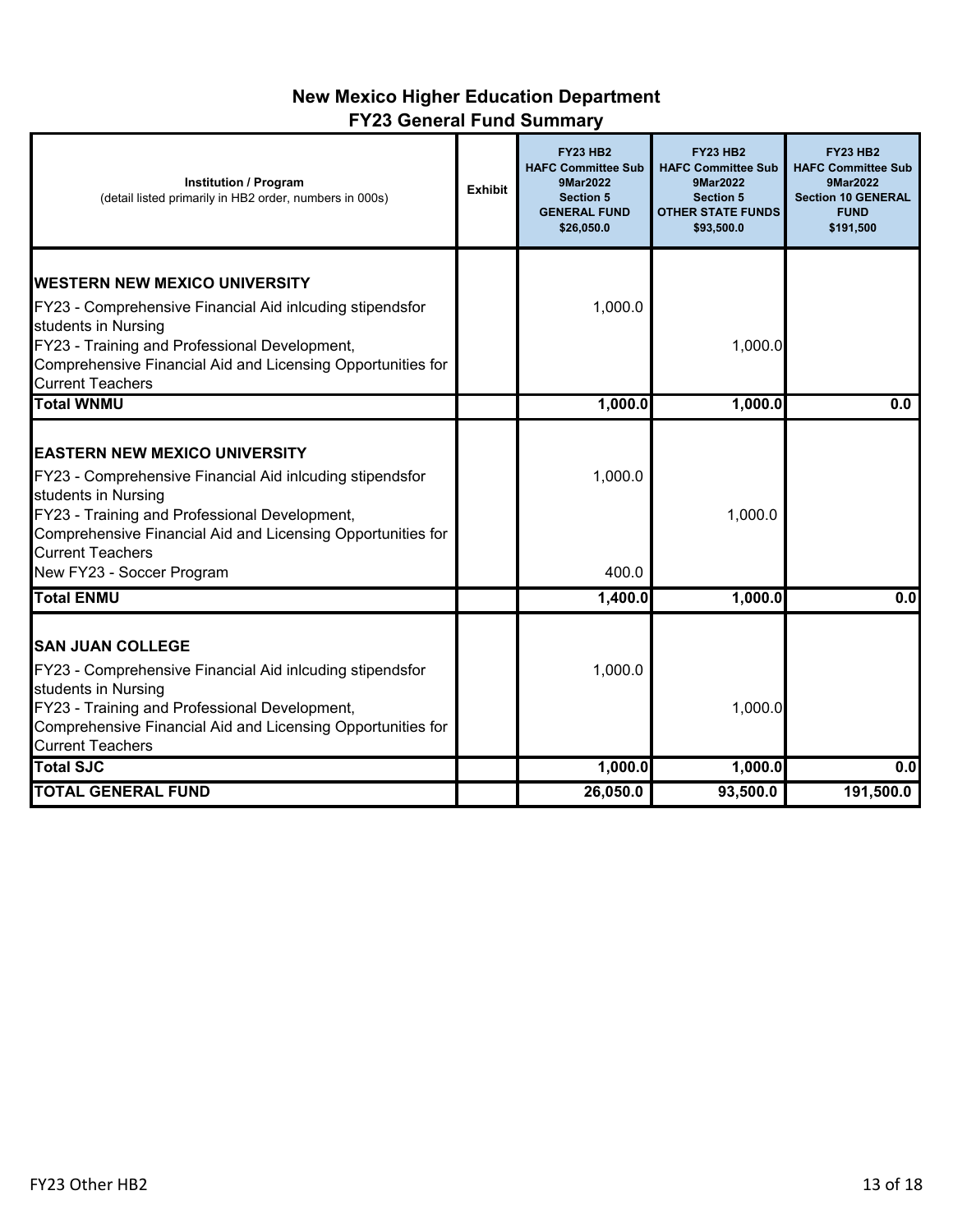# **New Mexico Higher Education Department FY23 General Fund Summary**

| <b>Institution / Program</b><br>(detail listed primarily in HB2 order, numbers in 000s)                                                                                                                                                                            | <b>Exhibit</b> | <b>FY23 HB2</b><br><b>HAFC Committee Sub</b><br>9Mar2022<br><b>Section 5</b><br><b>GENERAL FUND</b><br>\$26,050.0 | <b>FY23 HB2</b><br><b>HAFC Committee Sub</b><br>9Mar2022<br><b>Section 5</b><br><b>OTHER STATE FUNDS</b><br>\$93,500.0 | <b>FY23 HB2</b><br><b>HAFC Committee Sub</b><br>9Mar2022<br><b>Section 10 GENERAL</b><br><b>FUND</b><br>\$191,500 |
|--------------------------------------------------------------------------------------------------------------------------------------------------------------------------------------------------------------------------------------------------------------------|----------------|-------------------------------------------------------------------------------------------------------------------|------------------------------------------------------------------------------------------------------------------------|-------------------------------------------------------------------------------------------------------------------|
| <b>IWESTERN NEW MEXICO UNIVERSITY</b>                                                                                                                                                                                                                              |                |                                                                                                                   |                                                                                                                        |                                                                                                                   |
| FY23 - Comprehensive Financial Aid inlcuding stipendsfor<br>students in Nursing                                                                                                                                                                                    |                | 1,000.0                                                                                                           |                                                                                                                        |                                                                                                                   |
| FY23 - Training and Professional Development,<br>Comprehensive Financial Aid and Licensing Opportunities for<br><b>Current Teachers</b>                                                                                                                            |                |                                                                                                                   | 1,000.0                                                                                                                |                                                                                                                   |
| <b>Total WNMU</b>                                                                                                                                                                                                                                                  |                | 1,000.0                                                                                                           | 1,000.0                                                                                                                | 0.0                                                                                                               |
| <b>EASTERN NEW MEXICO UNIVERSITY</b><br>FY23 - Comprehensive Financial Aid inlcuding stipendsfor<br>students in Nursing<br>FY23 - Training and Professional Development,<br>Comprehensive Financial Aid and Licensing Opportunities for<br><b>Current Teachers</b> |                | 1,000.0                                                                                                           | 1,000.0                                                                                                                |                                                                                                                   |
| New FY23 - Soccer Program<br><b>Total ENMU</b>                                                                                                                                                                                                                     |                | 400.0<br>1,400.0                                                                                                  | 1,000.0                                                                                                                | 0.0                                                                                                               |
| <b>SAN JUAN COLLEGE</b><br>FY23 - Comprehensive Financial Aid inlcuding stipendsfor<br>students in Nursing<br>FY23 - Training and Professional Development,<br>Comprehensive Financial Aid and Licensing Opportunities for<br><b>Current Teachers</b>              |                | 1,000.0                                                                                                           | 1,000.0                                                                                                                |                                                                                                                   |
| <b>Total SJC</b>                                                                                                                                                                                                                                                   |                | 1,000.0                                                                                                           | 1,000.0                                                                                                                | 0.0                                                                                                               |
| <b>TOTAL GENERAL FUND</b>                                                                                                                                                                                                                                          |                | 26,050.0                                                                                                          | 93,500.0                                                                                                               | 191,500.0                                                                                                         |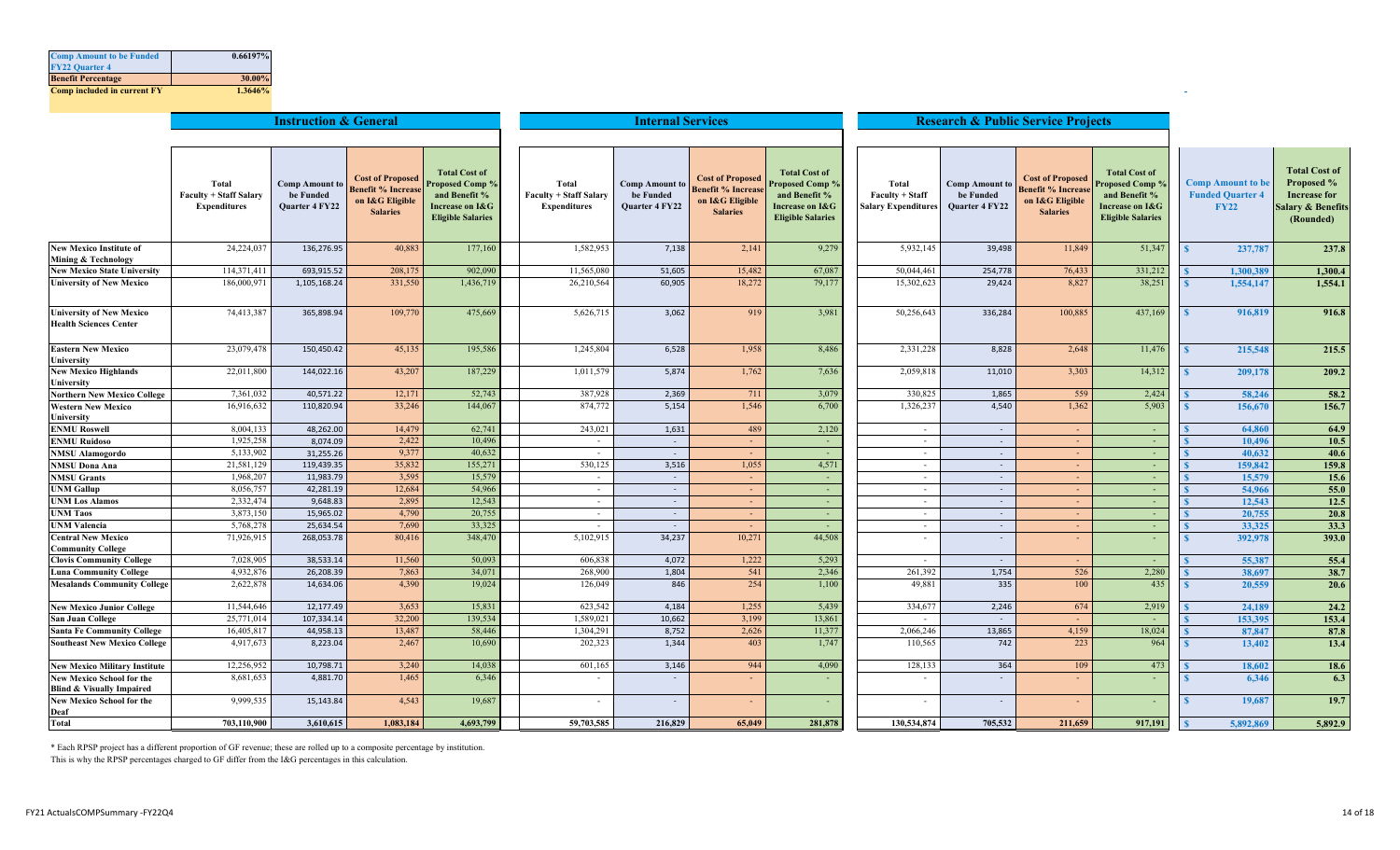| <b>Comp Amount to be Funded</b>    | 0.66197% |
|------------------------------------|----------|
| <b>FY22 Quarter 4</b>              |          |
| <b>Benefit Percentage</b>          | 30.00%   |
| <b>Comp included in current FY</b> | 1.3646%  |

|                                                                          |                                                               | <b>Instruction &amp; General</b>                     |                                                                                            |                                                                                                               |                                                               |                                                      | <b>Research &amp; Public Service Projects</b>                                      |                                                                                                        |                                                        |                                                      |                                                                                     |                                                                                                              |                                                                    |                                                                                       |
|--------------------------------------------------------------------------|---------------------------------------------------------------|------------------------------------------------------|--------------------------------------------------------------------------------------------|---------------------------------------------------------------------------------------------------------------|---------------------------------------------------------------|------------------------------------------------------|------------------------------------------------------------------------------------|--------------------------------------------------------------------------------------------------------|--------------------------------------------------------|------------------------------------------------------|-------------------------------------------------------------------------------------|--------------------------------------------------------------------------------------------------------------|--------------------------------------------------------------------|---------------------------------------------------------------------------------------|
|                                                                          |                                                               |                                                      |                                                                                            |                                                                                                               |                                                               |                                                      |                                                                                    |                                                                                                        |                                                        |                                                      |                                                                                     |                                                                                                              |                                                                    |                                                                                       |
|                                                                          |                                                               |                                                      |                                                                                            |                                                                                                               |                                                               |                                                      |                                                                                    |                                                                                                        |                                                        |                                                      |                                                                                     |                                                                                                              |                                                                    | <b>Total Cost of</b>                                                                  |
|                                                                          | Total<br><b>Faculty + Staff Salary</b><br><b>Expenditures</b> | <b>Comp Amount to</b><br>be Funded<br>Quarter 4 FY22 | <b>Cost of Proposed</b><br><b>Benefit % Increase</b><br>on I&G Eligible<br><b>Salaries</b> | <b>Total Cost of</b><br><b>Proposed Comp?</b><br>and Benefit %<br>Increase on I&G<br><b>Eligible Salaries</b> | Total<br><b>Faculty + Staff Salary</b><br><b>Expenditures</b> | <b>Comp Amount to</b><br>be Funded<br>Quarter 4 FY22 | <b>Cost of Proposed</b><br>Benefit % Increas<br>on I&G Eligible<br><b>Salaries</b> | <b>Total Cost of</b><br>Proposed Comp?<br>and Benefit %<br>Increase on I&G<br><b>Eligible Salaries</b> | Total<br>Faculty + Staff<br><b>Salary Expenditures</b> | <b>Comp Amount to</b><br>be Funded<br>Quarter 4 FY22 | <b>Cost of Proposed</b><br>Benefit % Increase<br>on I&G Eligible<br><b>Salaries</b> | <b>Total Cost of</b><br><b>Proposed Comp</b><br>and Benefit %<br>Increase on I&G<br><b>Eligible Salaries</b> | <b>Comp Amount to be</b><br><b>Funded Quarter 4</b><br><b>FY22</b> | <b>Proposed %</b><br><b>Increase for</b><br><b>Salary &amp; Benefits</b><br>(Rounded) |
| <b>New Mexico Institute of</b><br>Mining & Technology                    | 24,224,037                                                    | 136,276.95                                           | 40,883                                                                                     | 177,160                                                                                                       | 1,582,953                                                     | 7,138                                                | 2,141                                                                              | 9,279                                                                                                  | 5,932,145                                              | 39,498                                               | 11,849                                                                              | 51,347                                                                                                       | 237,787                                                            | 237.8                                                                                 |
| <b>New Mexico State University</b>                                       | 114,371,411                                                   | 693,915.52                                           | 208,175                                                                                    | 902,090                                                                                                       | 11,565,080                                                    | 51,605                                               | 15,482                                                                             | 67,087                                                                                                 | 50,044,461                                             | 254,778                                              | 76,433                                                                              | 331,212                                                                                                      | 1,300,389                                                          | 1,300.4                                                                               |
| <b>University of New Mexico</b>                                          | 186,000,971                                                   | 1,105,168.24                                         | 331,550                                                                                    | 1,436,719                                                                                                     | 26,210,564                                                    | 60,905                                               | 18,272                                                                             | 79,177                                                                                                 | 15,302,623                                             | 29,424                                               | 8,827                                                                               | 38,251                                                                                                       | 1,554,147                                                          | 1,554.1                                                                               |
| <b>University of New Mexico</b><br><b>Health Sciences Center</b>         | 74,413,387                                                    | 365,898.94                                           | 109,770                                                                                    | 475,669                                                                                                       | 5,626,715                                                     | 3,062                                                | 919                                                                                | 3,981                                                                                                  | 50,256,643                                             | 336,284                                              | 100,885                                                                             | 437,169                                                                                                      | 916,819                                                            | 916.8                                                                                 |
| <b>Eastern New Mexico</b><br>University                                  | 23,079,478                                                    | 150,450.42                                           | 45,135                                                                                     | 195,586                                                                                                       | 1,245,804                                                     | 6,528                                                | 1,958                                                                              | 8,486                                                                                                  | 2,331,228                                              | 8,828                                                | 2,648                                                                               | 11,476                                                                                                       | 215,548                                                            | 215.5                                                                                 |
| <b>New Mexico Highlands</b><br>Universitv                                | 22,011,800                                                    | 144,022.16                                           | 43,207                                                                                     | 187,229                                                                                                       | 1,011,579                                                     | 5,874                                                | 1,762                                                                              | 7,636                                                                                                  | 2,059,818                                              | 11,010                                               | 3,303                                                                               | 14,312                                                                                                       | 209,178                                                            | 209.2                                                                                 |
| <b>Northern New Mexico College</b>                                       | 7,361,032                                                     | 40,571.22                                            | 12,171                                                                                     | 52,743                                                                                                        | 387,928                                                       | 2,369                                                | 711                                                                                | 3,079                                                                                                  | 330,825                                                | 1,865                                                | 559                                                                                 | 2,424                                                                                                        | 58,246                                                             | 58.2                                                                                  |
| <b>Western New Mexico</b><br>University                                  | 16,916,632                                                    | 110,820.94                                           | 33,246                                                                                     | 144,067                                                                                                       | 874,772                                                       | 5,154                                                | 1,546                                                                              | 6,700                                                                                                  | 1,326,237                                              | 4,540                                                | 1,362                                                                               | 5,903                                                                                                        | 156,67                                                             | 156.7                                                                                 |
| <b>ENMU Roswell</b>                                                      | 8,004,133                                                     | 48,262.00                                            | 14,479                                                                                     | 62,741                                                                                                        | 243,021                                                       | 1,631                                                | 489                                                                                | 2,120                                                                                                  | $\sim$                                                 | $\overline{\phantom{a}}$                             |                                                                                     | $\sim$                                                                                                       | 64,860                                                             | 64.9                                                                                  |
| <b>ENMU Ruidoso</b>                                                      | 1,925,258                                                     | 8,074.09                                             | 2,422                                                                                      | 10,496                                                                                                        | $\sim$                                                        | $\sim$                                               | $\sim$                                                                             |                                                                                                        | $\sim$                                                 | $\sim$                                               | $\sim$                                                                              | $\sim$                                                                                                       | 10,496                                                             | 10.5                                                                                  |
| <b>NMSU Alamogordo</b>                                                   | 5,133,902                                                     | 31,255.26                                            | 9,377                                                                                      | 40,632                                                                                                        | $\sim$                                                        | $\sim$                                               | $\sim$                                                                             | A.                                                                                                     | $\sim$                                                 | $\sim$                                               | $\sim$                                                                              | $\sim$                                                                                                       | 40,632                                                             | 40.6                                                                                  |
| <b>NMSU Dona Ana</b>                                                     | 21,581,129                                                    | 119,439.35                                           | 35,832                                                                                     | 155,271                                                                                                       | 530,125                                                       | 3,516                                                | 1,055                                                                              | 4,571                                                                                                  | $\sim$                                                 | $\sim$                                               | $\sim$                                                                              | $\sim$                                                                                                       | 159,842                                                            | 159.8                                                                                 |
| <b>NMSU Grants</b>                                                       | 1,968,207                                                     | 11,983.79                                            | 3,595                                                                                      | 15,579                                                                                                        | $\sim$                                                        | $\sim$                                               | $\sim$                                                                             | . н.                                                                                                   | $\sim$                                                 | $\sim$                                               | $\sim$                                                                              | $\sim$                                                                                                       | 15,579                                                             | 15.6                                                                                  |
| <b>UNM Gallup</b>                                                        | 8,056,757                                                     | 42,281.19                                            | 12,684                                                                                     | 54,966                                                                                                        | $\sim$                                                        | $\sim$                                               | $\sim$                                                                             |                                                                                                        | $\sim$                                                 | $\sim$                                               | $\sim$                                                                              | $\sim$                                                                                                       | 54,966                                                             | 55.0                                                                                  |
| <b>UNM Los Alamos</b>                                                    | 2,332,474                                                     | 9,648.83                                             | 2,895                                                                                      | 12,543                                                                                                        | $\sim$                                                        | $\sim$                                               | $\sim$                                                                             |                                                                                                        | $\sim$                                                 | $\sim$                                               |                                                                                     | ×                                                                                                            | 12,543                                                             | 12.5                                                                                  |
| <b>UNM Taos</b>                                                          | 3,873,150                                                     | 15,965.02                                            | 4,790                                                                                      | 20,755                                                                                                        | $\sim$                                                        | $\sim$                                               | $\sim$                                                                             | $\sim$                                                                                                 | $\sim$                                                 | $\sim$                                               | $\sim$                                                                              | $\sim$                                                                                                       | 20,755                                                             | 20.8                                                                                  |
| <b>UNM Valencia</b>                                                      | 5,768,278                                                     | 25,634.54                                            | 7,690                                                                                      | 33,325                                                                                                        |                                                               | $\sim$                                               | $\sim$                                                                             | $\sim$                                                                                                 | $\sim$                                                 | $\sim$                                               | $\sim$                                                                              | $\sim$                                                                                                       | 33,325                                                             | 33.3                                                                                  |
| <b>Central New Mexico</b><br><b>Community College</b>                    | 71,926,915                                                    | 268,053.78                                           | 80,416                                                                                     | 348,470                                                                                                       | 5,102,915                                                     | 34,237                                               | 10,271                                                                             | 44,508                                                                                                 | $\sim$                                                 | $\overline{\phantom{a}}$                             |                                                                                     | $\sim$                                                                                                       | 392,978                                                            | 393.0                                                                                 |
| <b>Clovis Community College</b>                                          | 7,028,905                                                     | 38,533.14                                            | 11,560                                                                                     | 50,093                                                                                                        | 606,838                                                       | 4,072                                                | 1,222                                                                              | 5,293                                                                                                  | $\sim$                                                 | $\sim$                                               |                                                                                     |                                                                                                              | 55,387                                                             | 55.4                                                                                  |
| <b>Luna Community College</b>                                            | 4,932,876                                                     | 26,208.39                                            | 7,863                                                                                      | 34,071                                                                                                        | 268,900                                                       | 1,804                                                | 541                                                                                | 2,346                                                                                                  | 261,392                                                | 1,754                                                | 526                                                                                 | 2,280                                                                                                        | 38,697                                                             | 38.7                                                                                  |
| <b>Mesalands Community College</b>                                       | 2,622,878                                                     | 14,634.06                                            | 4,390                                                                                      | 19,024                                                                                                        | 126,049                                                       | 846                                                  | 254                                                                                | 1,100                                                                                                  | 49,881                                                 | 335                                                  | 100                                                                                 | 435                                                                                                          | 20,559                                                             | 20.6                                                                                  |
| <b>New Mexico Junior College</b>                                         | 11,544,646                                                    | 12,177.49                                            | 3,653                                                                                      | 15,831                                                                                                        | 623,542                                                       | 4,184                                                | 1,255                                                                              | 5,439                                                                                                  | 334,677                                                | 2,246                                                | 674                                                                                 | 2,919                                                                                                        | 24,189                                                             | 24.2                                                                                  |
| San Juan College                                                         | 25,771,014                                                    | 107,334.14                                           | 32,200                                                                                     | 139,534                                                                                                       | 1,589,021                                                     | 10,662                                               | 3,199                                                                              | 13,861                                                                                                 | $\sim$                                                 |                                                      |                                                                                     | $\sim$                                                                                                       | 153,395                                                            | 153.4                                                                                 |
| <b>Santa Fe Community College</b>                                        | 16,405,817                                                    | 44,958.13                                            | 13,487                                                                                     | 58,446                                                                                                        | 1,304,291                                                     | 8,752                                                | 2,626                                                                              | 11,377                                                                                                 | 2,066,246                                              | 13,865                                               | 4,159                                                                               | 18,024                                                                                                       | 87,847                                                             | 87.8                                                                                  |
| <b>Southeast New Mexico College</b>                                      | 4,917,673                                                     | 8,223.04                                             | 2,467                                                                                      | 10,690                                                                                                        | 202,323                                                       | 1,344                                                | 403                                                                                | 1,747                                                                                                  | 110,565                                                | 742                                                  | 223                                                                                 | 964                                                                                                          | 13,402                                                             | 13.4                                                                                  |
| <b>New Mexico Military Institute</b>                                     | 12,256,952                                                    | 10,798.71                                            | 3,240                                                                                      | 14,038                                                                                                        | 601,165                                                       | 3,146                                                | 944                                                                                | 4,090                                                                                                  | 128,133                                                | 364                                                  | 109                                                                                 | 473                                                                                                          | 18,602                                                             | 18.6                                                                                  |
| <b>New Mexico School for the</b><br><b>Blind &amp; Visually Impaired</b> | 8,681,653                                                     | 4,881.70                                             | 1,465                                                                                      | 6,346                                                                                                         | $\overline{\phantom{a}}$                                      | $\sim$                                               | $\sim$                                                                             |                                                                                                        | $\sim$                                                 |                                                      |                                                                                     | ×,                                                                                                           | 6,346                                                              | 6.3                                                                                   |
| New Mexico School for the<br>Deaf                                        | 9,999,535                                                     | 15,143.84                                            | 4,543                                                                                      | 19,687                                                                                                        | $\overline{\phantom{a}}$                                      | $\sim$                                               | ÷                                                                                  |                                                                                                        | $\sim$                                                 | $\overline{\phantom{a}}$                             |                                                                                     | $\sim$                                                                                                       | 19,687                                                             | 19.7                                                                                  |
| <b>Total</b>                                                             | 703,110,900                                                   | 3,610,615                                            | 1,083,184                                                                                  | 4,693,799                                                                                                     | 59,703,585                                                    | 216,829                                              | 65,049                                                                             | 281,878                                                                                                | 130,534,874                                            | 705,532                                              | 211,659                                                                             | 917,191                                                                                                      | 5,892,869                                                          | 5,892.9                                                                               |

\* Each RPSP project has a different proportion of GF revenue; these are rolled up to a composite percentage by institution.

This is why the RPSP percentages charged to GF differ from the I&G percentages in this calculation.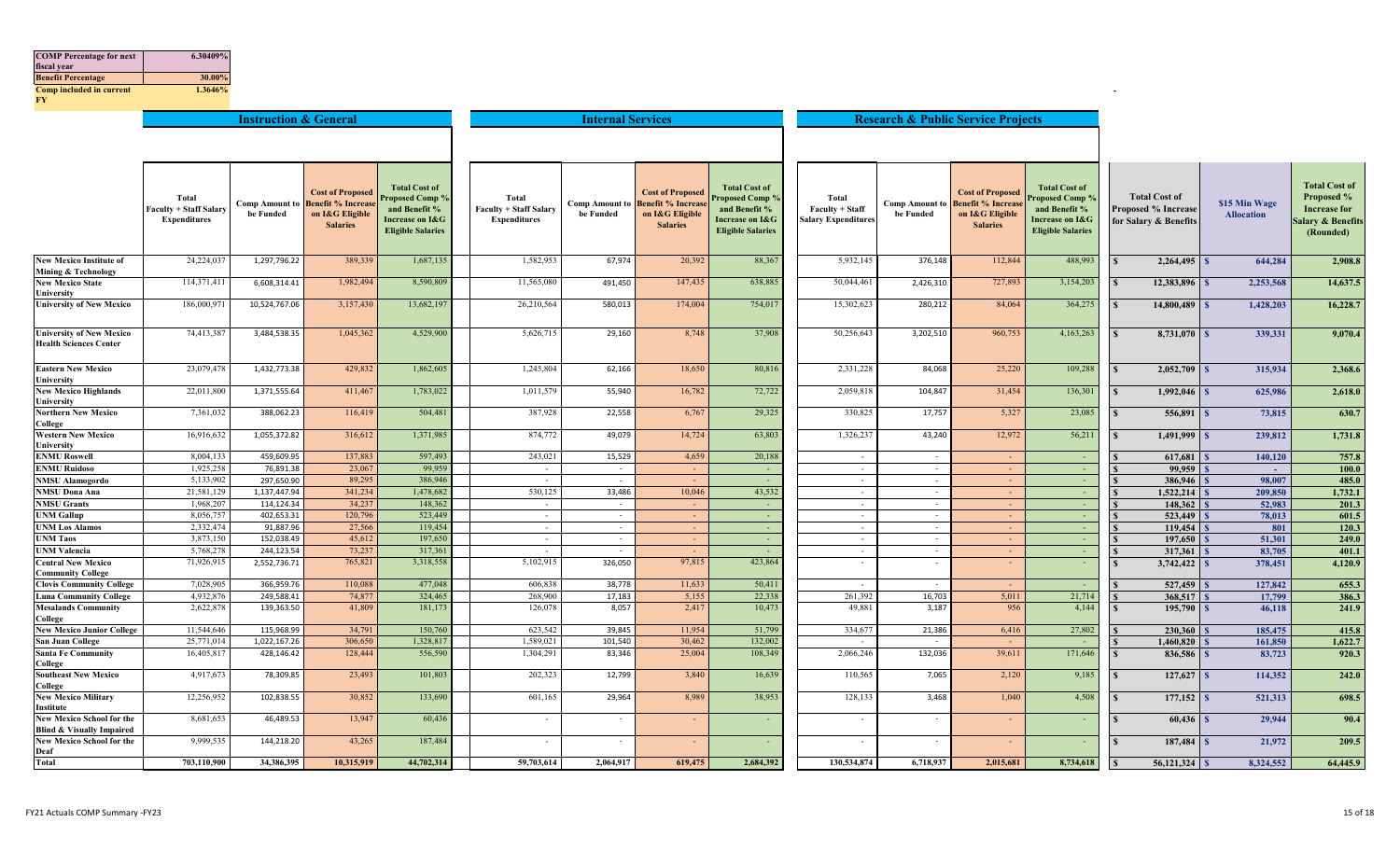| <b>COMP</b> Percentage for next<br>fiscal year<br><b>Benefit Percentage</b> | 6.30409%<br>30.00%                                     |                                  |                                                                                            |                                                                                                               |                                                               |                                    |                                                                                           |                                                                                                        |                                                        |                                               |                                                                                            |                                                                                                         |                                                                             |                                    |                                                                                                        |
|-----------------------------------------------------------------------------|--------------------------------------------------------|----------------------------------|--------------------------------------------------------------------------------------------|---------------------------------------------------------------------------------------------------------------|---------------------------------------------------------------|------------------------------------|-------------------------------------------------------------------------------------------|--------------------------------------------------------------------------------------------------------|--------------------------------------------------------|-----------------------------------------------|--------------------------------------------------------------------------------------------|---------------------------------------------------------------------------------------------------------|-----------------------------------------------------------------------------|------------------------------------|--------------------------------------------------------------------------------------------------------|
| Comp included in current<br>FY.                                             | 1.3646%                                                |                                  |                                                                                            |                                                                                                               |                                                               |                                    |                                                                                           |                                                                                                        |                                                        |                                               |                                                                                            |                                                                                                         |                                                                             |                                    |                                                                                                        |
|                                                                             |                                                        | <b>Instruction &amp; General</b> |                                                                                            |                                                                                                               |                                                               | <b>Internal Services</b>           |                                                                                           |                                                                                                        |                                                        | <b>Research &amp; Public Service Projects</b> |                                                                                            |                                                                                                         |                                                                             |                                    |                                                                                                        |
|                                                                             | Total<br><b>Faculty + Staff Salary</b><br>Expenditures | Comp Amount to<br>be Funded      | <b>Cost of Proposed</b><br><b>Benefit % Increase</b><br>on I&G Eligible<br><b>Salaries</b> | <b>Total Cost of</b><br><b>Proposed Comp?</b><br>and Benefit %<br>Increase on I&G<br><b>Eligible Salaries</b> | Total<br><b>Faculty + Staff Salary</b><br><b>Expenditures</b> | <b>Comp Amount to</b><br>be Funded | <b>Cost of Proposed</b><br><b>Benefit % Increas</b><br>on I&G Eligible<br><b>Salaries</b> | <b>Total Cost of</b><br>roposed Comp %<br>and Benefit %<br>Increase on I&G<br><b>Eligible Salaries</b> | Total<br>Faculty + Staff<br><b>Salary Expenditures</b> | <b>Comp Amount to</b><br>be Funded            | <b>Cost of Proposed</b><br><b>Benefit % Increase</b><br>on I&G Eligible<br><b>Salaries</b> | <b>Total Cost of</b><br>Proposed Comp %<br>and Benefit %<br>Increase on I&G<br><b>Eligible Salaries</b> | <b>Total Cost of</b><br><b>Proposed % Increase</b><br>for Salary & Benefits | \$15 Min Wage<br><b>Allocation</b> | <b>Total Cost of</b><br>Proposed %<br><b>Increase for</b><br><b>Salary &amp; Benefits</b><br>(Rounded) |
| <b>New Mexico Institute of</b>                                              | 24,224,037                                             | 1,297,796.22                     | 389,339                                                                                    | 1,687,135                                                                                                     | 1,582,953                                                     | 67,974                             | 20,392                                                                                    | 88,367                                                                                                 | 5,932,145                                              | 376,148                                       | 112,844                                                                                    | 488,993                                                                                                 | $\mathbf{s}$                                                                | 644.284                            | 2,908.8                                                                                                |
| Mining & Technology<br><b>New Mexico State</b><br>Universitv                | 114,371,411                                            | 6,608,314.41                     | 1,982,494                                                                                  | 8,590,809                                                                                                     | 11,565,080                                                    | 491,450                            | 147,435                                                                                   | 638,885                                                                                                | 50,044,461                                             | 2,426,310                                     | 727,893                                                                                    | 3,154,203                                                                                               | 12,383,896<br>$\mathbf{\hat{S}}$                                            | 2,253,568                          | 14,637.5                                                                                               |
| <b>University of New Mexico</b>                                             | 186,000,971                                            | 10,524,767.06                    | 3,157,430                                                                                  | 13,682,197                                                                                                    | 26,210,564                                                    | 580,013                            | 174,004                                                                                   | 754,017                                                                                                | 15,302,623                                             | 280,212                                       | 84,064                                                                                     | 364,275                                                                                                 | 14,800,489                                                                  | 1,428,203                          | 16,228.7                                                                                               |
| <b>University of New Mexico</b><br><b>Health Sciences Center</b>            | 74,413,387                                             | 3,484,538.35                     | 1,045,362                                                                                  | 4,529,900                                                                                                     | 5,626,715                                                     | 29,160                             | 8,748                                                                                     | 37,908                                                                                                 | 50,256,643                                             | 3,202,510                                     | 960,753                                                                                    | 4,163,263                                                                                               | 8,731,070                                                                   | 339,331                            | 9,070.4                                                                                                |
| <b>Eastern New Mexico</b>                                                   | 23,079,478                                             | 1,432,773.38                     | 429,832                                                                                    | 1,862,605                                                                                                     | 1,245,804                                                     | 62,166                             | 18,650                                                                                    | 80,816                                                                                                 | 2,331,228                                              | 84,068                                        | 25,220                                                                                     | 109,288                                                                                                 | 2,052,709<br>$\mathbf{s}$                                                   | 315,934                            | 2,368.6                                                                                                |
| <b>University</b><br><b>New Mexico Highlands</b><br>University              | 22,011,800                                             | 1,371,555.64                     | 411,467                                                                                    | 1,783,022                                                                                                     | 1,011,579                                                     | 55,940                             | 16,782                                                                                    | 72,722                                                                                                 | 2,059,818                                              | 104,847                                       | 31,454                                                                                     | 136,301                                                                                                 | 1,992,046<br>$\mathbf{s}$                                                   | 625,986                            | 2,618.0                                                                                                |
| <b>Northern New Mexico</b><br>College                                       | 7,361,032                                              | 388,062.23                       | 116,419                                                                                    | 504,481                                                                                                       | 387,928                                                       | 22,558                             | 6,767                                                                                     | 29,325                                                                                                 | 330,825                                                | 17,757                                        | 5,327                                                                                      | 23,085                                                                                                  | $\mathbf{s}$                                                                | 73,815                             | 630.7                                                                                                  |
| <b>Western New Mexico</b><br>University                                     | 16,916,632                                             | 1,055,372.82                     | 316,612                                                                                    | 1,371,985                                                                                                     | 874,772                                                       | 49,079                             | 14,724                                                                                    | 63,803                                                                                                 | 1,326,237                                              | 43,240                                        | 12,972                                                                                     | 56,211                                                                                                  | 1,491,999                                                                   | 239,812                            | 1,731.8                                                                                                |
| <b>ENMU Roswell</b>                                                         | 8,004,133                                              | 459,609.95                       | 137,883                                                                                    | 597,493                                                                                                       | 243,021                                                       | 15,529                             | 4,659                                                                                     | 20,188                                                                                                 | $\sim$                                                 | $\sim$                                        | <b>Contract</b>                                                                            | $\sim$                                                                                                  | 617,681                                                                     | 140,120                            | 757.8                                                                                                  |
| <b>ENMU Ruidoso</b>                                                         | 1,925,258                                              | 76,891.38                        | 23,067                                                                                     | 99,959                                                                                                        | $\sim$                                                        | $\sim$                             | $\sim$                                                                                    | $\sim$                                                                                                 | $\sim$                                                 | $\sim$                                        | $\sim$                                                                                     | $\sim$                                                                                                  | 99,959                                                                      | <b>College</b>                     | 100.0                                                                                                  |
| <b>NMSU Alamogordo</b>                                                      | 5,133,902                                              | 297,650.90                       | 89,295                                                                                     | 386,946                                                                                                       | $\sim$                                                        | $\sim$ $-$                         | - 1                                                                                       | <b>Card</b>                                                                                            | $\sim$                                                 | $\sim$                                        | <b>Card</b>                                                                                | $\sim$                                                                                                  | 386,946                                                                     | 98,007                             | 485.0                                                                                                  |
| <b>NMSU Dona Ana</b>                                                        | 21,581,129                                             | 1,137,447.94                     | 341,234                                                                                    | 1,478,682                                                                                                     | 530,125                                                       | 33,486                             | 10,046                                                                                    | 43,532                                                                                                 | $\sim$                                                 | $\sim$                                        | $\sim$                                                                                     | $\sim$                                                                                                  | 1,522,214                                                                   | 209,850                            | 1,732.1                                                                                                |
| <b>NMSU Grants</b>                                                          | 1,968,207                                              | 114,124.34                       | 34,237                                                                                     | 148,362                                                                                                       | $\sim$                                                        | $\sim$                             | - 1                                                                                       | $\sim$                                                                                                 | $\sim$                                                 | $\sim$                                        | <b>SALE</b>                                                                                | $\sim$                                                                                                  | 148,362                                                                     | 52,983                             | 201.3                                                                                                  |
| <b>JNM Gallup</b>                                                           | 8,056,757                                              | 402,653.31                       | 120,796                                                                                    | 523,449                                                                                                       | $\sim$                                                        | $\sim$                             | $\sim$                                                                                    | $\sim$                                                                                                 | $\sim$                                                 | $\sim$                                        | $\sim$                                                                                     |                                                                                                         | 523,449                                                                     | 78,013                             | 601.5                                                                                                  |
| <b>JNM Los Alamos</b>                                                       | 2,332,474<br>3,873,150                                 | 91,887.96                        | 27,566                                                                                     | 119,454<br>197,650                                                                                            | $\sim$                                                        | $\mathcal{L}_{\mathcal{A}}$        | $\sim$                                                                                    | $\sim$                                                                                                 | $\sim$                                                 | $\sim$                                        | $\sim$                                                                                     | $\sim$                                                                                                  | 119,454                                                                     | 801                                | 120.3                                                                                                  |
| <b>NM Taos</b>                                                              | 5,768,278                                              | 152,038.49                       | 45,612<br>73,237                                                                           | 317,361                                                                                                       | $\sim$                                                        | $\sim$                             | $\sim$<br>$\sim$                                                                          | $\sim$<br>$\sim$                                                                                       | $\sim$                                                 | $\sim$                                        | $\sim$<br><b>SALE</b>                                                                      | $\sim$<br>$\sim$                                                                                        | 197,650                                                                     | 51,301<br>83,705                   | 249.0                                                                                                  |
| JNM Valencia<br><b>Central New Mexico</b><br><b>Community College</b>       | 71,926,915                                             | 244,123.54<br>2,552,736.71       | 765,821                                                                                    | 3,318,558                                                                                                     | $\sim$<br>5,102,915                                           | $\sim$<br>326,050                  | 97,815                                                                                    | 423,864                                                                                                | $\overline{\phantom{a}}$<br>$\overline{\phantom{a}}$   | $\sim$                                        |                                                                                            |                                                                                                         | 317,361<br>3,742,422<br>$\mathbf{s}$                                        | 378,451                            | 401.1<br>4,120.9                                                                                       |
| <b>Clovis Community College</b>                                             | 7,028,905                                              | 366,959.76                       | 110,088                                                                                    | 477,048                                                                                                       | 606,838                                                       | 38,778                             | 11,633                                                                                    | 50,411                                                                                                 |                                                        | $\sim$                                        |                                                                                            | $\sim$                                                                                                  | 527,459                                                                     | 127,842                            | 655.3                                                                                                  |
| <b>Luna Community College</b>                                               | 4,932,876                                              | 249,588.41                       | 74,877                                                                                     | 324,465                                                                                                       | 268,900                                                       | 17,183                             | 5,155                                                                                     | 22,338                                                                                                 | 261,392                                                | 16,703                                        | 5,011                                                                                      | 21,714                                                                                                  | 368,517                                                                     | 17,799                             | 386.3                                                                                                  |
| <b>Mesalands Community</b><br>College                                       | 2,622,878                                              | 139,363.50                       | 41,809                                                                                     | 181,173                                                                                                       | 126,078                                                       | 8,057                              | 2,417                                                                                     | 10,473                                                                                                 | 49,881                                                 | 3,187                                         | 956                                                                                        | 4,144                                                                                                   | $\mathbf S$<br>195,790                                                      | 46,118                             | 241.9                                                                                                  |
| <b>New Mexico Junior College</b>                                            | 11,544,646                                             | 115.968.99                       | 34,791                                                                                     | 150,760                                                                                                       | 623,542                                                       | 39.845                             | 11,954                                                                                    | 51,799                                                                                                 | 334,677                                                | 21,386                                        | 6,416                                                                                      | 27,802                                                                                                  | 230,360                                                                     | 185,475                            | 415.8                                                                                                  |
| San Juan College                                                            | 25,771,014                                             | 1,022,167.26                     | 306,650                                                                                    | 1,328,81                                                                                                      | 1,589,021                                                     | 101,540                            | 30,462                                                                                    | 132,002                                                                                                |                                                        | $\sim$                                        | <b>Card</b>                                                                                | $\sim$ $-$                                                                                              | 1,460,820                                                                   | 161,850                            | 1,622.7                                                                                                |
| <b>Santa Fe Community</b><br>College                                        | 16,405,817                                             | 428,146.42                       | 128,444                                                                                    | 556,590                                                                                                       | 1,304,291                                                     | 83,346                             | 25,004                                                                                    | 108,349                                                                                                | 2,066,246                                              | 132,036                                       | 39,611                                                                                     | 171,646                                                                                                 | 836,586<br>$\mathbf{s}$                                                     | 83,723                             | 920.3                                                                                                  |
| <b>Southeast New Mexico</b><br>College                                      | 4,917,673                                              | 78,309.85                        | 23,493                                                                                     | 101,803                                                                                                       | 202,323                                                       | 12,799                             | 3,840                                                                                     | 16,639                                                                                                 | 110,565                                                | 7,065                                         | 2,120                                                                                      | 9,185                                                                                                   | 127,627                                                                     | 114,352                            | 242.0                                                                                                  |
| <b>New Mexico Military</b><br>Institute<br>New Mexico School for the        | 12,256,952<br>8,681,653                                | 102,838.55<br>46,489.53          | 30,852<br>13,947                                                                           | 133,690<br>60,436                                                                                             | 601,165<br>$\overline{\phantom{a}}$                           | 29,964<br>$\overline{\phantom{a}}$ | 8,989                                                                                     | 38,953                                                                                                 | 128,133                                                | 3,468                                         | 1,040                                                                                      | 4,508                                                                                                   | 177,152<br>60,436<br>$\mathbf{\hat{S}}$                                     | 521,313<br>29,944                  | 698.5<br>90.4                                                                                          |
| <b>Blind &amp; Visually Impaired</b><br><b>New Mexico School for the</b>    | 9.999.535                                              | 144.218.20                       | 43,265                                                                                     | 187,484                                                                                                       | $\overline{\phantom{a}}$                                      |                                    |                                                                                           |                                                                                                        |                                                        |                                               |                                                                                            |                                                                                                         | $187.484$ S                                                                 | 21.972                             | 209.5                                                                                                  |

9,999,535 144,218.20 187,484 43,265 - ‐ - - - ‐ - - **\$ 187,484 \$ 21,972 209.5**

**Total 703,110,900 34,386,395 10,315,919 44,702,314 59,703,614 2,064,917 619,475 2,684,392 130,534,874 6,718,937 2,015,681 8,734,618 \$ 56,121,324 \$ 8,324,552 64,445.9**

**Deaf**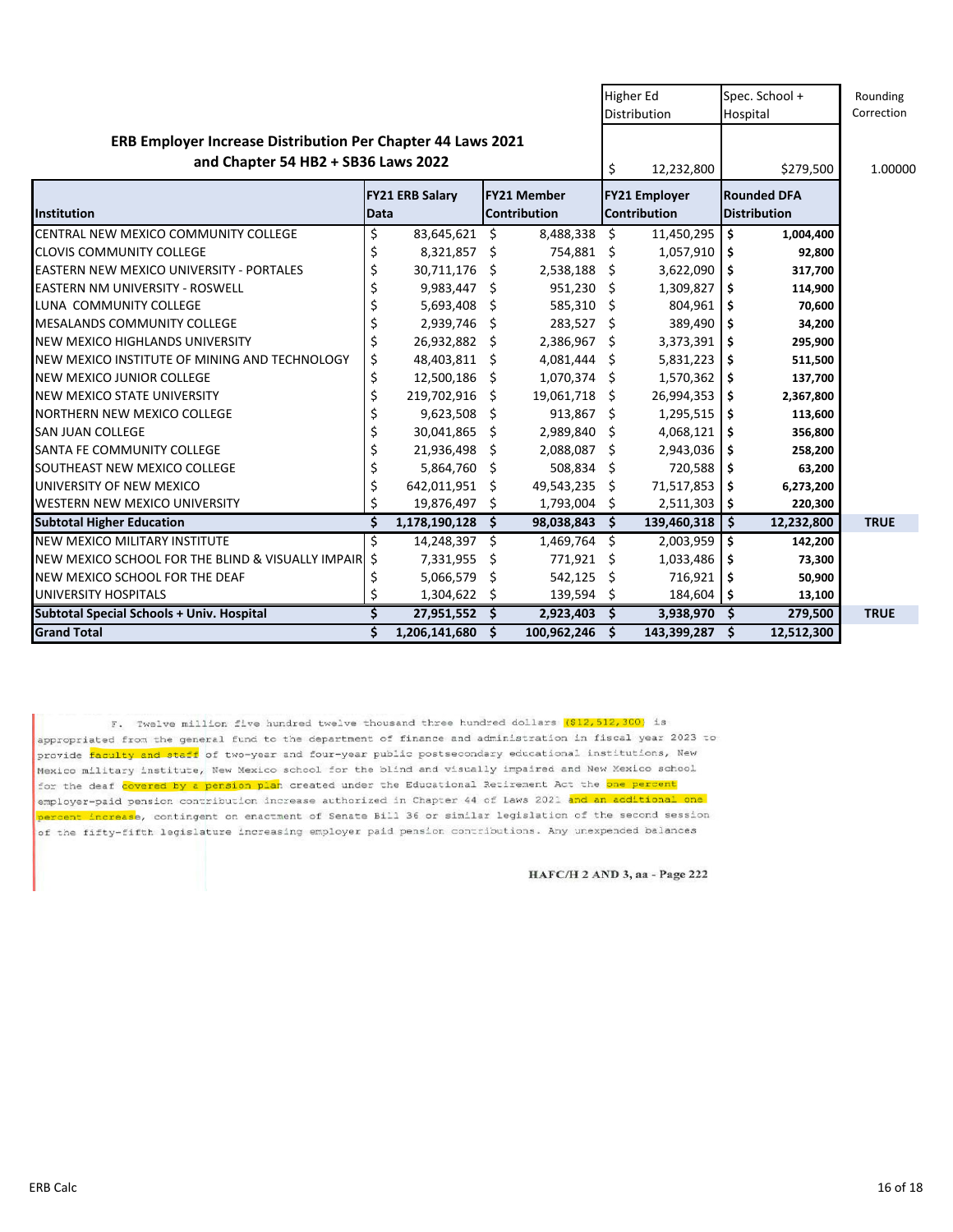|                                                                                                    |                                |                  |                                    |                |                                      | Higher Ed<br>Distribution |                                           | Spec. School +<br>Hospital | Rounding<br>Correction |
|----------------------------------------------------------------------------------------------------|--------------------------------|------------------|------------------------------------|----------------|--------------------------------------|---------------------------|-------------------------------------------|----------------------------|------------------------|
| ERB Employer Increase Distribution Per Chapter 44 Laws 2021<br>and Chapter 54 HB2 + SB36 Laws 2022 |                                |                  |                                    | \$             | 12,232,800                           |                           | \$279,500                                 | 1.00000                    |                        |
| Institution                                                                                        | <b>FY21 ERB Salary</b><br>Data |                  | <b>FY21 Member</b><br>Contribution |                | <b>FY21 Employer</b><br>Contribution |                           | <b>Rounded DFA</b><br><b>Distribution</b> |                            |                        |
| CENTRAL NEW MEXICO COMMUNITY COLLEGE                                                               | \$                             | 83,645,621       | \$                                 | 8,488,338      | \$                                   | 11,450,295                | \$                                        | 1,004,400                  |                        |
| <b>CLOVIS COMMUNITY COLLEGE</b>                                                                    | \$                             | $8,321,857$ \$   |                                    | 754,881 \$     |                                      | 1,057,910                 | \$.                                       | 92,800                     |                        |
| <b>EASTERN NEW MEXICO UNIVERSITY - PORTALES</b>                                                    | \$                             | 30,711,176       | Ŝ.                                 | 2,538,188 \$   |                                      | 3,622,090                 | \$                                        | 317,700                    |                        |
| <b>EASTERN NM UNIVERSITY - ROSWELL</b>                                                             | \$                             | $9,983,447$ \$   |                                    | $951,230$ \$   |                                      | 1,309,827                 | \$                                        | 114,900                    |                        |
| LUNA COMMUNITY COLLEGE                                                                             | \$                             | 5,693,408        | \$.                                | 585,310 \$     |                                      | 804,961                   | \$                                        | 70,600                     |                        |
| <b>MESALANDS COMMUNITY COLLEGE</b>                                                                 | \$                             | 2,939,746        | -\$                                | 283,527 \$     |                                      | 389,490                   | \$                                        | 34,200                     |                        |
| NEW MEXICO HIGHLANDS UNIVERSITY                                                                    | \$                             | 26,932,882 \$    |                                    | 2,386,967 \$   |                                      | 3,373,391                 | \$ ا                                      | 295,900                    |                        |
| NEW MEXICO INSTITUTE OF MINING AND TECHNOLOGY                                                      | \$                             | 48,403,811 \$    |                                    | $4,081,444$ \$ |                                      | 5,831,223                 | -\$                                       | 511,500                    |                        |
| <b>NEW MEXICO JUNIOR COLLEGE</b>                                                                   | \$                             | 12,500,186 \$    |                                    | $1,070,374$ \$ |                                      | 1,570,362                 | \$ ا                                      | 137,700                    |                        |
| NEW MEXICO STATE UNIVERSITY                                                                        | \$                             | 219,702,916      | Ŝ.                                 | 19,061,718     | Ŝ                                    | 26,994,353                | \$.                                       | 2,367,800                  |                        |
| <b>NORTHERN NEW MEXICO COLLEGE</b>                                                                 | \$                             | 9,623,508        | Ŝ.                                 | $913,867$ \$   |                                      | 1,295,515                 | \$.                                       | 113,600                    |                        |
| <b>SAN JUAN COLLEGE</b>                                                                            | \$                             | 30,041,865       | -S                                 | 2,989,840 \$   |                                      | 4,068,121                 | -\$                                       | 356,800                    |                        |
| SANTA FE COMMUNITY COLLEGE                                                                         | \$                             | 21,936,498       | Ŝ.                                 | 2,088,087 \$   |                                      | 2,943,036                 | \$.                                       | 258,200                    |                        |
| SOUTHEAST NEW MEXICO COLLEGE                                                                       | \$                             | 5,864,760 \$     |                                    | 508,834 \$     |                                      | 720,588                   | \$                                        | 63,200                     |                        |
| UNIVERSITY OF NEW MEXICO                                                                           | \$                             | 642,011,951      | S                                  | 49,543,235     | \$                                   | 71,517,853                | -\$                                       | 6,273,200                  |                        |
| WESTERN NEW MEXICO UNIVERSITY                                                                      | \$                             | 19,876,497       | Ŝ.                                 | 1,793,004      | -\$                                  | $2,511,303$ \$            |                                           | 220,300                    |                        |
| <b>Subtotal Higher Education</b>                                                                   | \$                             | 1,178,190,128    | Ŝ.                                 | 98,038,843     | \$                                   | 139,460,318               | -\$                                       | 12,232,800                 | <b>TRUE</b>            |
| NEW MEXICO MILITARY INSTITUTE                                                                      | Ś                              | 14,248,397 \$    |                                    | 1,469,764      | - Ś                                  | 2,003,959                 | \$                                        | 142,200                    |                        |
| NEW MEXICO SCHOOL FOR THE BLIND & VISUALLY IMPAIR                                                  | \$                             | 7,331,955        | \$                                 | 771,921 \$     |                                      | 1,033,486                 | \$                                        | 73,300                     |                        |
| NEW MEXICO SCHOOL FOR THE DEAF                                                                     | \$                             | 5,066,579        | \$                                 | 542,125        | \$.                                  | 716,921                   | \$                                        | 50,900                     |                        |
| UNIVERSITY HOSPITALS                                                                               | Ś                              | 1,304,622        | S                                  | 139,594        | Ŝ.                                   | $184,604$ \$              |                                           | 13,100                     |                        |
| Subtotal Special Schools + Univ. Hospital                                                          | Ś                              | $27,951,552$ \$  |                                    | 2,923,403      | - \$                                 | 3,938,970 \$              |                                           | 279,500                    | <b>TRUE</b>            |
| <b>Grand Total</b>                                                                                 | \$                             | 1,206,141,680 \$ |                                    | 100,962,246 \$ |                                      | 143,399,287 \$            |                                           | 12,512,300                 |                        |

F. Twelve million five hundred twelve thousand three hundred dollars (\$12,512,300) is appropriated from the general fund to the department of finance and administration in fiscal year 2023 to provide faculty and staff of two-year and four-year public postsecondary educational institutions, New .<br>Mexico military institute, New Mexico school for the blind and visually impaired and New Mexico school for the deaf covered by a pension plan created under the Educational Retirement Act the one percent employer-paid pension contribution increase authorized in Chapter 44 of Laws 2021 and an additional one percent increase, contingent on enactment of Senate Bill 36 or similar legislation of the second session of the fifty-fifth legislature increasing employer paid pension contributions. Any unexpended balances

HAFC/H 2 AND 3, aa - Page 222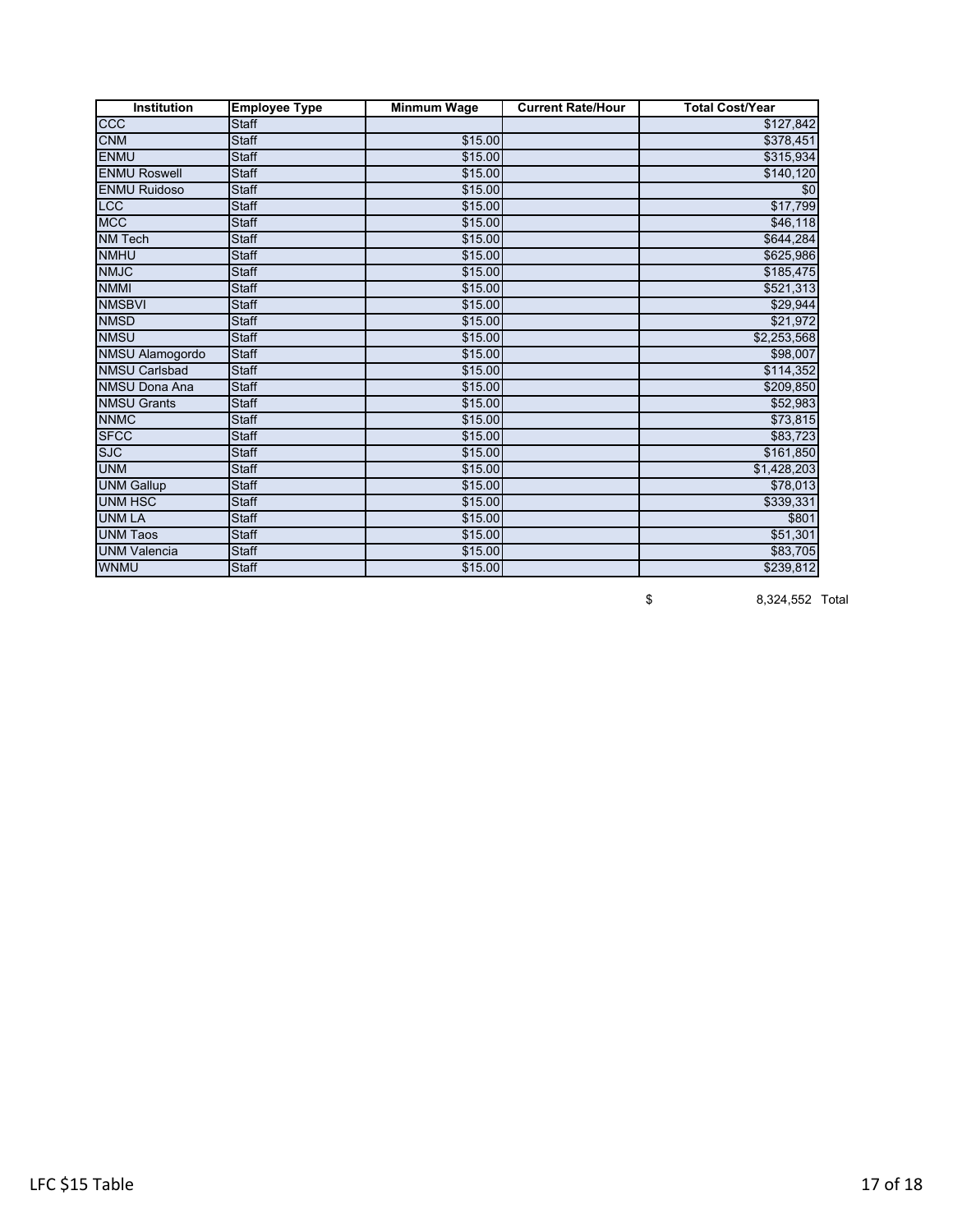| Institution            | <b>Employee Type</b> | <b>Minmum Wage</b> | <b>Current Rate/Hour</b> | <b>Total Cost/Year</b> |
|------------------------|----------------------|--------------------|--------------------------|------------------------|
| CCC                    | <b>Staff</b>         |                    |                          | \$127,842              |
| <b>CNM</b>             | <b>Staff</b>         | \$15.00            |                          | \$378,451              |
| <b>ENMU</b>            | <b>Staff</b>         | \$15.00            |                          | \$315,934              |
| <b>ENMU Roswell</b>    | <b>Staff</b>         | \$15.00            |                          | \$140,120              |
| <b>ENMU Ruidoso</b>    | <b>Staff</b>         | \$15.00            |                          | \$0                    |
| <b>LCC</b>             | <b>Staff</b>         | \$15.00            |                          | \$17,799               |
| <b>MCC</b>             | <b>Staff</b>         | \$15.00            |                          | \$46,118               |
| <b>NM Tech</b>         | <b>Staff</b>         | \$15.00            |                          | \$644,284              |
| <b>NMHU</b>            | <b>Staff</b>         | \$15.00            |                          | \$625,986              |
| <b>NMJC</b>            | <b>Staff</b>         | \$15.00            |                          | \$185,475              |
| <b>NMMI</b>            | <b>Staff</b>         | \$15.00            |                          | \$521,313              |
| <b>NMSBVI</b>          | <b>Staff</b>         | \$15.00            |                          | \$29,944               |
| <b>NMSD</b>            | <b>Staff</b>         | \$15.00            |                          | \$21,972               |
| <b>NMSU</b>            | <b>Staff</b>         | \$15.00            |                          | \$2,253,568            |
| <b>NMSU Alamogordo</b> | <b>Staff</b>         | \$15.00            |                          | \$98,007               |
| <b>NMSU Carlsbad</b>   | <b>Staff</b>         | \$15.00            |                          | \$114,352              |
| <b>NMSU Dona Ana</b>   | <b>Staff</b>         | \$15.00            |                          | \$209,850              |
| <b>NMSU Grants</b>     | <b>Staff</b>         | \$15.00            |                          | \$52,983               |
| <b>NNMC</b>            | <b>Staff</b>         | \$15.00            |                          | \$73,815               |
| <b>SFCC</b>            | <b>Staff</b>         | \$15.00            |                          | \$83,723               |
| <b>SJC</b>             | <b>Staff</b>         | \$15.00            |                          | \$161,850              |
| <b>UNM</b>             | <b>Staff</b>         | \$15.00            |                          | \$1,428,203            |
| <b>UNM Gallup</b>      | <b>Staff</b>         | \$15.00            |                          | \$78,013               |
| <b>UNM HSC</b>         | <b>Staff</b>         | \$15.00            |                          | \$339,331              |
| <b>UNM LA</b>          | <b>Staff</b>         | \$15.00            |                          | \$801                  |
| <b>UNM Taos</b>        | <b>Staff</b>         | \$15.00            |                          | \$51,301               |
| <b>UNM Valencia</b>    | Staff                | \$15.00            |                          | \$83,705               |
| <b>WNMU</b>            | <b>Staff</b>         | \$15.00            |                          | $\overline{$239,812}$  |

\$ 8,324,552 Total